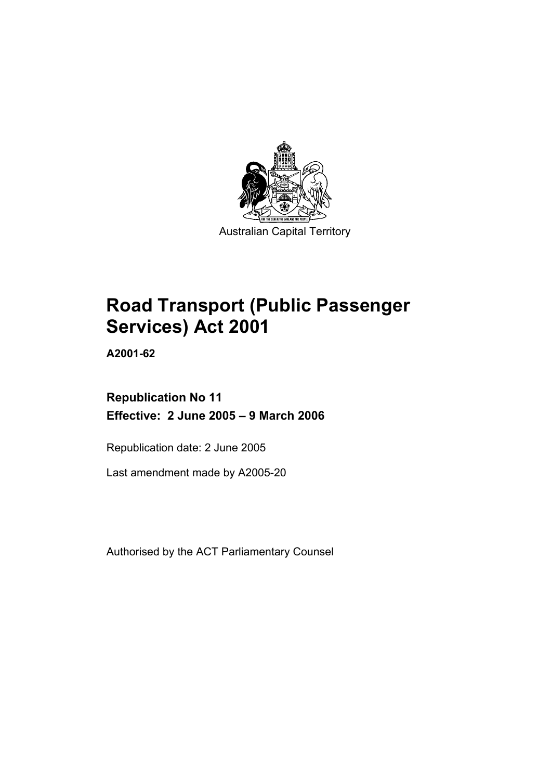

Australian Capital Territory

# **Road Transport (Public Passenger Services) Act 2001**

**A2001-62** 

**Republication No 11 Effective: 2 June 2005 – 9 March 2006** 

Republication date: 2 June 2005

Last amendment made by A2005-20

Authorised by the ACT Parliamentary Counsel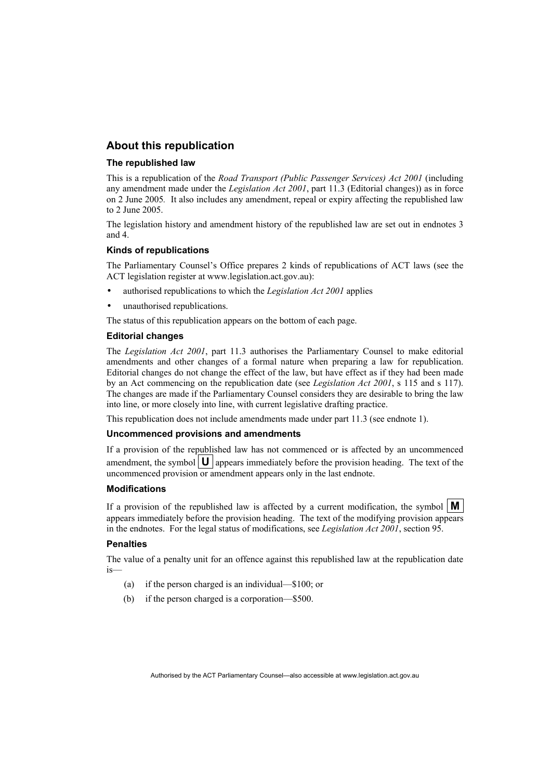#### **About this republication**

#### **The republished law**

This is a republication of the *Road Transport (Public Passenger Services) Act 2001* (including any amendment made under the *Legislation Act 2001*, part 11.3 (Editorial changes)) as in force on 2 June 2005*.* It also includes any amendment, repeal or expiry affecting the republished law to 2 June 2005.

The legislation history and amendment history of the republished law are set out in endnotes 3 and 4.

#### **Kinds of republications**

The Parliamentary Counsel's Office prepares 2 kinds of republications of ACT laws (see the ACT legislation register at www.legislation.act.gov.au):

- authorised republications to which the *Legislation Act 2001* applies
- unauthorised republications.

The status of this republication appears on the bottom of each page.

#### **Editorial changes**

The *Legislation Act 2001*, part 11.3 authorises the Parliamentary Counsel to make editorial amendments and other changes of a formal nature when preparing a law for republication. Editorial changes do not change the effect of the law, but have effect as if they had been made by an Act commencing on the republication date (see *Legislation Act 2001*, s 115 and s 117). The changes are made if the Parliamentary Counsel considers they are desirable to bring the law into line, or more closely into line, with current legislative drafting practice.

This republication does not include amendments made under part 11.3 (see endnote 1).

#### **Uncommenced provisions and amendments**

If a provision of the republished law has not commenced or is affected by an uncommenced amendment, the symbol  $\mathbf{U}$  appears immediately before the provision heading. The text of the uncommenced provision or amendment appears only in the last endnote.

#### **Modifications**

If a provision of the republished law is affected by a current modification, the symbol  $\mathbf{M}$ appears immediately before the provision heading. The text of the modifying provision appears in the endnotes. For the legal status of modifications, see *Legislation Act 2001*, section 95.

#### **Penalties**

The value of a penalty unit for an offence against this republished law at the republication date is—

- (a) if the person charged is an individual—\$100; or
- (b) if the person charged is a corporation—\$500.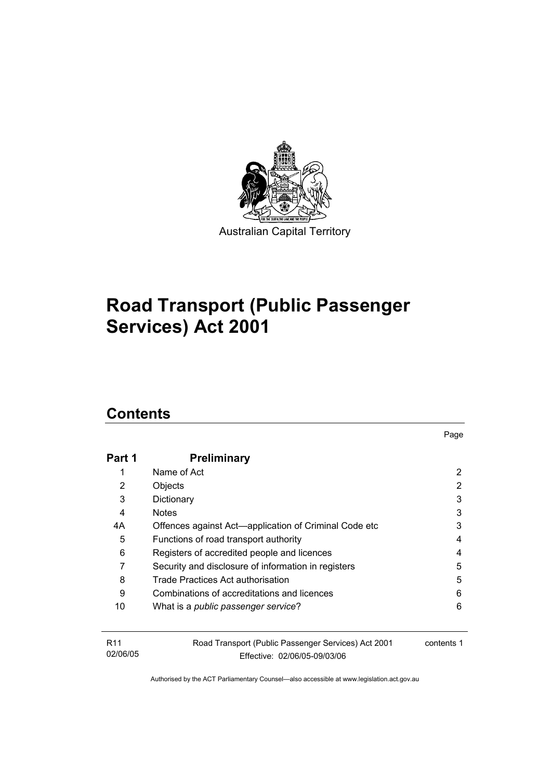

# **Road Transport (Public Passenger Services) Act 2001**

## **Contents**

| Part 1                      | <b>Preliminary</b>                                                                  |            |
|-----------------------------|-------------------------------------------------------------------------------------|------------|
| 1                           | Name of Act                                                                         | 2          |
| 2                           | Objects                                                                             | 2          |
| 3                           | Dictionary                                                                          | 3          |
| 4                           | <b>Notes</b>                                                                        | 3          |
| 4А                          | Offences against Act—application of Criminal Code etc                               | 3          |
| 5                           | Functions of road transport authority                                               | 4          |
| 6                           | Registers of accredited people and licences                                         | 4          |
| 7                           | Security and disclosure of information in registers                                 | 5          |
| 8                           | Trade Practices Act authorisation                                                   | 5          |
| 9                           | Combinations of accreditations and licences                                         | 6          |
| 10                          | What is a public passenger service?                                                 | 6          |
| R <sub>11</sub><br>02/06/05 | Road Transport (Public Passenger Services) Act 2001<br>Fffective: 02/06/05-09/03/06 | contents 1 |

Page

Effective: 02/06/05-09/03/06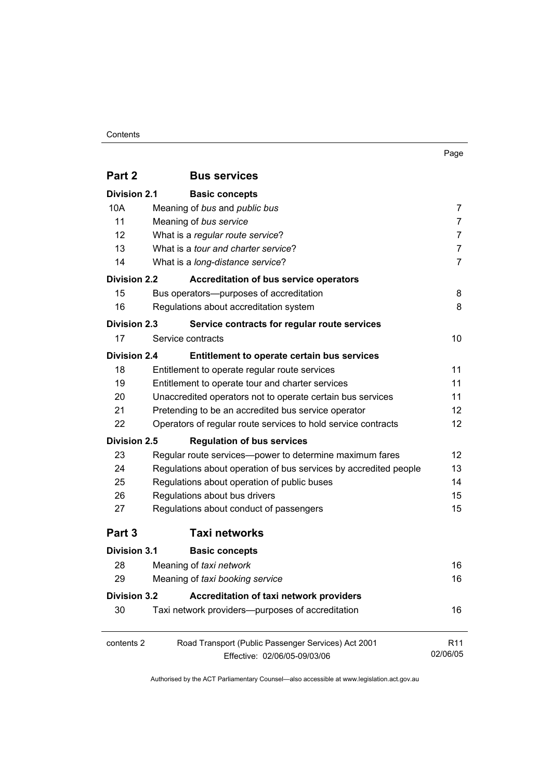| . .<br>×<br>٧<br>× |
|--------------------|
|--------------------|

| Part 2              | <b>Bus services</b>                                              |                 |
|---------------------|------------------------------------------------------------------|-----------------|
| <b>Division 2.1</b> | <b>Basic concepts</b>                                            |                 |
| 10A                 | Meaning of bus and public bus                                    | 7               |
| 11                  | Meaning of bus service                                           | $\overline{7}$  |
| 12                  | What is a regular route service?                                 | $\overline{7}$  |
| 13                  | What is a tour and charter service?                              | $\overline{7}$  |
| 14                  | What is a long-distance service?                                 | 7               |
| Division 2.2        | Accreditation of bus service operators                           |                 |
| 15                  | Bus operators--- purposes of accreditation                       | 8               |
| 16                  | Regulations about accreditation system                           | 8               |
| <b>Division 2.3</b> | Service contracts for regular route services                     |                 |
| 17                  | Service contracts                                                | 10              |
| <b>Division 2.4</b> | Entitlement to operate certain bus services                      |                 |
| 18                  | Entitlement to operate regular route services                    | 11              |
| 19                  | Entitlement to operate tour and charter services                 | 11              |
| 20                  | Unaccredited operators not to operate certain bus services       | 11              |
| 21                  | Pretending to be an accredited bus service operator              | 12              |
| 22                  | Operators of regular route services to hold service contracts    | 12              |
| <b>Division 2.5</b> | <b>Regulation of bus services</b>                                |                 |
| 23                  | Regular route services-power to determine maximum fares          | 12              |
| 24                  | Regulations about operation of bus services by accredited people | 13              |
| 25                  | Regulations about operation of public buses                      | 14              |
| 26                  | Regulations about bus drivers                                    | 15              |
| 27                  | Regulations about conduct of passengers                          | 15              |
| Part 3              | <b>Taxi networks</b>                                             |                 |
| <b>Division 3.1</b> | <b>Basic concepts</b>                                            |                 |
| 28                  | Meaning of taxi network                                          | 16              |
| 29                  | Meaning of taxi booking service                                  | 16              |
| <b>Division 3.2</b> | <b>Accreditation of taxi network providers</b>                   |                 |
| 30                  | Taxi network providers--purposes of accreditation                | 16              |
| contents 2          | Road Transport (Public Passenger Services) Act 2001              | R <sub>11</sub> |
|                     | Effective: 02/06/05-09/03/06                                     | 02/06/05        |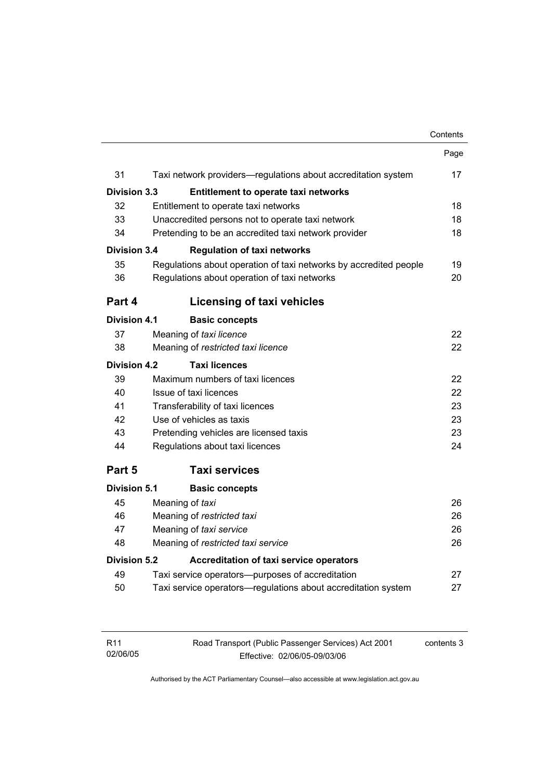|                     |                                                                   | Page |
|---------------------|-------------------------------------------------------------------|------|
| 31                  | Taxi network providers—regulations about accreditation system     | 17   |
| <b>Division 3.3</b> | <b>Entitlement to operate taxi networks</b>                       |      |
| 32                  | Entitlement to operate taxi networks                              | 18   |
| 33                  | Unaccredited persons not to operate taxi network                  | 18   |
| 34                  | Pretending to be an accredited taxi network provider              | 18   |
| <b>Division 3.4</b> | <b>Regulation of taxi networks</b>                                |      |
| 35                  | Regulations about operation of taxi networks by accredited people | 19   |
| 36                  | Regulations about operation of taxi networks                      | 20   |
| Part 4              | <b>Licensing of taxi vehicles</b>                                 |      |
| Division 4.1        | <b>Basic concepts</b>                                             |      |
| 37                  | Meaning of taxi licence                                           | 22   |
| 38                  | Meaning of restricted taxi licence                                | 22   |
| <b>Division 4.2</b> | <b>Taxi licences</b>                                              |      |
| 39                  | Maximum numbers of taxi licences                                  | 22   |
| 40                  | Issue of taxi licences                                            | 22   |
| 41                  | Transferability of taxi licences                                  | 23   |
| 42                  | Use of vehicles as taxis                                          | 23   |
| 43                  | Pretending vehicles are licensed taxis                            | 23   |
| 44                  | Regulations about taxi licences                                   | 24   |
| Part 5              | <b>Taxi services</b>                                              |      |
| Division 5.1        | <b>Basic concepts</b>                                             |      |
| 45                  | Meaning of taxi                                                   | 26   |
| 46                  | Meaning of restricted taxi                                        | 26   |
| 47                  | Meaning of taxi service                                           | 26   |
| 48                  | Meaning of restricted taxi service                                | 26   |
| <b>Division 5.2</b> | <b>Accreditation of taxi service operators</b>                    |      |
| 49                  | Taxi service operators—purposes of accreditation                  | 27   |
| 50                  | Taxi service operators—regulations about accreditation system     | 27   |
|                     |                                                                   |      |

| R11      | Road Transport (Public Passenger Services) Act 2001 | contents 3 |
|----------|-----------------------------------------------------|------------|
| 02/06/05 | Effective: 02/06/05-09/03/06                        |            |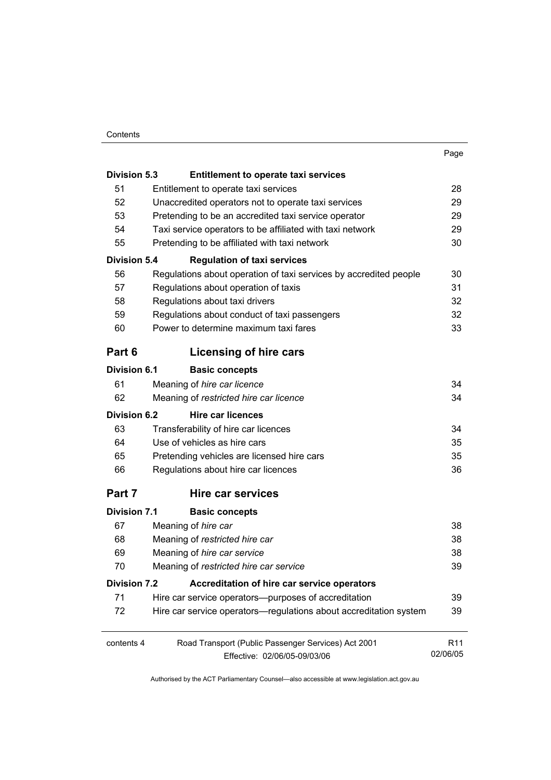| ۰.<br>×<br><br>× |
|------------------|
|------------------|

| <b>Division 5.3</b> | <b>Entitlement to operate taxi services</b>                       |                 |
|---------------------|-------------------------------------------------------------------|-----------------|
| 51                  | Entitlement to operate taxi services                              | 28              |
| 52                  | Unaccredited operators not to operate taxi services               | 29              |
| 53                  | Pretending to be an accredited taxi service operator              | 29              |
| 54                  | Taxi service operators to be affiliated with taxi network         | 29              |
| 55                  | Pretending to be affiliated with taxi network                     | 30              |
| <b>Division 5.4</b> | <b>Regulation of taxi services</b>                                |                 |
| 56                  | Regulations about operation of taxi services by accredited people | 30              |
| 57                  | Regulations about operation of taxis                              | 31              |
| 58                  | Regulations about taxi drivers                                    | 32              |
| 59                  | Regulations about conduct of taxi passengers                      | 32              |
| 60                  | Power to determine maximum taxi fares                             | 33              |
| Part 6              | Licensing of hire cars                                            |                 |
| <b>Division 6.1</b> | <b>Basic concepts</b>                                             |                 |
| 61                  | Meaning of hire car licence                                       | 34              |
| 62                  | Meaning of restricted hire car licence                            | 34              |
| <b>Division 6.2</b> | <b>Hire car licences</b>                                          |                 |
| 63                  | Transferability of hire car licences                              | 34              |
| 64                  | Use of vehicles as hire cars                                      | 35              |
| 65                  | Pretending vehicles are licensed hire cars                        | 35              |
| 66                  | Regulations about hire car licences                               | 36              |
| Part 7              | Hire car services                                                 |                 |
| <b>Division 7.1</b> | <b>Basic concepts</b>                                             |                 |
| 67                  | Meaning of hire car                                               | 38              |
| 68                  | Meaning of restricted hire car                                    | 38              |
| 69                  | Meaning of hire car service                                       | 38              |
| 70                  | Meaning of restricted hire car service                            | 39              |
| <b>Division 7.2</b> | Accreditation of hire car service operators                       |                 |
| 71                  | Hire car service operators--purposes of accreditation             | 39              |
| 72                  | Hire car service operators-regulations about accreditation system | 39              |
| contents 4          | Road Transport (Public Passenger Services) Act 2001               | R <sub>11</sub> |
|                     | Effective: 02/06/05-09/03/06                                      | 02/06/05        |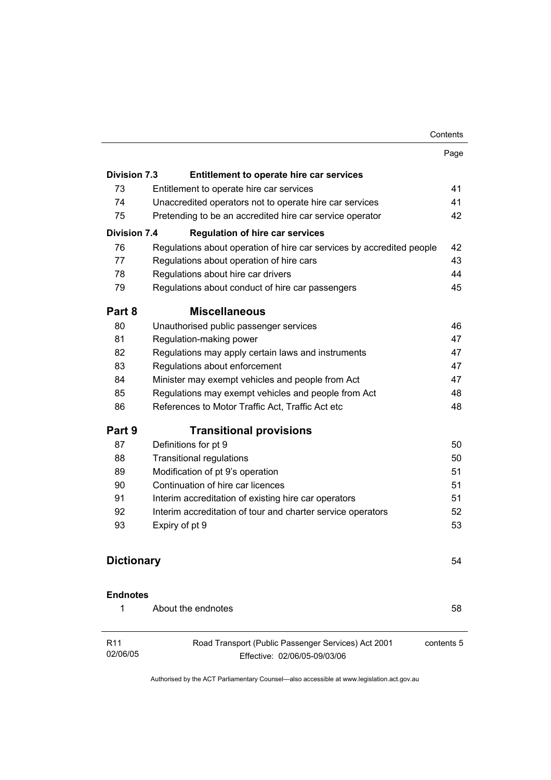| Contents |
|----------|
|----------|

|                     |                                                                       | Page |
|---------------------|-----------------------------------------------------------------------|------|
| <b>Division 7.3</b> | Entitlement to operate hire car services                              |      |
| 73                  | Entitlement to operate hire car services                              | 41   |
| 74                  | Unaccredited operators not to operate hire car services               | 41   |
| 75                  | Pretending to be an accredited hire car service operator              | 42   |
| <b>Division 7.4</b> | <b>Regulation of hire car services</b>                                |      |
| 76                  | Regulations about operation of hire car services by accredited people | 42   |
| 77                  | Regulations about operation of hire cars                              | 43   |
| 78                  | Regulations about hire car drivers                                    | 44   |
| 79                  | Regulations about conduct of hire car passengers                      | 45   |
| Part 8              | <b>Miscellaneous</b>                                                  |      |
| 80                  | Unauthorised public passenger services                                | 46   |
| 81                  | Regulation-making power                                               | 47   |
| 82                  | Regulations may apply certain laws and instruments                    | 47   |
| 83                  | Regulations about enforcement                                         | 47   |
| 84                  | Minister may exempt vehicles and people from Act                      | 47   |
| 85                  | Regulations may exempt vehicles and people from Act                   | 48   |
| 86                  | References to Motor Traffic Act, Traffic Act etc                      | 48   |
| Part 9              | <b>Transitional provisions</b>                                        |      |
| 87                  | Definitions for pt 9                                                  | 50   |
| 88                  | <b>Transitional regulations</b>                                       | 50   |
| 89                  | Modification of pt 9's operation                                      | 51   |
| 90                  | Continuation of hire car licences                                     | 51   |
| 91                  | Interim accreditation of existing hire car operators                  | 51   |
| 92                  | Interim accreditation of tour and charter service operators           | 52   |
| 93                  | Expiry of pt 9                                                        | 53   |
|                     |                                                                       |      |
| <b>Dictionary</b>   |                                                                       | 54   |
|                     |                                                                       |      |

|  | <b>Endnotes</b> |
|--|-----------------|
|--|-----------------|

|     | About the endnotes                                  | 58         |  |
|-----|-----------------------------------------------------|------------|--|
| R11 | Road Transport (Public Passenger Services) Act 2001 | contents 5 |  |

02/06/05

Road Transport (Public Passenger Services) Act 2001 contents 5 Effective: 02/06/05-09/03/06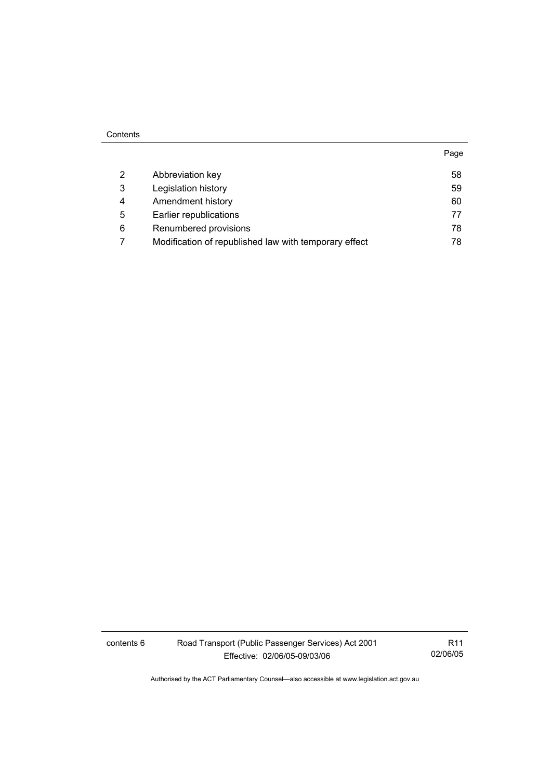| 2 | Abbreviation key                                      | 58 |
|---|-------------------------------------------------------|----|
| 3 | Legislation history                                   | 59 |
| 4 | Amendment history                                     | 60 |
| 5 | Earlier republications                                | 77 |
| 6 | Renumbered provisions                                 | 78 |
|   | Modification of republished law with temporary effect | 78 |
|   |                                                       |    |

contents 6 Road Transport (Public Passenger Services) Act 2001 Effective: 02/06/05-09/03/06

R11 02/06/05

Page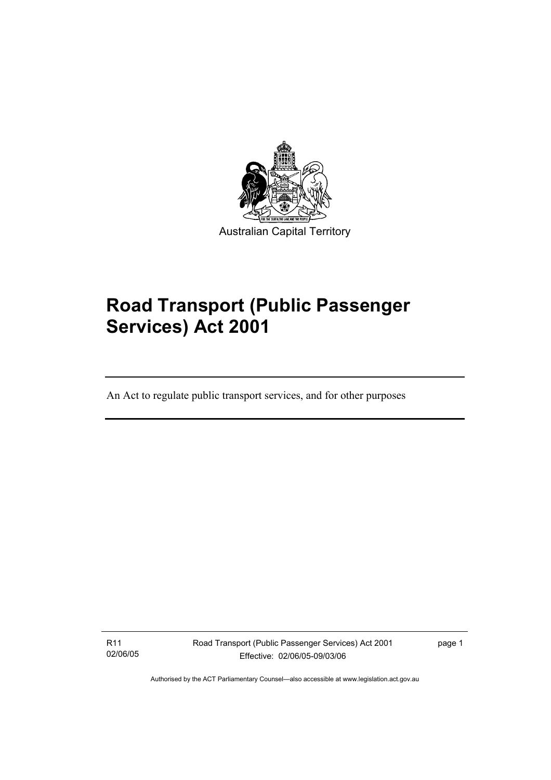

# **Road Transport (Public Passenger Services) Act 2001**

An Act to regulate public transport services, and for other purposes

R11 02/06/05

I

Road Transport (Public Passenger Services) Act 2001 Effective: 02/06/05-09/03/06

page 1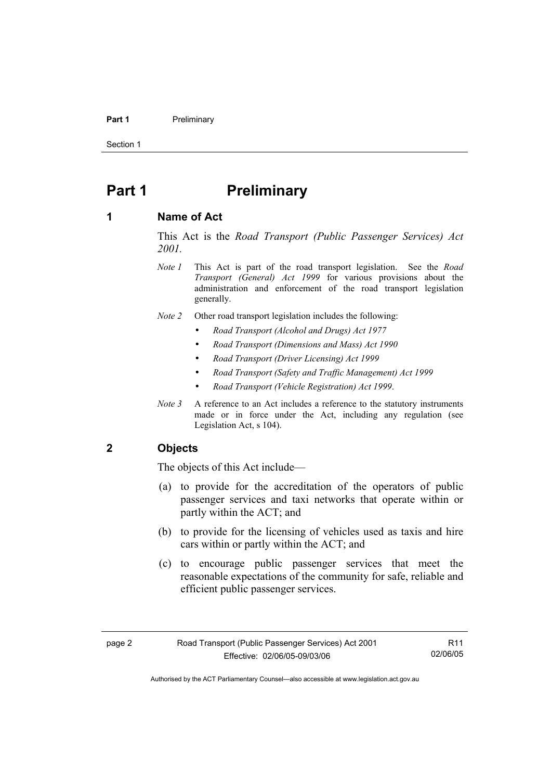#### **Part 1** Preliminary

Section 1

### **Part 1** Preliminary

#### **1 Name of Act**

This Act is the *Road Transport (Public Passenger Services) Act 2001.* 

- *Note 1* This Act is part of the road transport legislation. See the *Road Transport (General) Act 1999* for various provisions about the administration and enforcement of the road transport legislation generally.
- *Note 2* Other road transport legislation includes the following:
	- *Road Transport (Alcohol and Drugs) Act 1977*
	- *Road Transport (Dimensions and Mass) Act 1990*
	- *Road Transport (Driver Licensing) Act 1999*
	- *Road Transport (Safety and Traffic Management) Act 1999*
	- *Road Transport (Vehicle Registration) Act 1999*.
- *Note 3* A reference to an Act includes a reference to the statutory instruments made or in force under the Act, including any regulation (see Legislation Act, s 104).

#### **2 Objects**

The objects of this Act include—

- (a) to provide for the accreditation of the operators of public passenger services and taxi networks that operate within or partly within the ACT; and
- (b) to provide for the licensing of vehicles used as taxis and hire cars within or partly within the ACT; and
- (c) to encourage public passenger services that meet the reasonable expectations of the community for safe, reliable and efficient public passenger services.

R11 02/06/05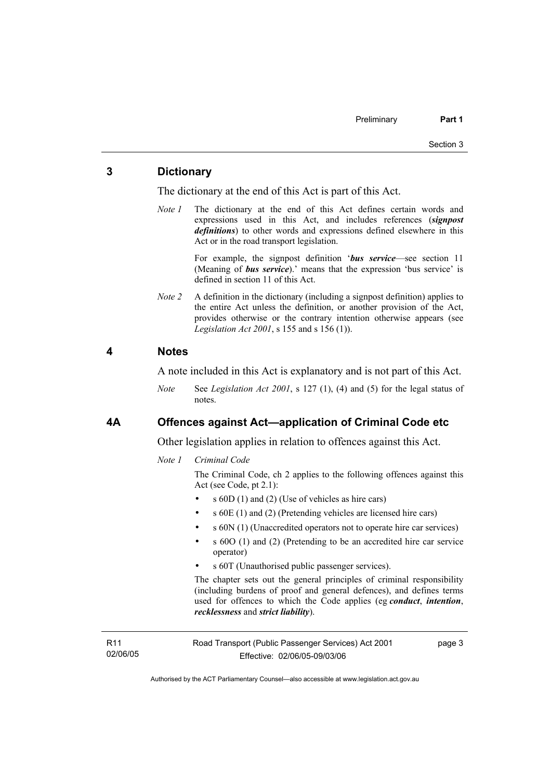#### **3 Dictionary**

The dictionary at the end of this Act is part of this Act.

*Note 1* The dictionary at the end of this Act defines certain words and expressions used in this Act, and includes references (*signpost definitions*) to other words and expressions defined elsewhere in this Act or in the road transport legislation.

> For example, the signpost definition '*bus service*—see section 11 (Meaning of *bus service*).' means that the expression 'bus service' is defined in section 11 of this Act.

*Note 2* A definition in the dictionary (including a signpost definition) applies to the entire Act unless the definition, or another provision of the Act, provides otherwise or the contrary intention otherwise appears (see *Legislation Act 2001*, s 155 and s 156 (1)).

#### **4 Notes**

A note included in this Act is explanatory and is not part of this Act.

*Note* See *Legislation Act 2001*, s 127 (1), (4) and (5) for the legal status of notes.

#### **4A Offences against Act—application of Criminal Code etc**

Other legislation applies in relation to offences against this Act.

#### *Note 1 Criminal Code*

The Criminal Code, ch 2 applies to the following offences against this Act (see Code, pt 2.1):

- s 60D (1) and (2) (Use of vehicles as hire cars)
- s 60E (1) and (2) (Pretending vehicles are licensed hire cars)
- s 60N (1) (Unaccredited operators not to operate hire car services)
- s 60O (1) and (2) (Pretending to be an accredited hire car service operator)
- s 60T (Unauthorised public passenger services).

The chapter sets out the general principles of criminal responsibility (including burdens of proof and general defences), and defines terms used for offences to which the Code applies (eg *conduct*, *intention*, *recklessness* and *strict liability*).

R11 02/06/05 Road Transport (Public Passenger Services) Act 2001 Effective: 02/06/05-09/03/06

page 3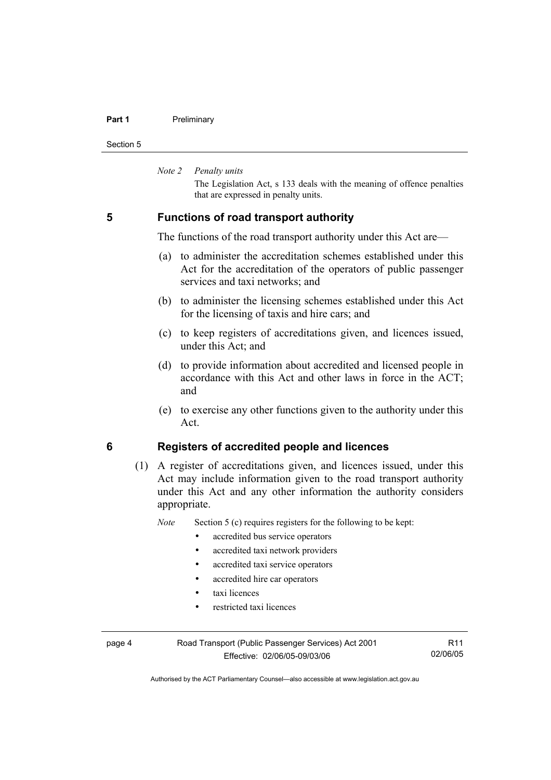#### **Part 1** Preliminary

Section 5

*Note 2 Penalty units* 

The Legislation Act, s 133 deals with the meaning of offence penalties that are expressed in penalty units.

#### **5 Functions of road transport authority**

The functions of the road transport authority under this Act are—

- (a) to administer the accreditation schemes established under this Act for the accreditation of the operators of public passenger services and taxi networks; and
- (b) to administer the licensing schemes established under this Act for the licensing of taxis and hire cars; and
- (c) to keep registers of accreditations given, and licences issued, under this Act; and
- (d) to provide information about accredited and licensed people in accordance with this Act and other laws in force in the ACT; and
- (e) to exercise any other functions given to the authority under this Act.

#### **6 Registers of accredited people and licences**

 (1) A register of accreditations given, and licences issued, under this Act may include information given to the road transport authority under this Act and any other information the authority considers appropriate.

*Note* Section 5 (c) requires registers for the following to be kept:

- accredited bus service operators
- accredited taxi network providers
- accredited taxi service operators
- accredited hire car operators
- taxi licences
- restricted taxi licences

page 4 Road Transport (Public Passenger Services) Act 2001 Effective: 02/06/05-09/03/06

R11 02/06/05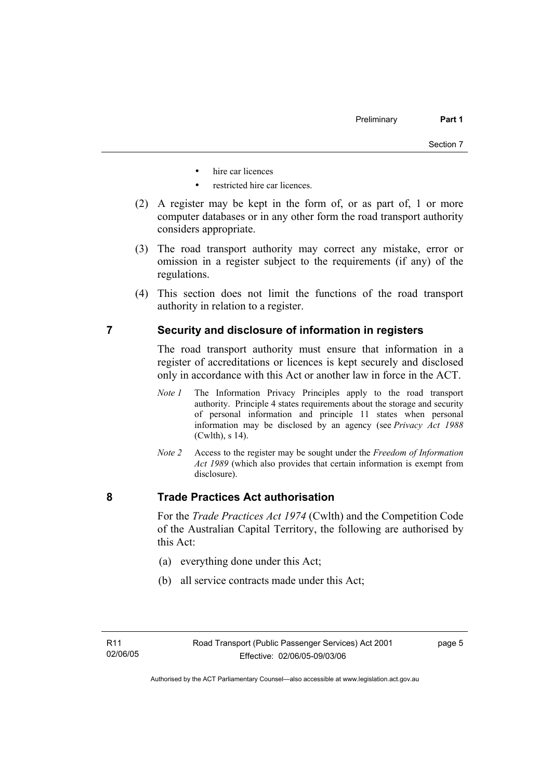- hire car licences
- restricted hire car licences.
- (2) A register may be kept in the form of, or as part of, 1 or more computer databases or in any other form the road transport authority considers appropriate.
- (3) The road transport authority may correct any mistake, error or omission in a register subject to the requirements (if any) of the regulations.
- (4) This section does not limit the functions of the road transport authority in relation to a register.

#### **7 Security and disclosure of information in registers**

The road transport authority must ensure that information in a register of accreditations or licences is kept securely and disclosed only in accordance with this Act or another law in force in the ACT.

- *Note 1* The Information Privacy Principles apply to the road transport authority. Principle 4 states requirements about the storage and security of personal information and principle 11 states when personal information may be disclosed by an agency (see *Privacy Act 1988* (Cwlth), s 14).
- *Note 2* Access to the register may be sought under the *Freedom of Information Act 1989* (which also provides that certain information is exempt from disclosure).

#### **8 Trade Practices Act authorisation**

For the *Trade Practices Act 1974* (Cwlth) and the Competition Code of the Australian Capital Territory, the following are authorised by this Act:

- (a) everything done under this Act;
- (b) all service contracts made under this Act;

page 5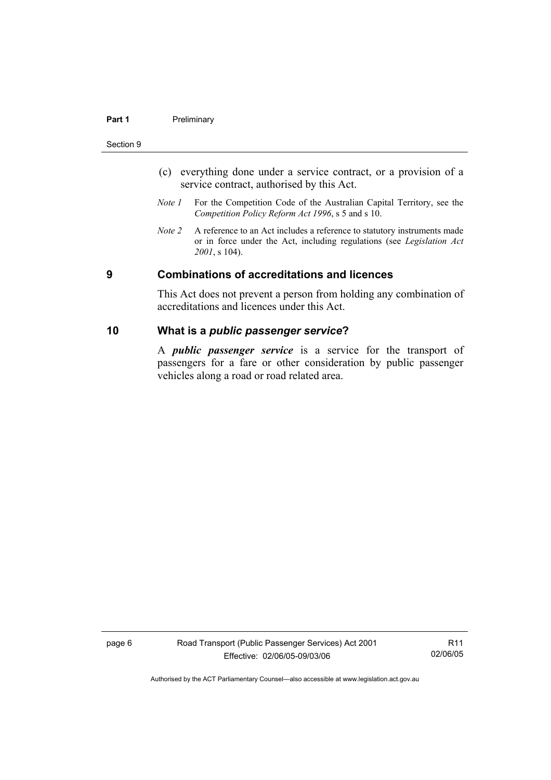#### **Part 1** Preliminary

#### Section 9

- (c) everything done under a service contract, or a provision of a service contract, authorised by this Act.
- *Note 1* For the Competition Code of the Australian Capital Territory, see the *Competition Policy Reform Act 1996*, s 5 and s 10.
- *Note 2* A reference to an Act includes a reference to statutory instruments made or in force under the Act, including regulations (see *Legislation Act 2001*, s 104).

#### **9 Combinations of accreditations and licences**

This Act does not prevent a person from holding any combination of accreditations and licences under this Act.

#### **10 What is a** *public passenger service***?**

A *public passenger service* is a service for the transport of passengers for a fare or other consideration by public passenger vehicles along a road or road related area.

page 6 Road Transport (Public Passenger Services) Act 2001 Effective: 02/06/05-09/03/06

R11 02/06/05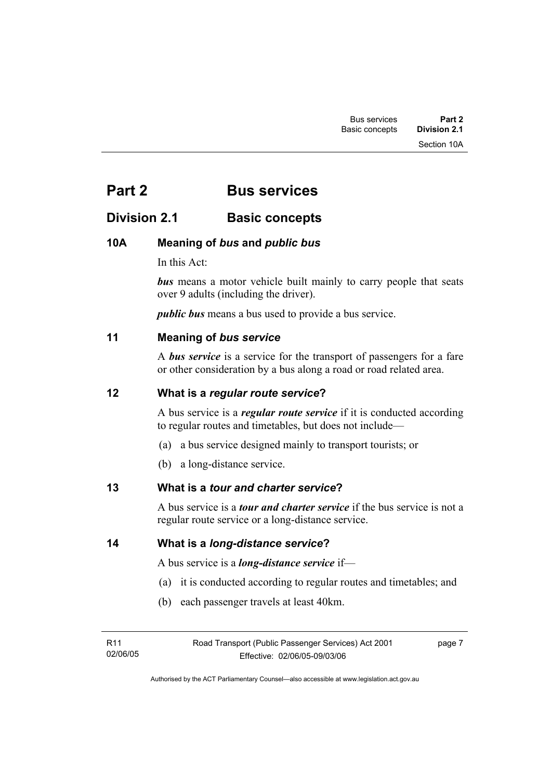### **Part 2 Bus services**

### **Division 2.1** Basic concepts

### **10A Meaning of** *bus* **and** *public bus*

In this Act:

*bus* means a motor vehicle built mainly to carry people that seats over 9 adults (including the driver).

*public bus* means a bus used to provide a bus service.

#### **11 Meaning of** *bus service*

A *bus service* is a service for the transport of passengers for a fare or other consideration by a bus along a road or road related area.

#### **12 What is a** *regular route service***?**

A bus service is a *regular route service* if it is conducted according to regular routes and timetables, but does not include—

- (a) a bus service designed mainly to transport tourists; or
- (b) a long-distance service.

#### **13 What is a** *tour and charter service***?**

A bus service is a *tour and charter service* if the bus service is not a regular route service or a long-distance service.

**14 What is a** *long-distance service***?**

A bus service is a *long-distance service* if—

- (a) it is conducted according to regular routes and timetables; and
- (b) each passenger travels at least 40km.

| R11      | Road Transport (Public Passenger Services) Act 2001 | page 7 |
|----------|-----------------------------------------------------|--------|
| 02/06/05 | Effective: 02/06/05-09/03/06                        |        |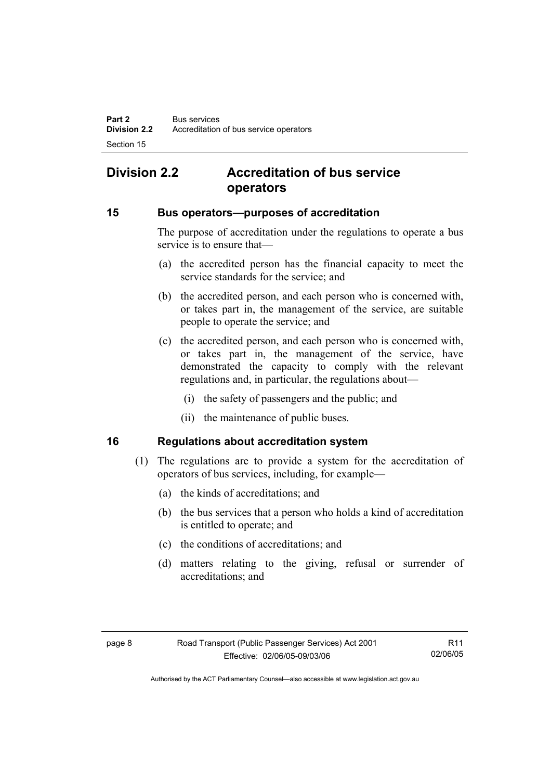### **Division 2.2 Accreditation of bus service operators**

#### **15 Bus operators—purposes of accreditation**

The purpose of accreditation under the regulations to operate a bus service is to ensure that—

- (a) the accredited person has the financial capacity to meet the service standards for the service; and
- (b) the accredited person, and each person who is concerned with, or takes part in, the management of the service, are suitable people to operate the service; and
- (c) the accredited person, and each person who is concerned with, or takes part in, the management of the service, have demonstrated the capacity to comply with the relevant regulations and, in particular, the regulations about—
	- (i) the safety of passengers and the public; and
	- (ii) the maintenance of public buses.

#### **16 Regulations about accreditation system**

- (1) The regulations are to provide a system for the accreditation of operators of bus services, including, for example—
	- (a) the kinds of accreditations; and
	- (b) the bus services that a person who holds a kind of accreditation is entitled to operate; and
	- (c) the conditions of accreditations; and
	- (d) matters relating to the giving, refusal or surrender of accreditations; and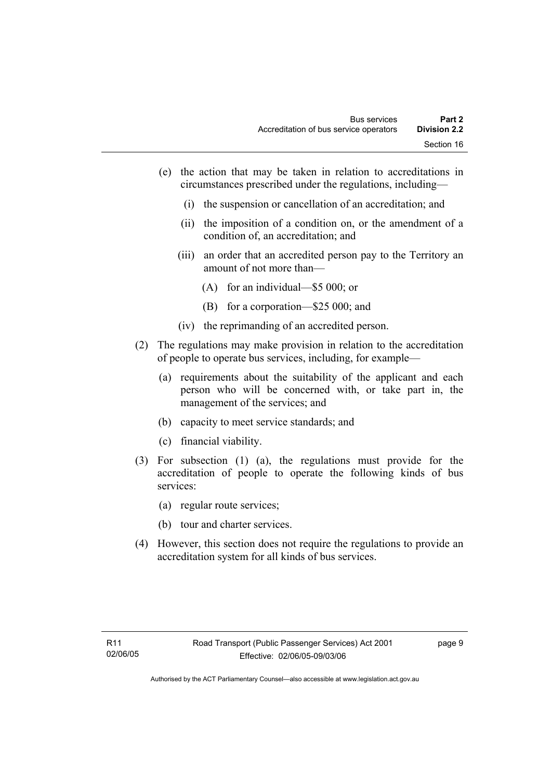- (e) the action that may be taken in relation to accreditations in circumstances prescribed under the regulations, including—
	- (i) the suspension or cancellation of an accreditation; and
	- (ii) the imposition of a condition on, or the amendment of a condition of, an accreditation; and
	- (iii) an order that an accredited person pay to the Territory an amount of not more than—
		- (A) for an individual—\$5 000; or
		- (B) for a corporation—\$25 000; and
	- (iv) the reprimanding of an accredited person.
- (2) The regulations may make provision in relation to the accreditation of people to operate bus services, including, for example—
	- (a) requirements about the suitability of the applicant and each person who will be concerned with, or take part in, the management of the services; and
	- (b) capacity to meet service standards; and
	- (c) financial viability.
- (3) For subsection (1) (a), the regulations must provide for the accreditation of people to operate the following kinds of bus services:
	- (a) regular route services;
	- (b) tour and charter services.
- (4) However, this section does not require the regulations to provide an accreditation system for all kinds of bus services.

page 9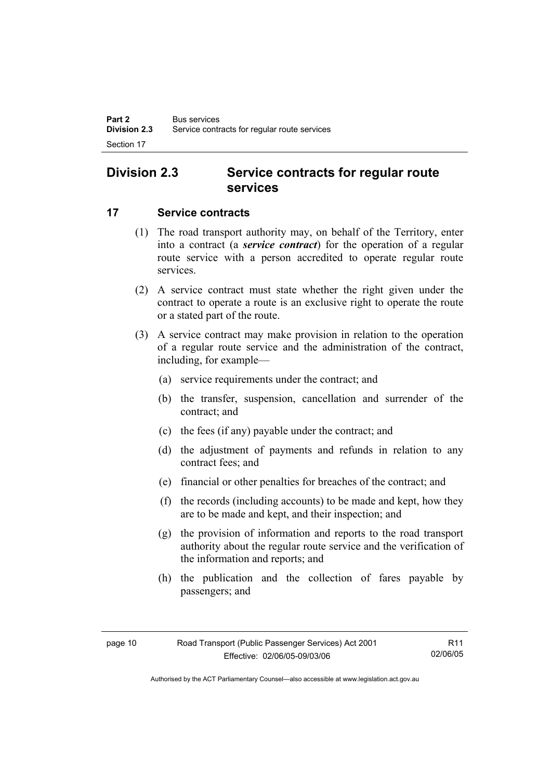### **Division 2.3 Service contracts for regular route services**

#### **17 Service contracts**

- (1) The road transport authority may, on behalf of the Territory, enter into a contract (a *service contract*) for the operation of a regular route service with a person accredited to operate regular route services.
- (2) A service contract must state whether the right given under the contract to operate a route is an exclusive right to operate the route or a stated part of the route.
- (3) A service contract may make provision in relation to the operation of a regular route service and the administration of the contract, including, for example—
	- (a) service requirements under the contract; and
	- (b) the transfer, suspension, cancellation and surrender of the contract; and
	- (c) the fees (if any) payable under the contract; and
	- (d) the adjustment of payments and refunds in relation to any contract fees; and
	- (e) financial or other penalties for breaches of the contract; and
	- (f) the records (including accounts) to be made and kept, how they are to be made and kept, and their inspection; and
	- (g) the provision of information and reports to the road transport authority about the regular route service and the verification of the information and reports; and
	- (h) the publication and the collection of fares payable by passengers; and

R11 02/06/05

Authorised by the ACT Parliamentary Counsel—also accessible at www.legislation.act.gov.au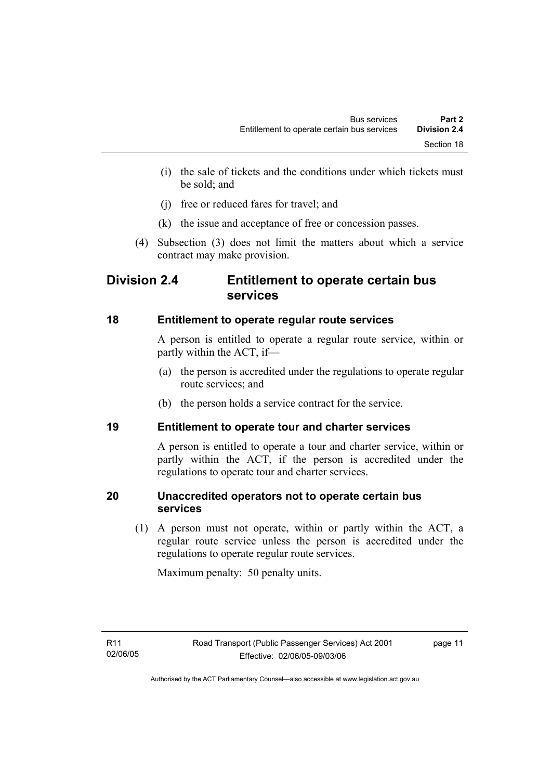- (i) the sale of tickets and the conditions under which tickets must be sold; and
- (j) free or reduced fares for travel; and
- (k) the issue and acceptance of free or concession passes.
- (4) Subsection (3) does not limit the matters about which a service contract may make provision.

### **Division 2.4 Entitlement to operate certain bus services**

#### **18 Entitlement to operate regular route services**

A person is entitled to operate a regular route service, within or partly within the ACT, if—

- (a) the person is accredited under the regulations to operate regular route services; and
- (b) the person holds a service contract for the service.

#### **19 Entitlement to operate tour and charter services**

A person is entitled to operate a tour and charter service, within or partly within the ACT, if the person is accredited under the regulations to operate tour and charter services.

#### **20 Unaccredited operators not to operate certain bus services**

 (1) A person must not operate, within or partly within the ACT, a regular route service unless the person is accredited under the regulations to operate regular route services.

Maximum penalty: 50 penalty units.

page 11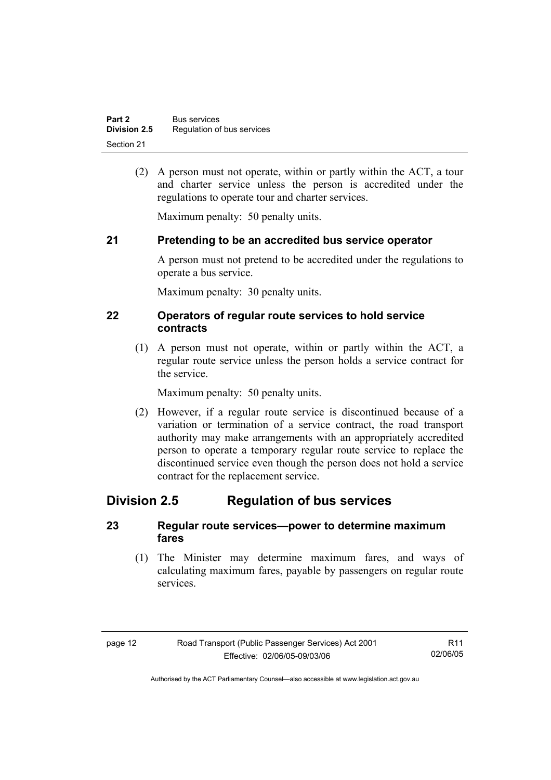(2) A person must not operate, within or partly within the ACT, a tour and charter service unless the person is accredited under the regulations to operate tour and charter services.

Maximum penalty: 50 penalty units.

#### **21 Pretending to be an accredited bus service operator**

A person must not pretend to be accredited under the regulations to operate a bus service.

Maximum penalty: 30 penalty units.

#### **22 Operators of regular route services to hold service contracts**

 (1) A person must not operate, within or partly within the ACT, a regular route service unless the person holds a service contract for the service.

Maximum penalty: 50 penalty units.

 (2) However, if a regular route service is discontinued because of a variation or termination of a service contract, the road transport authority may make arrangements with an appropriately accredited person to operate a temporary regular route service to replace the discontinued service even though the person does not hold a service contract for the replacement service.

### **Division 2.5 Regulation of bus services**

#### **23 Regular route services—power to determine maximum fares**

 (1) The Minister may determine maximum fares, and ways of calculating maximum fares, payable by passengers on regular route services.

| ٠ |  |
|---|--|
|---|--|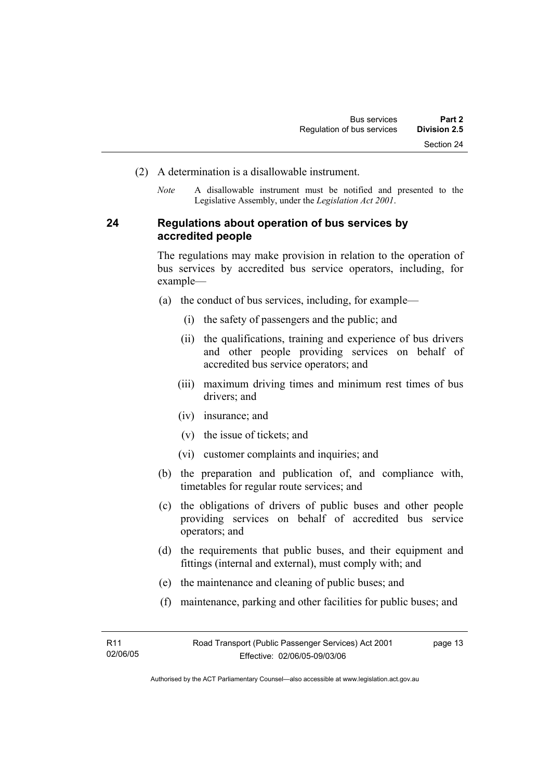- (2) A determination is a disallowable instrument.
	- *Note* A disallowable instrument must be notified and presented to the Legislative Assembly, under the *Legislation Act 2001*.

#### **24 Regulations about operation of bus services by accredited people**

The regulations may make provision in relation to the operation of bus services by accredited bus service operators, including, for example—

- (a) the conduct of bus services, including, for example—
	- (i) the safety of passengers and the public; and
	- (ii) the qualifications, training and experience of bus drivers and other people providing services on behalf of accredited bus service operators; and
	- (iii) maximum driving times and minimum rest times of bus drivers; and
	- (iv) insurance; and
	- (v) the issue of tickets; and
	- (vi) customer complaints and inquiries; and
- (b) the preparation and publication of, and compliance with, timetables for regular route services; and
- (c) the obligations of drivers of public buses and other people providing services on behalf of accredited bus service operators; and
- (d) the requirements that public buses, and their equipment and fittings (internal and external), must comply with; and
- (e) the maintenance and cleaning of public buses; and
- (f) maintenance, parking and other facilities for public buses; and

page 13

Authorised by the ACT Parliamentary Counsel—also accessible at www.legislation.act.gov.au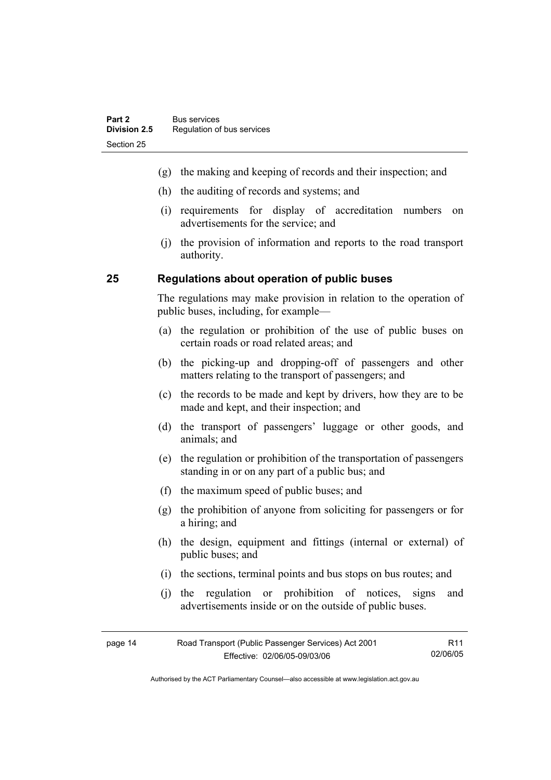- (g) the making and keeping of records and their inspection; and
- (h) the auditing of records and systems; and
- (i) requirements for display of accreditation numbers on advertisements for the service; and
- (j) the provision of information and reports to the road transport authority.

#### **25 Regulations about operation of public buses**

The regulations may make provision in relation to the operation of public buses, including, for example—

- (a) the regulation or prohibition of the use of public buses on certain roads or road related areas; and
- (b) the picking-up and dropping-off of passengers and other matters relating to the transport of passengers; and
- (c) the records to be made and kept by drivers, how they are to be made and kept, and their inspection; and
- (d) the transport of passengers' luggage or other goods, and animals; and
- (e) the regulation or prohibition of the transportation of passengers standing in or on any part of a public bus; and
- (f) the maximum speed of public buses; and
- (g) the prohibition of anyone from soliciting for passengers or for a hiring; and
- (h) the design, equipment and fittings (internal or external) of public buses; and
- (i) the sections, terminal points and bus stops on bus routes; and
- (j) the regulation or prohibition of notices, signs and advertisements inside or on the outside of public buses.

| page 14 | Road Transport (Public Passenger Services) Act 2001 | R <sub>11</sub> |
|---------|-----------------------------------------------------|-----------------|
|         | Effective: 02/06/05-09/03/06                        | 02/06/05        |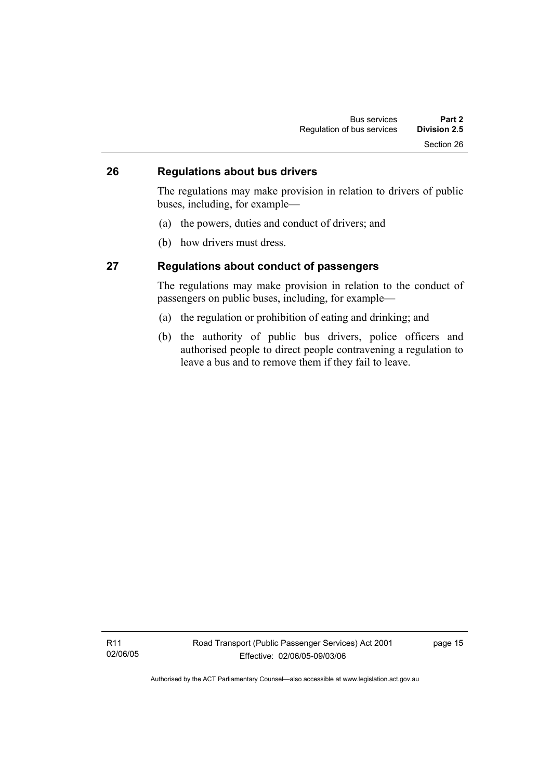#### **26 Regulations about bus drivers**

The regulations may make provision in relation to drivers of public buses, including, for example—

- (a) the powers, duties and conduct of drivers; and
- (b) how drivers must dress.

#### **27 Regulations about conduct of passengers**

The regulations may make provision in relation to the conduct of passengers on public buses, including, for example—

- (a) the regulation or prohibition of eating and drinking; and
- (b) the authority of public bus drivers, police officers and authorised people to direct people contravening a regulation to leave a bus and to remove them if they fail to leave.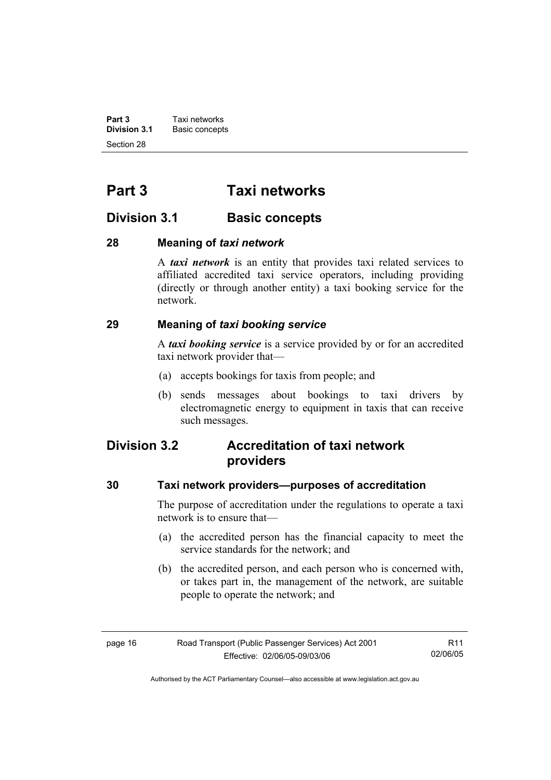**Part 3 Taxi networks**<br>**Division 3.1 Basic concept Basic concepts** Section 28

## **Part 3 Taxi networks**

### **Division 3.1** Basic concepts

#### **28 Meaning of** *taxi network*

A *taxi network* is an entity that provides taxi related services to affiliated accredited taxi service operators, including providing (directly or through another entity) a taxi booking service for the network.

### **29 Meaning of** *taxi booking service*

A *taxi booking service* is a service provided by or for an accredited taxi network provider that—

- (a) accepts bookings for taxis from people; and
- (b) sends messages about bookings to taxi drivers by electromagnetic energy to equipment in taxis that can receive such messages.

### **Division 3.2 Accreditation of taxi network providers**

#### **30 Taxi network providers—purposes of accreditation**

The purpose of accreditation under the regulations to operate a taxi network is to ensure that—

- (a) the accredited person has the financial capacity to meet the service standards for the network; and
- (b) the accredited person, and each person who is concerned with, or takes part in, the management of the network, are suitable people to operate the network; and

| page 16 | Road Transport (Public Passenger Services) Act 2001 | R11      |
|---------|-----------------------------------------------------|----------|
|         | Effective: 02/06/05-09/03/06                        | 02/06/05 |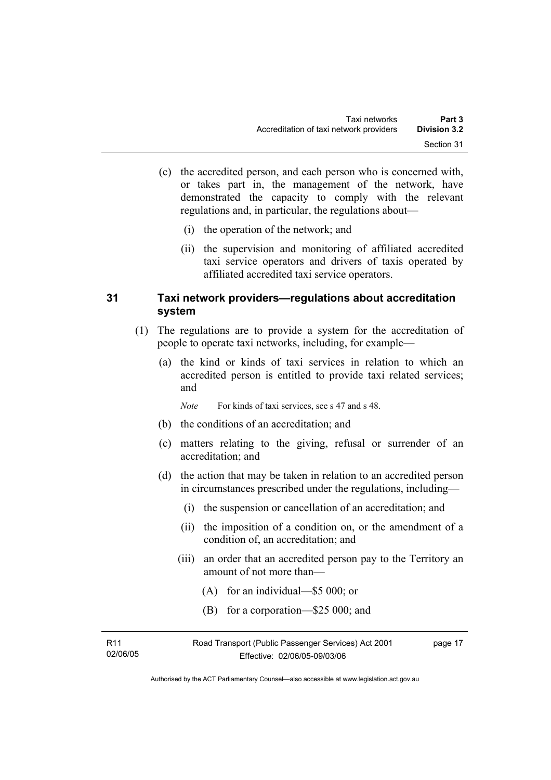- (c) the accredited person, and each person who is concerned with, or takes part in, the management of the network, have demonstrated the capacity to comply with the relevant regulations and, in particular, the regulations about—
	- (i) the operation of the network; and
	- (ii) the supervision and monitoring of affiliated accredited taxi service operators and drivers of taxis operated by affiliated accredited taxi service operators.

#### **31 Taxi network providers—regulations about accreditation system**

- (1) The regulations are to provide a system for the accreditation of people to operate taxi networks, including, for example—
	- (a) the kind or kinds of taxi services in relation to which an accredited person is entitled to provide taxi related services; and
		- *Note* For kinds of taxi services, see s 47 and s 48.
	- (b) the conditions of an accreditation; and
	- (c) matters relating to the giving, refusal or surrender of an accreditation; and
	- (d) the action that may be taken in relation to an accredited person in circumstances prescribed under the regulations, including—
		- (i) the suspension or cancellation of an accreditation; and
		- (ii) the imposition of a condition on, or the amendment of a condition of, an accreditation; and
		- (iii) an order that an accredited person pay to the Territory an amount of not more than—
			- (A) for an individual—\$5 000; or
			- (B) for a corporation—\$25 000; and

| R11      | Road Transport (Public Passenger Services) Act 2001 | page 17 |
|----------|-----------------------------------------------------|---------|
| 02/06/05 | Effective: 02/06/05-09/03/06                        |         |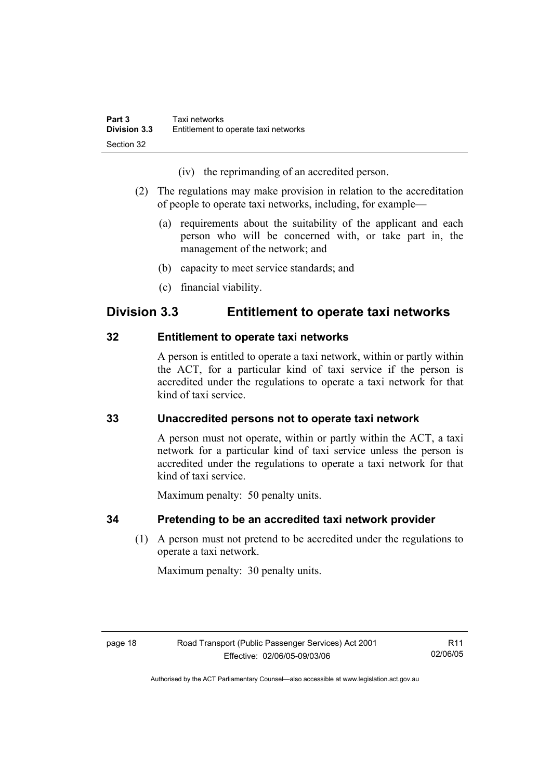(iv) the reprimanding of an accredited person.

- (2) The regulations may make provision in relation to the accreditation of people to operate taxi networks, including, for example—
	- (a) requirements about the suitability of the applicant and each person who will be concerned with, or take part in, the management of the network; and
	- (b) capacity to meet service standards; and
	- (c) financial viability.

### **Division 3.3 Entitlement to operate taxi networks**

#### **32 Entitlement to operate taxi networks**

A person is entitled to operate a taxi network, within or partly within the ACT, for a particular kind of taxi service if the person is accredited under the regulations to operate a taxi network for that kind of taxi service.

### **33 Unaccredited persons not to operate taxi network**

A person must not operate, within or partly within the ACT, a taxi network for a particular kind of taxi service unless the person is accredited under the regulations to operate a taxi network for that kind of taxi service.

Maximum penalty: 50 penalty units.

### **34 Pretending to be an accredited taxi network provider**

 (1) A person must not pretend to be accredited under the regulations to operate a taxi network.

Maximum penalty: 30 penalty units.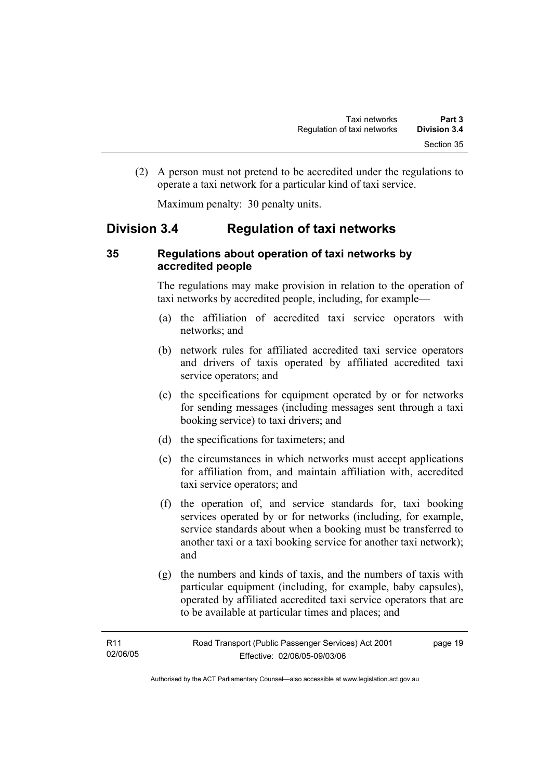(2) A person must not pretend to be accredited under the regulations to operate a taxi network for a particular kind of taxi service.

Maximum penalty: 30 penalty units.

### **Division 3.4 Regulation of taxi networks**

#### **35 Regulations about operation of taxi networks by accredited people**

The regulations may make provision in relation to the operation of taxi networks by accredited people, including, for example—

- (a) the affiliation of accredited taxi service operators with networks; and
- (b) network rules for affiliated accredited taxi service operators and drivers of taxis operated by affiliated accredited taxi service operators; and
- (c) the specifications for equipment operated by or for networks for sending messages (including messages sent through a taxi booking service) to taxi drivers; and
- (d) the specifications for taximeters; and
- (e) the circumstances in which networks must accept applications for affiliation from, and maintain affiliation with, accredited taxi service operators; and
- (f) the operation of, and service standards for, taxi booking services operated by or for networks (including, for example, service standards about when a booking must be transferred to another taxi or a taxi booking service for another taxi network); and
- (g) the numbers and kinds of taxis, and the numbers of taxis with particular equipment (including, for example, baby capsules), operated by affiliated accredited taxi service operators that are to be available at particular times and places; and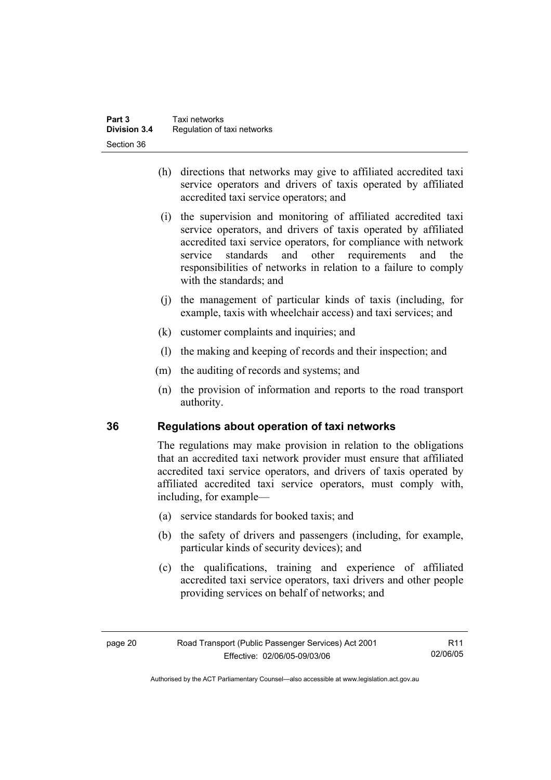- (h) directions that networks may give to affiliated accredited taxi service operators and drivers of taxis operated by affiliated accredited taxi service operators; and
- (i) the supervision and monitoring of affiliated accredited taxi service operators, and drivers of taxis operated by affiliated accredited taxi service operators, for compliance with network service standards and other requirements and the responsibilities of networks in relation to a failure to comply with the standards; and
- (j) the management of particular kinds of taxis (including, for example, taxis with wheelchair access) and taxi services; and
- (k) customer complaints and inquiries; and
- (l) the making and keeping of records and their inspection; and
- (m) the auditing of records and systems; and
- (n) the provision of information and reports to the road transport authority.

#### **36 Regulations about operation of taxi networks**

The regulations may make provision in relation to the obligations that an accredited taxi network provider must ensure that affiliated accredited taxi service operators, and drivers of taxis operated by affiliated accredited taxi service operators, must comply with, including, for example—

- (a) service standards for booked taxis; and
- (b) the safety of drivers and passengers (including, for example, particular kinds of security devices); and
- (c) the qualifications, training and experience of affiliated accredited taxi service operators, taxi drivers and other people providing services on behalf of networks; and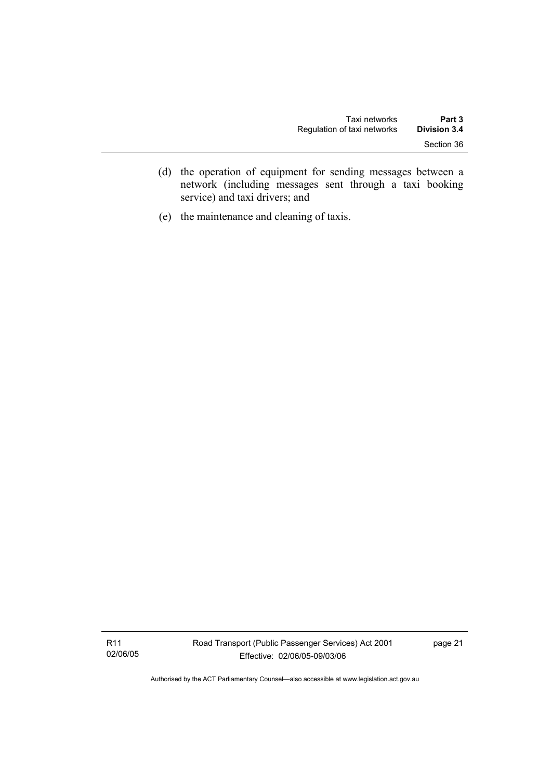- (d) the operation of equipment for sending messages between a network (including messages sent through a taxi booking service) and taxi drivers; and
- (e) the maintenance and cleaning of taxis.

R11 02/06/05 Road Transport (Public Passenger Services) Act 2001 Effective: 02/06/05-09/03/06

page 21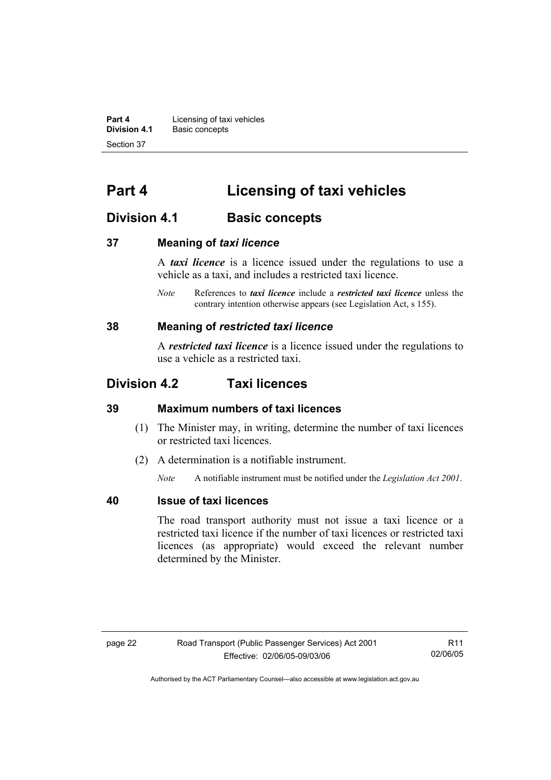**Part 4 Licensing of taxi vehicles**<br>**Division 4.1** Basic concepts **Division 4.1** Basic concepts Section 37

### **Part 4 Licensing of taxi vehicles**

### **Division 4.1 Basic concepts**

#### **37 Meaning of** *taxi licence*

A *taxi licence* is a licence issued under the regulations to use a vehicle as a taxi, and includes a restricted taxi licence.

*Note* References to *taxi licence* include a *restricted taxi licence* unless the contrary intention otherwise appears (see Legislation Act, s 155).

#### **38 Meaning of** *restricted taxi licence*

A *restricted taxi licence* is a licence issued under the regulations to use a vehicle as a restricted taxi.

### **Division 4.2 Taxi licences**

#### **39 Maximum numbers of taxi licences**

- (1) The Minister may, in writing, determine the number of taxi licences or restricted taxi licences.
- (2) A determination is a notifiable instrument.

*Note* A notifiable instrument must be notified under the *Legislation Act 2001*.

#### **40 Issue of taxi licences**

The road transport authority must not issue a taxi licence or a restricted taxi licence if the number of taxi licences or restricted taxi licences (as appropriate) would exceed the relevant number determined by the Minister.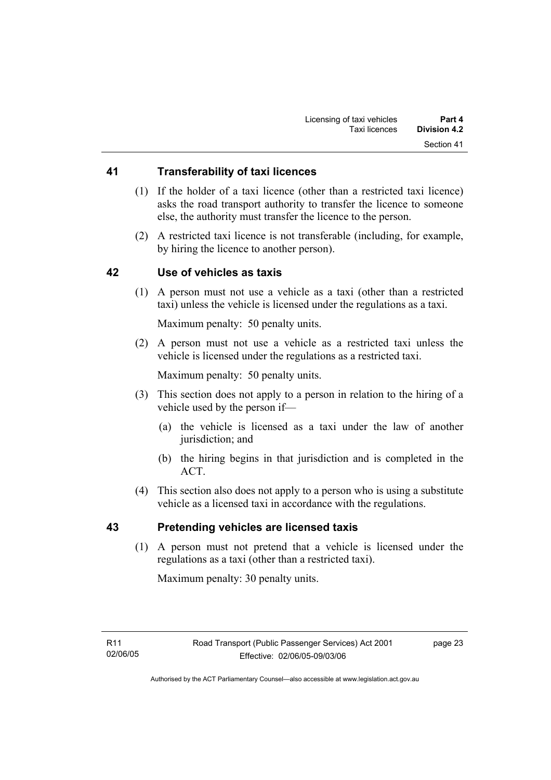#### **41 Transferability of taxi licences**

- (1) If the holder of a taxi licence (other than a restricted taxi licence) asks the road transport authority to transfer the licence to someone else, the authority must transfer the licence to the person.
- (2) A restricted taxi licence is not transferable (including, for example, by hiring the licence to another person).

#### **42 Use of vehicles as taxis**

 (1) A person must not use a vehicle as a taxi (other than a restricted taxi) unless the vehicle is licensed under the regulations as a taxi.

Maximum penalty: 50 penalty units.

 (2) A person must not use a vehicle as a restricted taxi unless the vehicle is licensed under the regulations as a restricted taxi.

Maximum penalty: 50 penalty units.

- (3) This section does not apply to a person in relation to the hiring of a vehicle used by the person if—
	- (a) the vehicle is licensed as a taxi under the law of another jurisdiction; and
	- (b) the hiring begins in that jurisdiction and is completed in the ACT.
- (4) This section also does not apply to a person who is using a substitute vehicle as a licensed taxi in accordance with the regulations.

#### **43 Pretending vehicles are licensed taxis**

 (1) A person must not pretend that a vehicle is licensed under the regulations as a taxi (other than a restricted taxi).

Maximum penalty: 30 penalty units.

page 23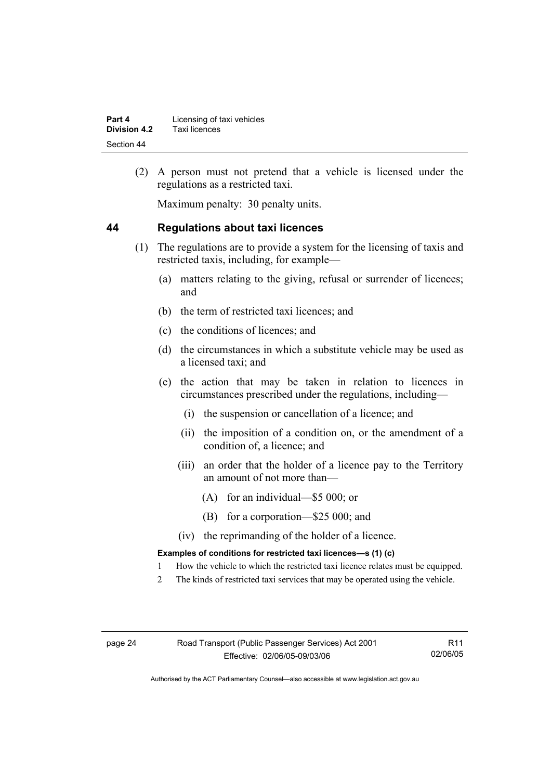| Part 4       | Licensing of taxi vehicles |
|--------------|----------------------------|
| Division 4.2 | Taxi licences              |
| Section 44   |                            |

 (2) A person must not pretend that a vehicle is licensed under the regulations as a restricted taxi.

Maximum penalty: 30 penalty units.

#### **44 Regulations about taxi licences**

- (1) The regulations are to provide a system for the licensing of taxis and restricted taxis, including, for example—
	- (a) matters relating to the giving, refusal or surrender of licences; and
	- (b) the term of restricted taxi licences; and
	- (c) the conditions of licences; and
	- (d) the circumstances in which a substitute vehicle may be used as a licensed taxi; and
	- (e) the action that may be taken in relation to licences in circumstances prescribed under the regulations, including—
		- (i) the suspension or cancellation of a licence; and
		- (ii) the imposition of a condition on, or the amendment of a condition of, a licence; and
		- (iii) an order that the holder of a licence pay to the Territory an amount of not more than—
			- (A) for an individual—\$5 000; or
			- (B) for a corporation—\$25 000; and
		- (iv) the reprimanding of the holder of a licence.

#### **Examples of conditions for restricted taxi licences—s (1) (c)**

- 1 How the vehicle to which the restricted taxi licence relates must be equipped.
- 2 The kinds of restricted taxi services that may be operated using the vehicle.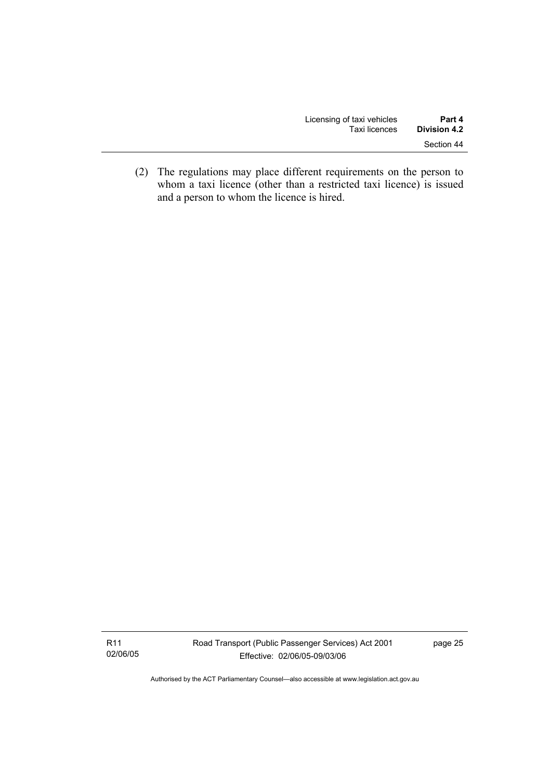| Licensing of taxi vehicles | Part 4              |
|----------------------------|---------------------|
| Taxi licences              | <b>Division 4.2</b> |
|                            | Section 44          |

 (2) The regulations may place different requirements on the person to whom a taxi licence (other than a restricted taxi licence) is issued and a person to whom the licence is hired.

R11 02/06/05 page 25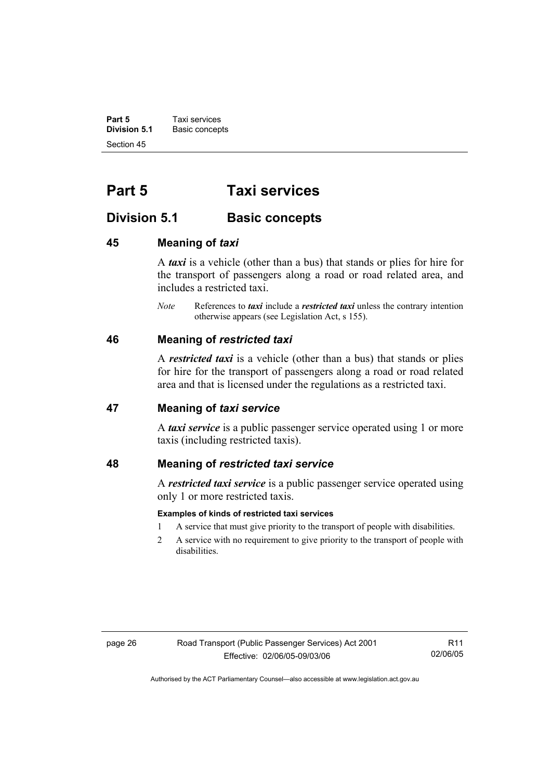**Part 5 Taxi services**<br>**Division 5.1 Basic concep Division 5.1** Basic concepts Section 45

### **Part 5 Taxi services**

### **Division 5.1** Basic concepts

#### **45 Meaning of** *taxi*

A *taxi* is a vehicle (other than a bus) that stands or plies for hire for the transport of passengers along a road or road related area, and includes a restricted taxi.

*Note* References to *taxi* include a *restricted taxi* unless the contrary intention otherwise appears (see Legislation Act, s 155).

#### **46 Meaning of** *restricted taxi*

A *restricted taxi* is a vehicle (other than a bus) that stands or plies for hire for the transport of passengers along a road or road related area and that is licensed under the regulations as a restricted taxi.

#### **47 Meaning of** *taxi service*

A *taxi service* is a public passenger service operated using 1 or more taxis (including restricted taxis).

#### **48 Meaning of** *restricted taxi service*

A *restricted taxi service* is a public passenger service operated using only 1 or more restricted taxis.

#### **Examples of kinds of restricted taxi services**

- 1 A service that must give priority to the transport of people with disabilities.
- 2 A service with no requirement to give priority to the transport of people with disabilities.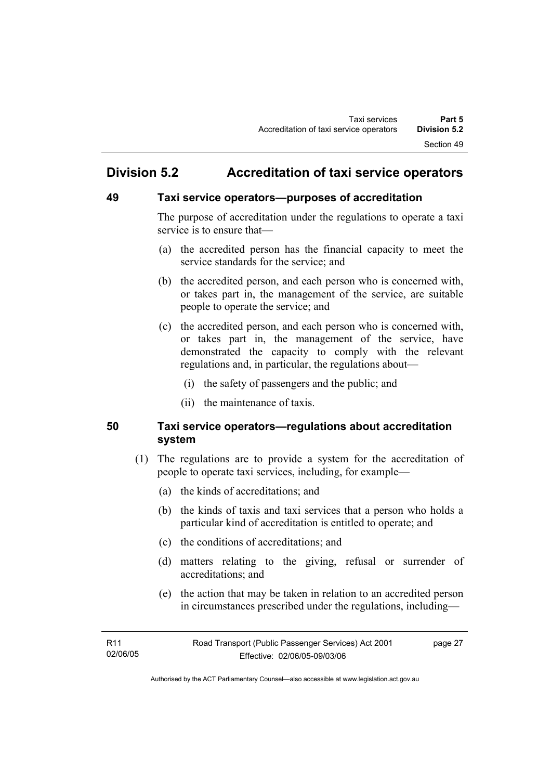### **Division 5.2 Accreditation of taxi service operators**

#### **49 Taxi service operators—purposes of accreditation**

The purpose of accreditation under the regulations to operate a taxi service is to ensure that—

- (a) the accredited person has the financial capacity to meet the service standards for the service; and
- (b) the accredited person, and each person who is concerned with, or takes part in, the management of the service, are suitable people to operate the service; and
- (c) the accredited person, and each person who is concerned with, or takes part in, the management of the service, have demonstrated the capacity to comply with the relevant regulations and, in particular, the regulations about—
	- (i) the safety of passengers and the public; and
	- (ii) the maintenance of taxis.

#### **50 Taxi service operators—regulations about accreditation system**

- (1) The regulations are to provide a system for the accreditation of people to operate taxi services, including, for example—
	- (a) the kinds of accreditations; and
	- (b) the kinds of taxis and taxi services that a person who holds a particular kind of accreditation is entitled to operate; and
	- (c) the conditions of accreditations; and
	- (d) matters relating to the giving, refusal or surrender of accreditations; and
	- (e) the action that may be taken in relation to an accredited person in circumstances prescribed under the regulations, including—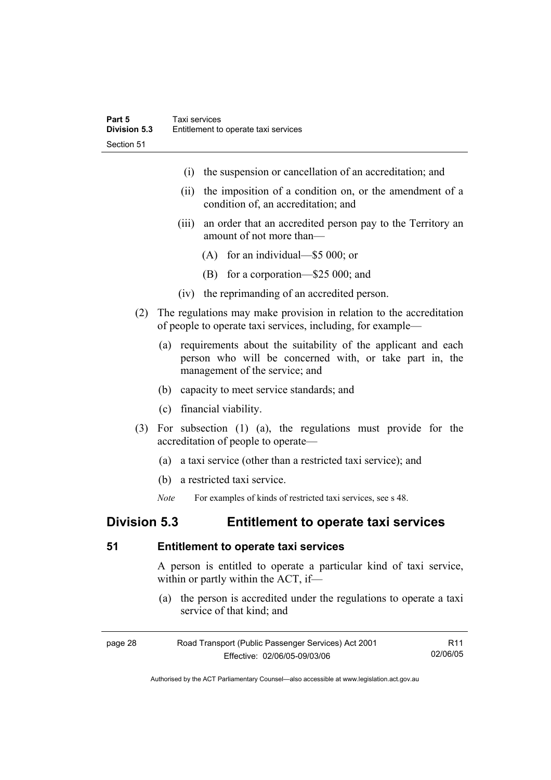- (i) the suspension or cancellation of an accreditation; and
- (ii) the imposition of a condition on, or the amendment of a condition of, an accreditation; and
- (iii) an order that an accredited person pay to the Territory an amount of not more than—
	- (A) for an individual—\$5 000; or
	- (B) for a corporation—\$25 000; and
- (iv) the reprimanding of an accredited person.
- (2) The regulations may make provision in relation to the accreditation of people to operate taxi services, including, for example—
	- (a) requirements about the suitability of the applicant and each person who will be concerned with, or take part in, the management of the service; and
	- (b) capacity to meet service standards; and
	- (c) financial viability.
- (3) For subsection (1) (a), the regulations must provide for the accreditation of people to operate—
	- (a) a taxi service (other than a restricted taxi service); and
	- (b) a restricted taxi service.
	- *Note* For examples of kinds of restricted taxi services, see s 48.

### **Division 5.3 Entitlement to operate taxi services**

#### **51 Entitlement to operate taxi services**

A person is entitled to operate a particular kind of taxi service, within or partly within the ACT, if—

 (a) the person is accredited under the regulations to operate a taxi service of that kind; and

| page 28 | Road Transport (Public Passenger Services) Act 2001 | R11      |
|---------|-----------------------------------------------------|----------|
|         | Effective: 02/06/05-09/03/06                        | 02/06/05 |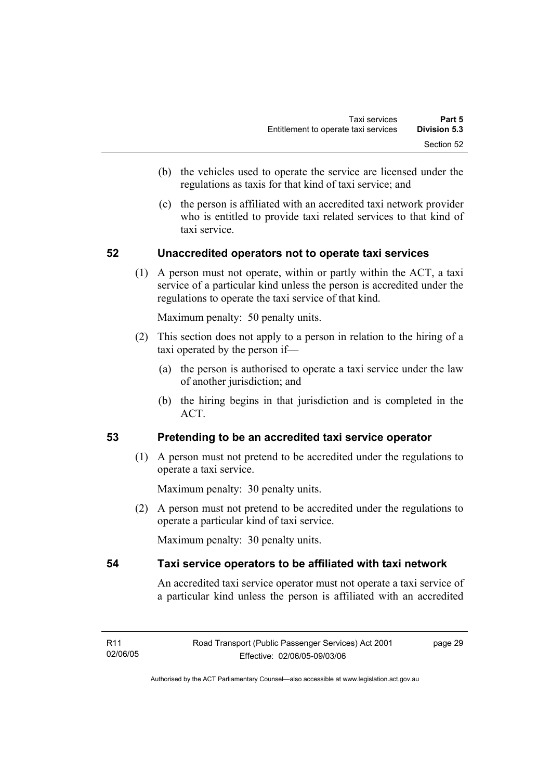- (b) the vehicles used to operate the service are licensed under the regulations as taxis for that kind of taxi service; and
- (c) the person is affiliated with an accredited taxi network provider who is entitled to provide taxi related services to that kind of taxi service.

# **52 Unaccredited operators not to operate taxi services**

 (1) A person must not operate, within or partly within the ACT, a taxi service of a particular kind unless the person is accredited under the regulations to operate the taxi service of that kind.

Maximum penalty: 50 penalty units.

- (2) This section does not apply to a person in relation to the hiring of a taxi operated by the person if—
	- (a) the person is authorised to operate a taxi service under the law of another jurisdiction; and
	- (b) the hiring begins in that jurisdiction and is completed in the ACT.

# **53 Pretending to be an accredited taxi service operator**

 (1) A person must not pretend to be accredited under the regulations to operate a taxi service.

Maximum penalty: 30 penalty units.

 (2) A person must not pretend to be accredited under the regulations to operate a particular kind of taxi service.

Maximum penalty: 30 penalty units.

# **54 Taxi service operators to be affiliated with taxi network**

An accredited taxi service operator must not operate a taxi service of a particular kind unless the person is affiliated with an accredited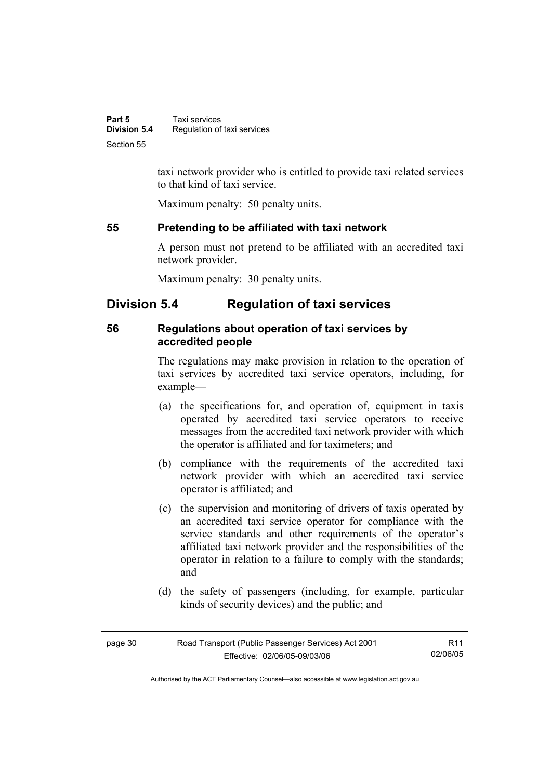| Part 5              | Taxi services               |
|---------------------|-----------------------------|
| <b>Division 5.4</b> | Regulation of taxi services |
| Section 55          |                             |

taxi network provider who is entitled to provide taxi related services to that kind of taxi service.

Maximum penalty: 50 penalty units.

#### **55 Pretending to be affiliated with taxi network**

A person must not pretend to be affiliated with an accredited taxi network provider.

Maximum penalty: 30 penalty units.

# **Division 5.4 Regulation of taxi services**

# **56 Regulations about operation of taxi services by accredited people**

The regulations may make provision in relation to the operation of taxi services by accredited taxi service operators, including, for example—

- (a) the specifications for, and operation of, equipment in taxis operated by accredited taxi service operators to receive messages from the accredited taxi network provider with which the operator is affiliated and for taximeters; and
- (b) compliance with the requirements of the accredited taxi network provider with which an accredited taxi service operator is affiliated; and
- (c) the supervision and monitoring of drivers of taxis operated by an accredited taxi service operator for compliance with the service standards and other requirements of the operator's affiliated taxi network provider and the responsibilities of the operator in relation to a failure to comply with the standards; and
- (d) the safety of passengers (including, for example, particular kinds of security devices) and the public; and

| page 30 | Road Transport (Public Passenger Services) Act 2001 | R <sub>11</sub> |
|---------|-----------------------------------------------------|-----------------|
|         | Effective: 02/06/05-09/03/06                        | 02/06/05        |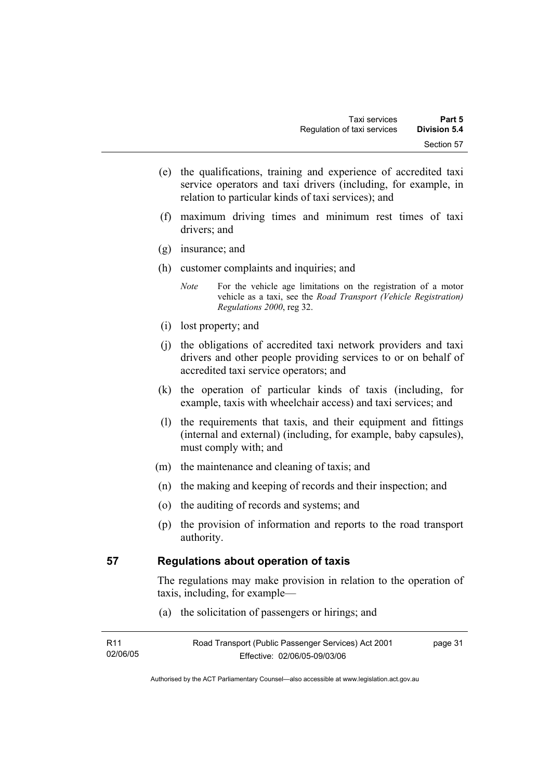- (e) the qualifications, training and experience of accredited taxi service operators and taxi drivers (including, for example, in relation to particular kinds of taxi services); and
- (f) maximum driving times and minimum rest times of taxi drivers; and
- (g) insurance; and
- (h) customer complaints and inquiries; and
	- *Note* For the vehicle age limitations on the registration of a motor vehicle as a taxi, see the *Road Transport (Vehicle Registration) Regulations 2000*, reg 32.
- (i) lost property; and
- (j) the obligations of accredited taxi network providers and taxi drivers and other people providing services to or on behalf of accredited taxi service operators; and
- (k) the operation of particular kinds of taxis (including, for example, taxis with wheelchair access) and taxi services; and
- (l) the requirements that taxis, and their equipment and fittings (internal and external) (including, for example, baby capsules), must comply with; and
- (m) the maintenance and cleaning of taxis; and
- (n) the making and keeping of records and their inspection; and
- (o) the auditing of records and systems; and
- (p) the provision of information and reports to the road transport authority.

#### **57 Regulations about operation of taxis**

The regulations may make provision in relation to the operation of taxis, including, for example—

(a) the solicitation of passengers or hirings; and

| R11      | Road Transport (Public Passenger Services) Act 2001 | page 31 |
|----------|-----------------------------------------------------|---------|
| 02/06/05 | Effective: 02/06/05-09/03/06                        |         |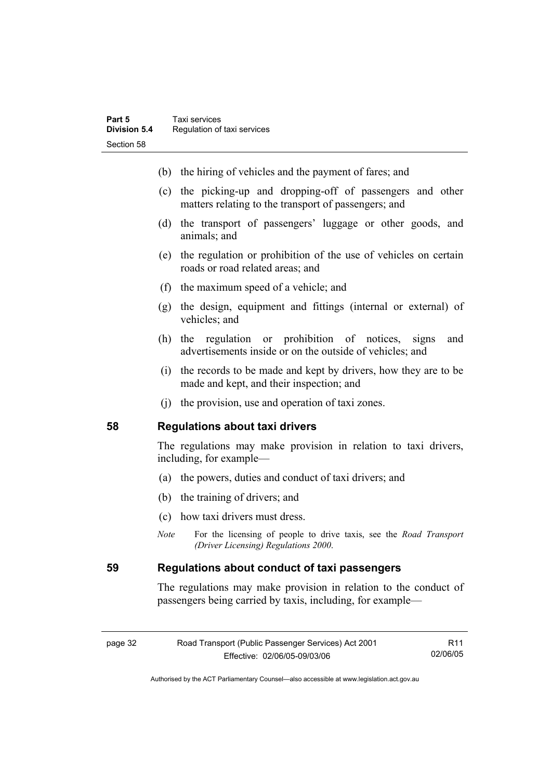- (b) the hiring of vehicles and the payment of fares; and
- (c) the picking-up and dropping-off of passengers and other matters relating to the transport of passengers; and
- (d) the transport of passengers' luggage or other goods, and animals; and
- (e) the regulation or prohibition of the use of vehicles on certain roads or road related areas; and
- (f) the maximum speed of a vehicle; and
- (g) the design, equipment and fittings (internal or external) of vehicles; and
- (h) the regulation or prohibition of notices, signs and advertisements inside or on the outside of vehicles; and
- (i) the records to be made and kept by drivers, how they are to be made and kept, and their inspection; and
- (j) the provision, use and operation of taxi zones.

#### **58 Regulations about taxi drivers**

The regulations may make provision in relation to taxi drivers, including, for example—

- (a) the powers, duties and conduct of taxi drivers; and
- (b) the training of drivers; and
- (c) how taxi drivers must dress.
- *Note* For the licensing of people to drive taxis, see the *Road Transport (Driver Licensing) Regulations 2000*.

### **59 Regulations about conduct of taxi passengers**

The regulations may make provision in relation to the conduct of passengers being carried by taxis, including, for example—

| page 32 | Road Transport (Public Passenger Services) Act 2001 | R11      |
|---------|-----------------------------------------------------|----------|
|         | Effective: 02/06/05-09/03/06                        | 02/06/05 |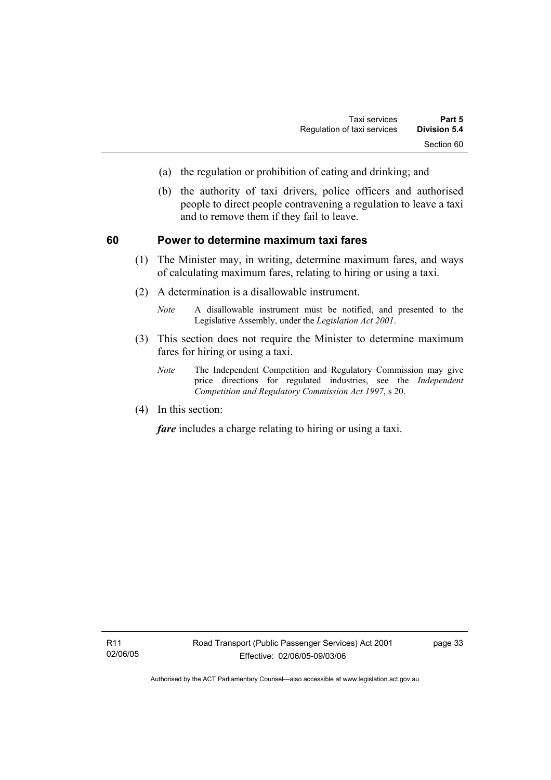- (a) the regulation or prohibition of eating and drinking; and
- (b) the authority of taxi drivers, police officers and authorised people to direct people contravening a regulation to leave a taxi and to remove them if they fail to leave.

## **60 Power to determine maximum taxi fares**

- (1) The Minister may, in writing, determine maximum fares, and ways of calculating maximum fares, relating to hiring or using a taxi.
- (2) A determination is a disallowable instrument.
	- *Note* A disallowable instrument must be notified, and presented to the Legislative Assembly, under the *Legislation Act 2001*.
- (3) This section does not require the Minister to determine maximum fares for hiring or using a taxi.
	- *Note* The Independent Competition and Regulatory Commission may give price directions for regulated industries, see the *Independent Competition and Regulatory Commission Act 1997*, s 20.
- (4) In this section:

*fare* includes a charge relating to hiring or using a taxi.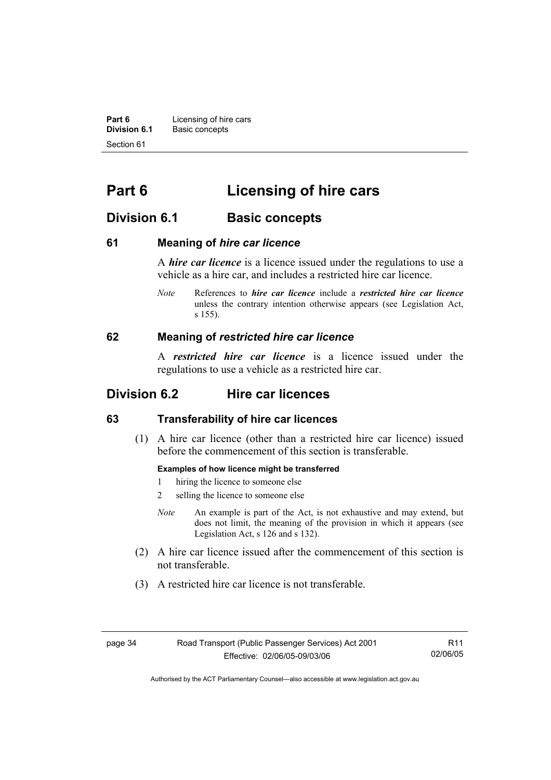**Part 6 Licensing of hire cars**<br>**Division 6.1 Basic concepts Division 6.1** Basic concepts Section 61

# **Part 6 Licensing of hire cars**

# **Division 6.1** Basic concepts

#### **61 Meaning of** *hire car licence*

A *hire car licence* is a licence issued under the regulations to use a vehicle as a hire car, and includes a restricted hire car licence.

*Note* References to *hire car licence* include a *restricted hire car licence* unless the contrary intention otherwise appears (see Legislation Act, s 155).

#### **62 Meaning of** *restricted hire car licence*

A *restricted hire car licence* is a licence issued under the regulations to use a vehicle as a restricted hire car.

# **Division 6.2 Hire car licences**

#### **63 Transferability of hire car licences**

 (1) A hire car licence (other than a restricted hire car licence) issued before the commencement of this section is transferable.

#### **Examples of how licence might be transferred**

- 1 hiring the licence to someone else
- 2 selling the licence to someone else
- *Note* An example is part of the Act, is not exhaustive and may extend, but does not limit, the meaning of the provision in which it appears (see Legislation Act, s 126 and s 132).
- (2) A hire car licence issued after the commencement of this section is not transferable.
- (3) A restricted hire car licence is not transferable.

page 34 Road Transport (Public Passenger Services) Act 2001 Effective: 02/06/05-09/03/06

R11 02/06/05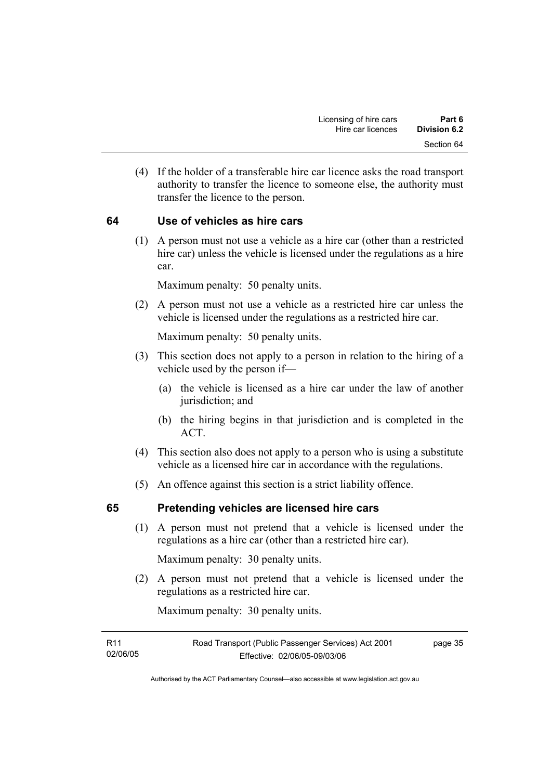(4) If the holder of a transferable hire car licence asks the road transport authority to transfer the licence to someone else, the authority must transfer the licence to the person.

# **64 Use of vehicles as hire cars**

 (1) A person must not use a vehicle as a hire car (other than a restricted hire car) unless the vehicle is licensed under the regulations as a hire car.

Maximum penalty: 50 penalty units.

 (2) A person must not use a vehicle as a restricted hire car unless the vehicle is licensed under the regulations as a restricted hire car.

Maximum penalty: 50 penalty units.

- (3) This section does not apply to a person in relation to the hiring of a vehicle used by the person if—
	- (a) the vehicle is licensed as a hire car under the law of another jurisdiction; and
	- (b) the hiring begins in that jurisdiction and is completed in the ACT.
- (4) This section also does not apply to a person who is using a substitute vehicle as a licensed hire car in accordance with the regulations.
- (5) An offence against this section is a strict liability offence.

#### **65 Pretending vehicles are licensed hire cars**

 (1) A person must not pretend that a vehicle is licensed under the regulations as a hire car (other than a restricted hire car).

Maximum penalty: 30 penalty units.

 (2) A person must not pretend that a vehicle is licensed under the regulations as a restricted hire car.

Maximum penalty: 30 penalty units.

| R11      | Road Transport (Public Passenger Services) Act 2001 | page 35 |
|----------|-----------------------------------------------------|---------|
| 02/06/05 | Effective: 02/06/05-09/03/06                        |         |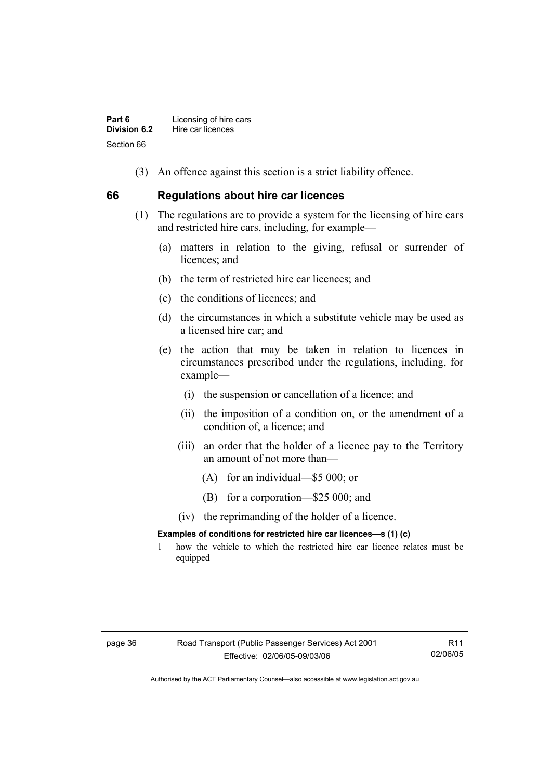(3) An offence against this section is a strict liability offence.

#### **66 Regulations about hire car licences**

- (1) The regulations are to provide a system for the licensing of hire cars and restricted hire cars, including, for example—
	- (a) matters in relation to the giving, refusal or surrender of licences: and
	- (b) the term of restricted hire car licences; and
	- (c) the conditions of licences; and
	- (d) the circumstances in which a substitute vehicle may be used as a licensed hire car; and
	- (e) the action that may be taken in relation to licences in circumstances prescribed under the regulations, including, for example—
		- (i) the suspension or cancellation of a licence; and
		- (ii) the imposition of a condition on, or the amendment of a condition of, a licence; and
		- (iii) an order that the holder of a licence pay to the Territory an amount of not more than—
			- (A) for an individual—\$5 000; or
			- (B) for a corporation—\$25 000; and
		- (iv) the reprimanding of the holder of a licence.

#### **Examples of conditions for restricted hire car licences—s (1) (c)**

1 how the vehicle to which the restricted hire car licence relates must be equipped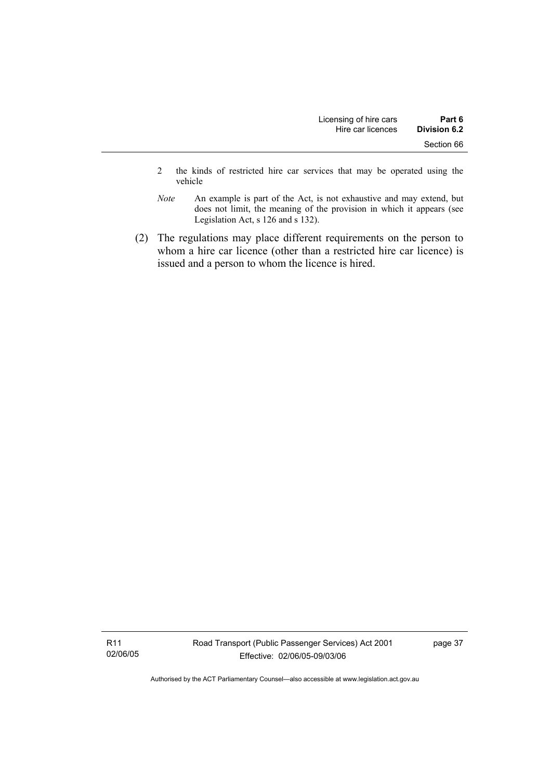- 2 the kinds of restricted hire car services that may be operated using the vehicle
- *Note* An example is part of the Act, is not exhaustive and may extend, but does not limit, the meaning of the provision in which it appears (see Legislation Act, s 126 and s 132).
- (2) The regulations may place different requirements on the person to whom a hire car licence (other than a restricted hire car licence) is issued and a person to whom the licence is hired.

R11 02/06/05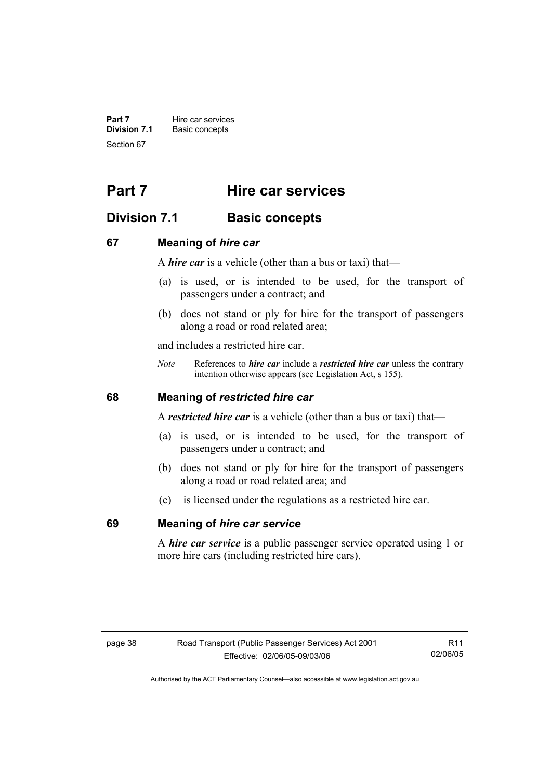**Part 7 Hire car services Division 7.1** Basic concepts Section 67

# **Part 7 Hire car services**

# **Division 7.1 Basic concepts**

#### **67 Meaning of** *hire car*

A *hire car* is a vehicle (other than a bus or taxi) that—

- (a) is used, or is intended to be used, for the transport of passengers under a contract; and
- (b) does not stand or ply for hire for the transport of passengers along a road or road related area;

and includes a restricted hire car.

*Note* References to *hire car* include a *restricted hire car* unless the contrary intention otherwise appears (see Legislation Act, s 155).

#### **68 Meaning of** *restricted hire car*

A *restricted hire car* is a vehicle (other than a bus or taxi) that—

- (a) is used, or is intended to be used, for the transport of passengers under a contract; and
- (b) does not stand or ply for hire for the transport of passengers along a road or road related area; and
- (c) is licensed under the regulations as a restricted hire car.

#### **69 Meaning of** *hire car service*

A *hire car service* is a public passenger service operated using 1 or more hire cars (including restricted hire cars).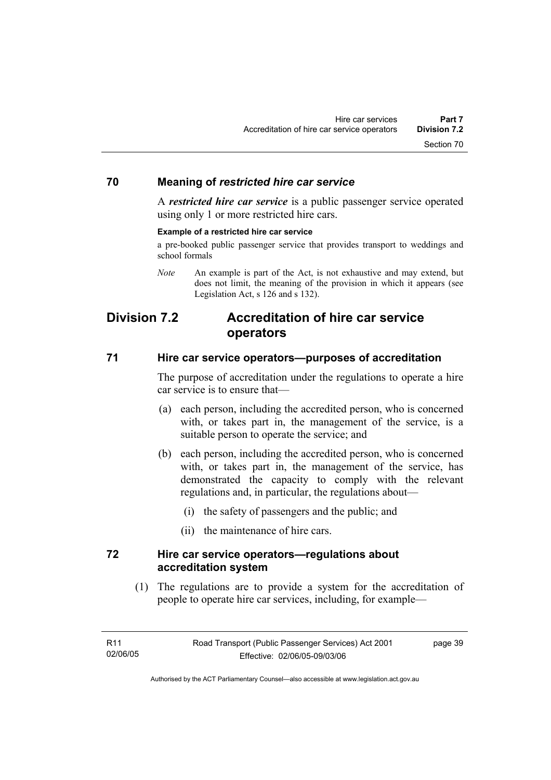#### **70 Meaning of** *restricted hire car service*

A *restricted hire car service* is a public passenger service operated using only 1 or more restricted hire cars.

#### **Example of a restricted hire car service**

a pre-booked public passenger service that provides transport to weddings and school formals

*Note* An example is part of the Act, is not exhaustive and may extend, but does not limit, the meaning of the provision in which it appears (see Legislation Act, s 126 and s 132).

# **Division 7.2 Accreditation of hire car service operators**

#### **71 Hire car service operators—purposes of accreditation**

The purpose of accreditation under the regulations to operate a hire car service is to ensure that—

- (a) each person, including the accredited person, who is concerned with, or takes part in, the management of the service, is a suitable person to operate the service; and
- (b) each person, including the accredited person, who is concerned with, or takes part in, the management of the service, has demonstrated the capacity to comply with the relevant regulations and, in particular, the regulations about—
	- (i) the safety of passengers and the public; and
	- (ii) the maintenance of hire cars.

#### **72 Hire car service operators—regulations about accreditation system**

 (1) The regulations are to provide a system for the accreditation of people to operate hire car services, including, for example—

page 39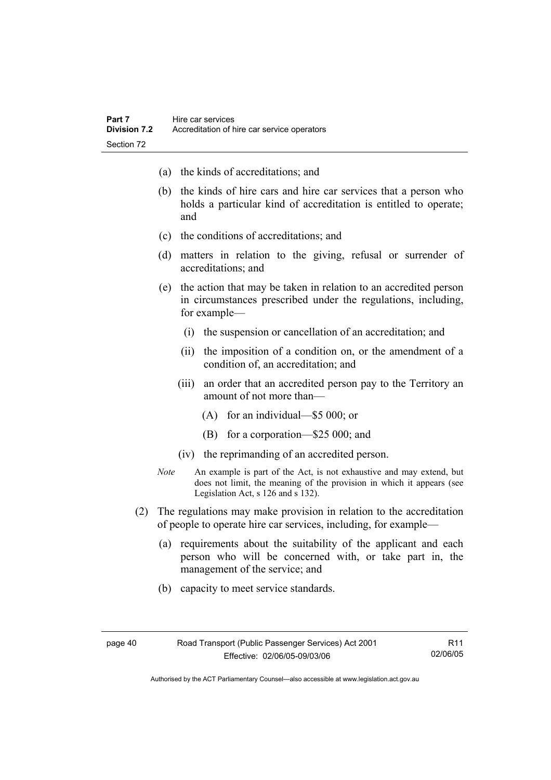- (a) the kinds of accreditations; and
- (b) the kinds of hire cars and hire car services that a person who holds a particular kind of accreditation is entitled to operate; and
- (c) the conditions of accreditations; and
- (d) matters in relation to the giving, refusal or surrender of accreditations; and
- (e) the action that may be taken in relation to an accredited person in circumstances prescribed under the regulations, including, for example—
	- (i) the suspension or cancellation of an accreditation; and
	- (ii) the imposition of a condition on, or the amendment of a condition of, an accreditation; and
	- (iii) an order that an accredited person pay to the Territory an amount of not more than—
		- (A) for an individual—\$5 000; or
		- (B) for a corporation—\$25 000; and
	- (iv) the reprimanding of an accredited person.
- *Note* An example is part of the Act, is not exhaustive and may extend, but does not limit, the meaning of the provision in which it appears (see Legislation Act, s 126 and s 132).
- (2) The regulations may make provision in relation to the accreditation of people to operate hire car services, including, for example—
	- (a) requirements about the suitability of the applicant and each person who will be concerned with, or take part in, the management of the service; and
	- (b) capacity to meet service standards.

R11 02/06/05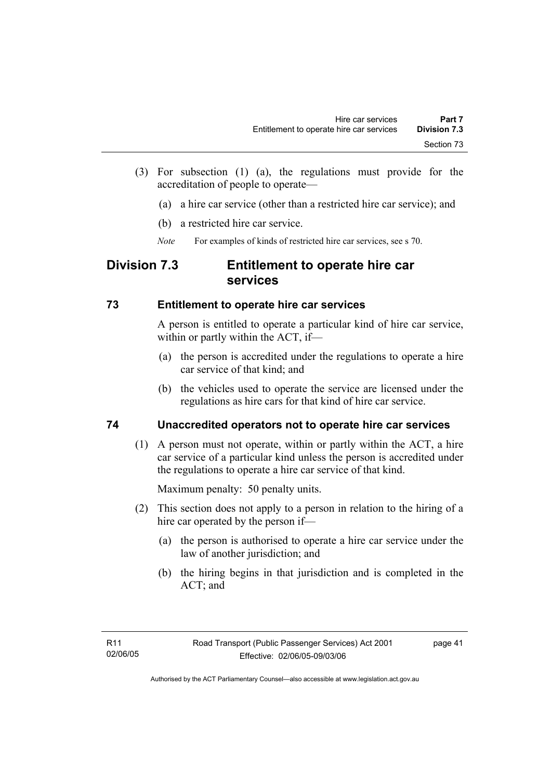- (3) For subsection (1) (a), the regulations must provide for the accreditation of people to operate—
	- (a) a hire car service (other than a restricted hire car service); and
	- (b) a restricted hire car service.
	- *Note* For examples of kinds of restricted hire car services, see s 70.

# **Division 7.3 Entitlement to operate hire car services**

# **73 Entitlement to operate hire car services**

A person is entitled to operate a particular kind of hire car service, within or partly within the ACT, if—

- (a) the person is accredited under the regulations to operate a hire car service of that kind; and
- (b) the vehicles used to operate the service are licensed under the regulations as hire cars for that kind of hire car service.

# **74 Unaccredited operators not to operate hire car services**

 (1) A person must not operate, within or partly within the ACT, a hire car service of a particular kind unless the person is accredited under the regulations to operate a hire car service of that kind.

Maximum penalty: 50 penalty units.

- (2) This section does not apply to a person in relation to the hiring of a hire car operated by the person if—
	- (a) the person is authorised to operate a hire car service under the law of another jurisdiction; and
	- (b) the hiring begins in that jurisdiction and is completed in the ACT; and

page 41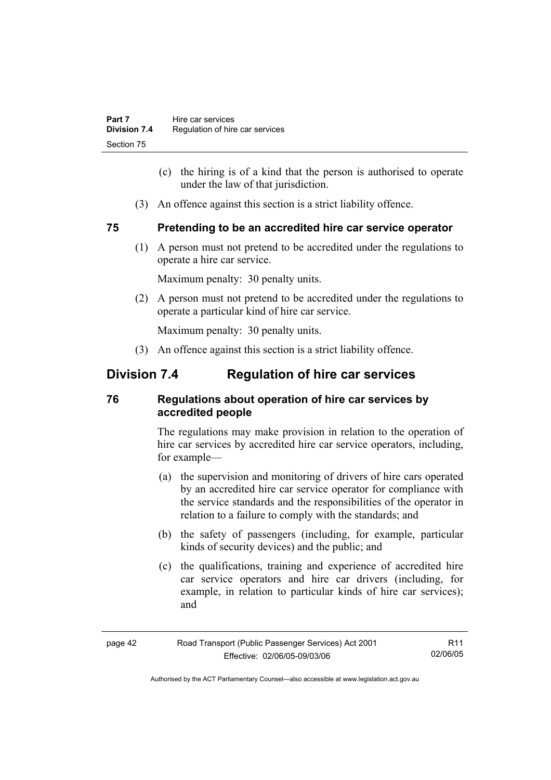- (c) the hiring is of a kind that the person is authorised to operate under the law of that jurisdiction.
- (3) An offence against this section is a strict liability offence.

#### **75 Pretending to be an accredited hire car service operator**

 (1) A person must not pretend to be accredited under the regulations to operate a hire car service.

Maximum penalty: 30 penalty units.

 (2) A person must not pretend to be accredited under the regulations to operate a particular kind of hire car service.

Maximum penalty: 30 penalty units.

(3) An offence against this section is a strict liability offence.

# **Division 7.4 Regulation of hire car services**

# **76 Regulations about operation of hire car services by accredited people**

The regulations may make provision in relation to the operation of hire car services by accredited hire car service operators, including, for example—

- (a) the supervision and monitoring of drivers of hire cars operated by an accredited hire car service operator for compliance with the service standards and the responsibilities of the operator in relation to a failure to comply with the standards; and
- (b) the safety of passengers (including, for example, particular kinds of security devices) and the public; and
- (c) the qualifications, training and experience of accredited hire car service operators and hire car drivers (including, for example, in relation to particular kinds of hire car services); and

| page 42 | Road Transport (Public Passenger Services) Act 2001 | R11      |
|---------|-----------------------------------------------------|----------|
|         | Effective: 02/06/05-09/03/06                        | 02/06/05 |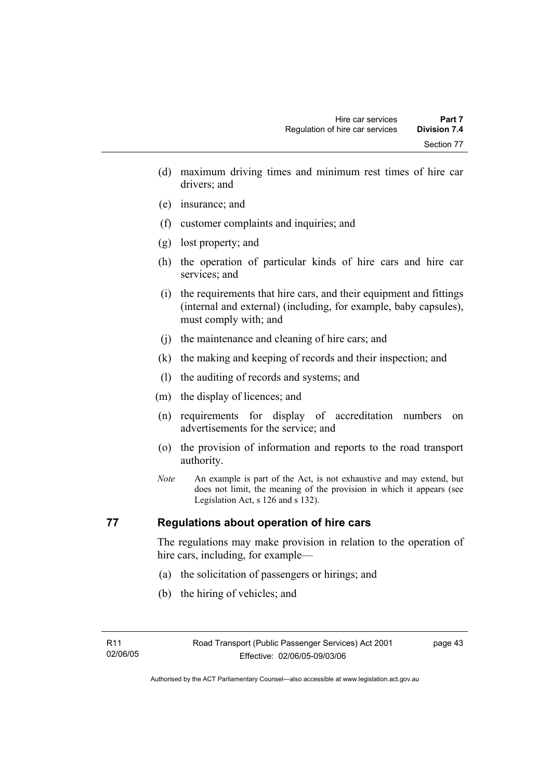- (d) maximum driving times and minimum rest times of hire car drivers; and
- (e) insurance; and
- (f) customer complaints and inquiries; and
- (g) lost property; and
- (h) the operation of particular kinds of hire cars and hire car services; and
- (i) the requirements that hire cars, and their equipment and fittings (internal and external) (including, for example, baby capsules), must comply with; and
- (j) the maintenance and cleaning of hire cars; and
- (k) the making and keeping of records and their inspection; and
- (l) the auditing of records and systems; and
- (m) the display of licences; and
- (n) requirements for display of accreditation numbers on advertisements for the service; and
- (o) the provision of information and reports to the road transport authority.
- *Note* An example is part of the Act, is not exhaustive and may extend, but does not limit, the meaning of the provision in which it appears (see Legislation Act, s 126 and s 132).

# **77 Regulations about operation of hire cars**

The regulations may make provision in relation to the operation of hire cars, including, for example—

- (a) the solicitation of passengers or hirings; and
- (b) the hiring of vehicles; and

page 43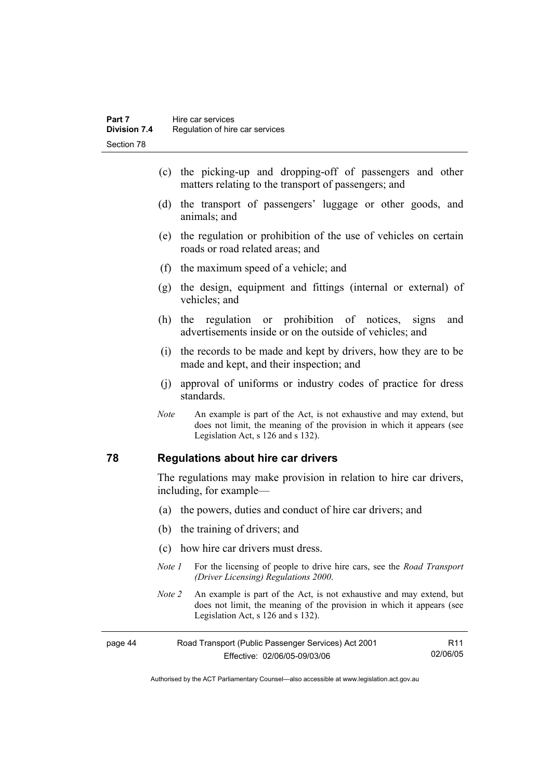- (c) the picking-up and dropping-off of passengers and other matters relating to the transport of passengers; and
- (d) the transport of passengers' luggage or other goods, and animals; and
- (e) the regulation or prohibition of the use of vehicles on certain roads or road related areas; and
- (f) the maximum speed of a vehicle; and
- (g) the design, equipment and fittings (internal or external) of vehicles; and
- (h) the regulation or prohibition of notices, signs and advertisements inside or on the outside of vehicles; and
- (i) the records to be made and kept by drivers, how they are to be made and kept, and their inspection; and
- (j) approval of uniforms or industry codes of practice for dress standards.
- *Note* An example is part of the Act, is not exhaustive and may extend, but does not limit, the meaning of the provision in which it appears (see Legislation Act, s 126 and s 132).

#### **78 Regulations about hire car drivers**

The regulations may make provision in relation to hire car drivers, including, for example—

- (a) the powers, duties and conduct of hire car drivers; and
- (b) the training of drivers; and
- (c) how hire car drivers must dress.
- *Note 1* For the licensing of people to drive hire cars, see the *Road Transport (Driver Licensing) Regulations 2000*.
- *Note 2* An example is part of the Act, is not exhaustive and may extend, but does not limit, the meaning of the provision in which it appears (see Legislation Act, s 126 and s 132).

| page 44 | Road Transport (Public Passenger Services) Act 2001 | R11      |
|---------|-----------------------------------------------------|----------|
|         | Effective: 02/06/05-09/03/06                        | 02/06/05 |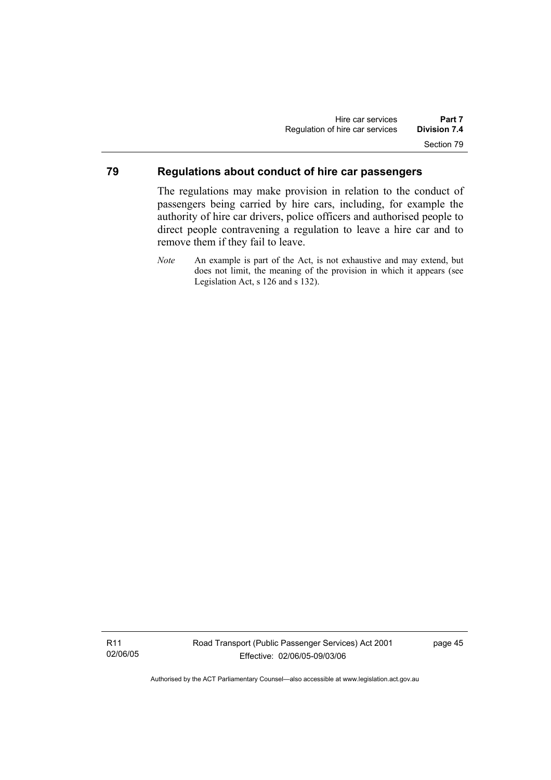#### **79 Regulations about conduct of hire car passengers**

The regulations may make provision in relation to the conduct of passengers being carried by hire cars, including, for example the authority of hire car drivers, police officers and authorised people to direct people contravening a regulation to leave a hire car and to remove them if they fail to leave.

R11 02/06/05 page 45

*Note* An example is part of the Act, is not exhaustive and may extend, but does not limit, the meaning of the provision in which it appears (see Legislation Act, s 126 and s 132).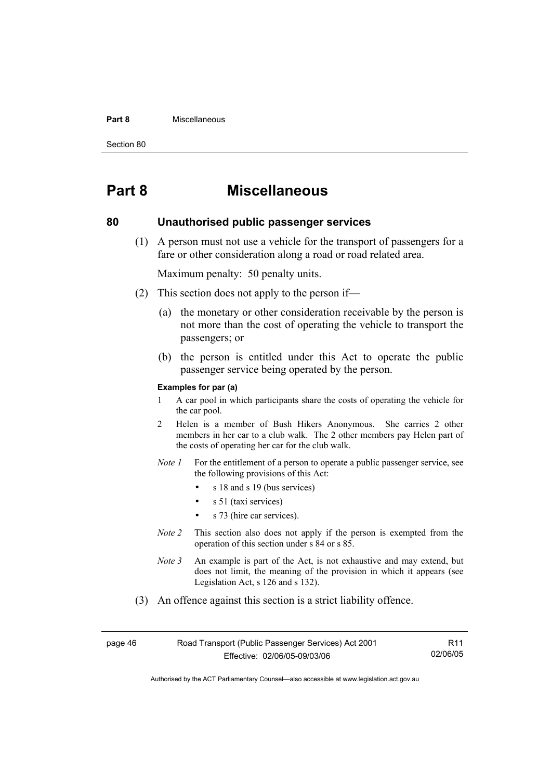#### **Part 8** Miscellaneous

Section 80

# **Part 8 Miscellaneous**

#### **80 Unauthorised public passenger services**

 (1) A person must not use a vehicle for the transport of passengers for a fare or other consideration along a road or road related area.

Maximum penalty: 50 penalty units.

- (2) This section does not apply to the person if—
	- (a) the monetary or other consideration receivable by the person is not more than the cost of operating the vehicle to transport the passengers; or
	- (b) the person is entitled under this Act to operate the public passenger service being operated by the person.

#### **Examples for par (a)**

- 1 A car pool in which participants share the costs of operating the vehicle for the car pool.
- 2 Helen is a member of Bush Hikers Anonymous. She carries 2 other members in her car to a club walk. The 2 other members pay Helen part of the costs of operating her car for the club walk.
- *Note 1* For the entitlement of a person to operate a public passenger service, see the following provisions of this Act:
	- s 18 and s 19 (bus services)
	- s 51 (taxi services)
	- s 73 (hire car services).
- *Note 2* This section also does not apply if the person is exempted from the operation of this section under s 84 or s 85.
- *Note 3* An example is part of the Act, is not exhaustive and may extend, but does not limit, the meaning of the provision in which it appears (see Legislation Act, s 126 and s 132).
- (3) An offence against this section is a strict liability offence.

| page 46 | Road Transport (Public Passenger Services) Act 2001 | R <sub>11</sub> |
|---------|-----------------------------------------------------|-----------------|
|         | Effective: 02/06/05-09/03/06                        | 02/06/05        |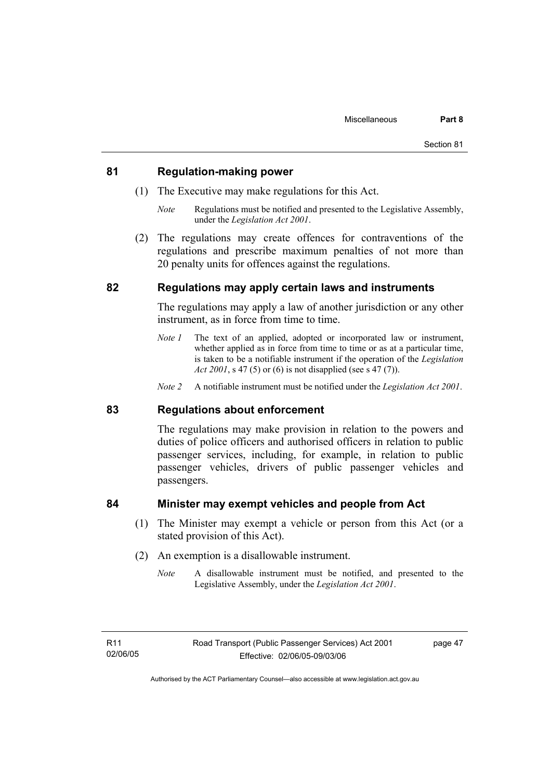#### **81 Regulation-making power**

- (1) The Executive may make regulations for this Act.
	- *Note* Regulations must be notified and presented to the Legislative Assembly, under the *Legislation Act 2001*.
- (2) The regulations may create offences for contraventions of the regulations and prescribe maximum penalties of not more than 20 penalty units for offences against the regulations.

#### **82 Regulations may apply certain laws and instruments**

The regulations may apply a law of another jurisdiction or any other instrument, as in force from time to time.

- *Note 1* The text of an applied, adopted or incorporated law or instrument, whether applied as in force from time to time or as at a particular time, is taken to be a notifiable instrument if the operation of the *Legislation Act 2001*, s 47 (5) or (6) is not disapplied (see s 47 (7)).
- *Note 2* A notifiable instrument must be notified under the *Legislation Act 2001*.

#### **83 Regulations about enforcement**

The regulations may make provision in relation to the powers and duties of police officers and authorised officers in relation to public passenger services, including, for example, in relation to public passenger vehicles, drivers of public passenger vehicles and passengers.

#### **84 Minister may exempt vehicles and people from Act**

- (1) The Minister may exempt a vehicle or person from this Act (or a stated provision of this Act).
- (2) An exemption is a disallowable instrument.
	- *Note* A disallowable instrument must be notified, and presented to the Legislative Assembly, under the *Legislation Act 2001*.

page 47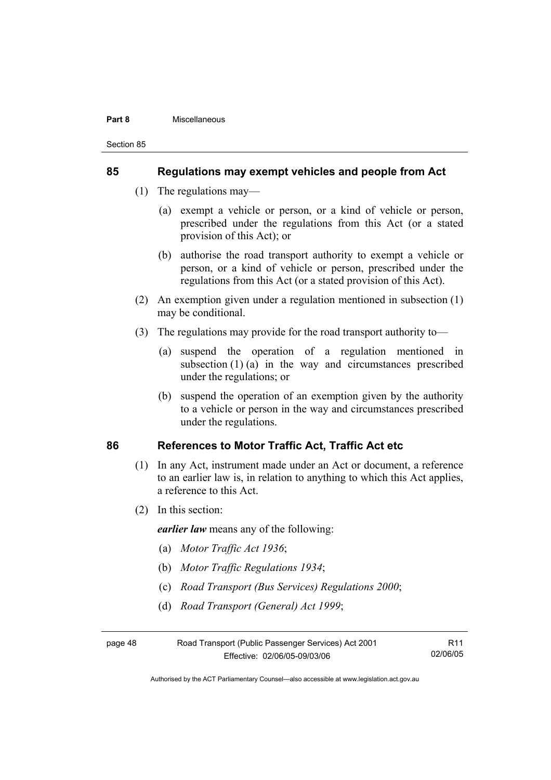#### **Part 8** Miscellaneous

Section 85

#### **85 Regulations may exempt vehicles and people from Act**

- (1) The regulations may—
	- (a) exempt a vehicle or person, or a kind of vehicle or person, prescribed under the regulations from this Act (or a stated provision of this Act); or
	- (b) authorise the road transport authority to exempt a vehicle or person, or a kind of vehicle or person, prescribed under the regulations from this Act (or a stated provision of this Act).
- (2) An exemption given under a regulation mentioned in subsection (1) may be conditional.
- (3) The regulations may provide for the road transport authority to—
	- (a) suspend the operation of a regulation mentioned in subsection  $(1)$  (a) in the way and circumstances prescribed under the regulations; or
	- (b) suspend the operation of an exemption given by the authority to a vehicle or person in the way and circumstances prescribed under the regulations.

#### **86 References to Motor Traffic Act, Traffic Act etc**

- (1) In any Act, instrument made under an Act or document, a reference to an earlier law is, in relation to anything to which this Act applies, a reference to this Act.
- (2) In this section:

*earlier law* means any of the following:

- (a) *Motor Traffic Act 1936*;
- (b) *Motor Traffic Regulations 1934*;
- (c) *Road Transport (Bus Services) Regulations 2000*;
- (d) *Road Transport (General) Act 1999*;

| page 48 | Road Transport (Public Passenger Services) Act 2001 | R <sub>11</sub> |
|---------|-----------------------------------------------------|-----------------|
|         | Effective: 02/06/05-09/03/06                        | 02/06/05        |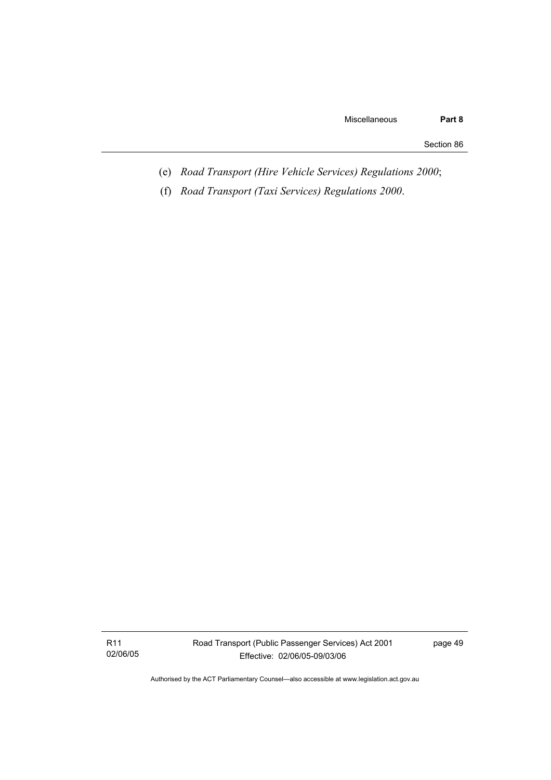Section 86

- (e) *Road Transport (Hire Vehicle Services) Regulations 2000*;
- (f) *Road Transport (Taxi Services) Regulations 2000*.

R11 02/06/05 Road Transport (Public Passenger Services) Act 2001 Effective: 02/06/05-09/03/06

page 49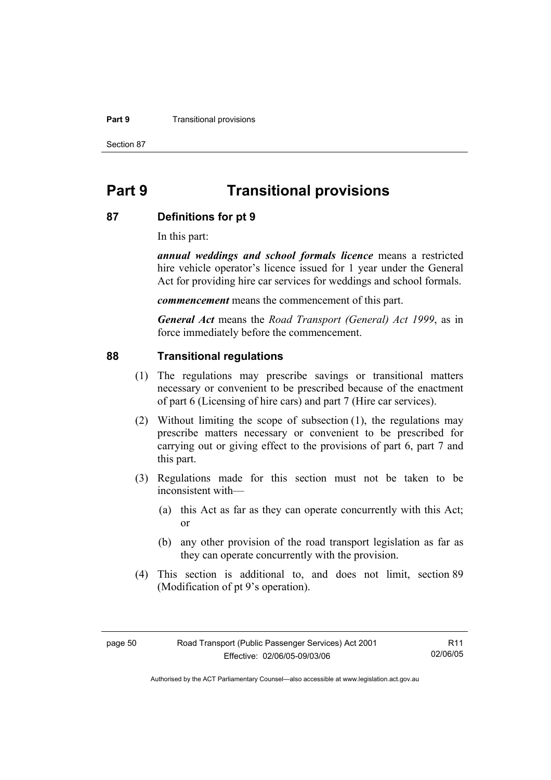#### **Part 9 Transitional provisions**

Section 87

# **Part 9 Transitional provisions**

#### **87 Definitions for pt 9**

In this part:

*annual weddings and school formals licence* means a restricted hire vehicle operator's licence issued for 1 year under the General Act for providing hire car services for weddings and school formals.

*commencement* means the commencement of this part.

*General Act* means the *Road Transport (General) Act 1999*, as in force immediately before the commencement.

#### **88 Transitional regulations**

- (1) The regulations may prescribe savings or transitional matters necessary or convenient to be prescribed because of the enactment of part 6 (Licensing of hire cars) and part 7 (Hire car services).
- (2) Without limiting the scope of subsection (1), the regulations may prescribe matters necessary or convenient to be prescribed for carrying out or giving effect to the provisions of part 6, part 7 and this part.
- (3) Regulations made for this section must not be taken to be inconsistent with—
	- (a) this Act as far as they can operate concurrently with this Act; or
	- (b) any other provision of the road transport legislation as far as they can operate concurrently with the provision.
- (4) This section is additional to, and does not limit, section 89 (Modification of pt 9's operation).

R11 02/06/05

Authorised by the ACT Parliamentary Counsel—also accessible at www.legislation.act.gov.au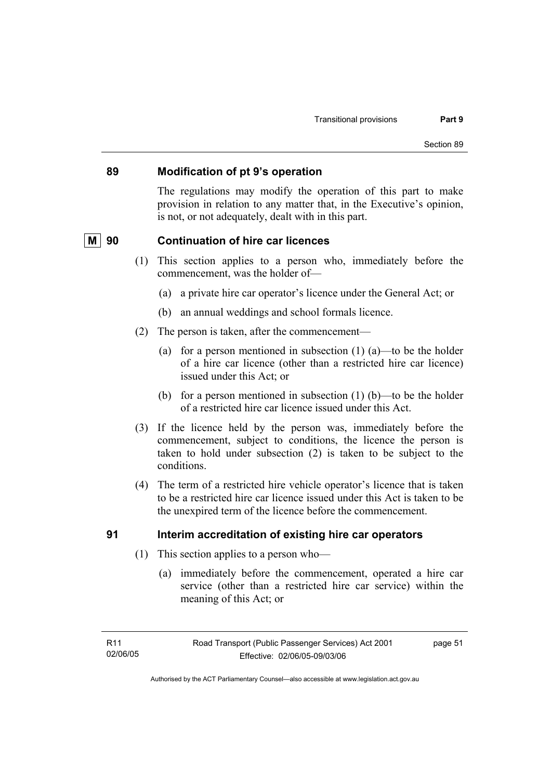## **89 Modification of pt 9's operation**

The regulations may modify the operation of this part to make provision in relation to any matter that, in the Executive's opinion, is not, or not adequately, dealt with in this part.

#### **M** 90 Continuation of hire car licences

- (1) This section applies to a person who, immediately before the commencement, was the holder of—
	- (a) a private hire car operator's licence under the General Act; or
	- (b) an annual weddings and school formals licence.
- (2) The person is taken, after the commencement—
	- (a) for a person mentioned in subsection  $(1)$   $(a)$ —to be the holder of a hire car licence (other than a restricted hire car licence) issued under this Act; or
	- (b) for a person mentioned in subsection  $(1)$  (b)—to be the holder of a restricted hire car licence issued under this Act.
- (3) If the licence held by the person was, immediately before the commencement, subject to conditions, the licence the person is taken to hold under subsection (2) is taken to be subject to the conditions.
- (4) The term of a restricted hire vehicle operator's licence that is taken to be a restricted hire car licence issued under this Act is taken to be the unexpired term of the licence before the commencement.

## **91 Interim accreditation of existing hire car operators**

- (1) This section applies to a person who—
	- (a) immediately before the commencement, operated a hire car service (other than a restricted hire car service) within the meaning of this Act; or

page 51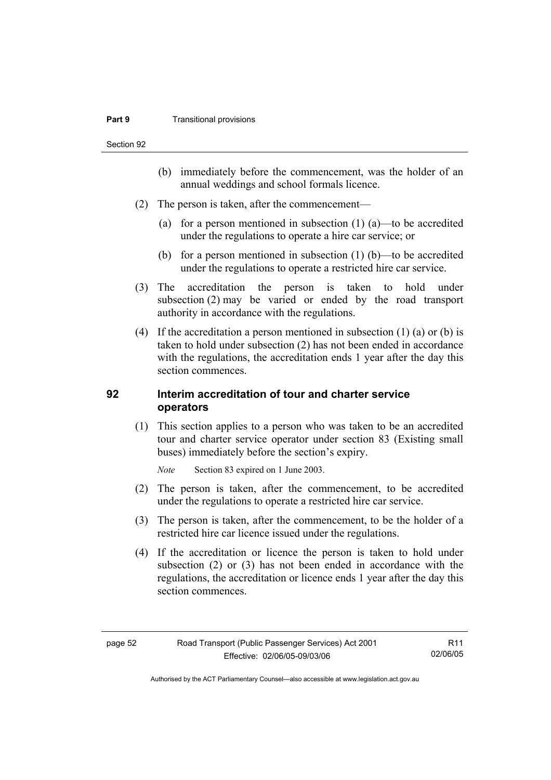#### **Part 9 Transitional provisions**

Section 92

- (b) immediately before the commencement, was the holder of an annual weddings and school formals licence.
- (2) The person is taken, after the commencement—
	- (a) for a person mentioned in subsection (1) (a)—to be accredited under the regulations to operate a hire car service; or
	- (b) for a person mentioned in subsection  $(1)$  (b)—to be accredited under the regulations to operate a restricted hire car service.
- (3) The accreditation the person is taken to hold under subsection (2) may be varied or ended by the road transport authority in accordance with the regulations.
- (4) If the accreditation a person mentioned in subsection (1) (a) or (b) is taken to hold under subsection (2) has not been ended in accordance with the regulations, the accreditation ends 1 year after the day this section commences.

#### **92 Interim accreditation of tour and charter service operators**

 (1) This section applies to a person who was taken to be an accredited tour and charter service operator under section 83 (Existing small buses) immediately before the section's expiry.

*Note* Section 83 expired on 1 June 2003.

- (2) The person is taken, after the commencement, to be accredited under the regulations to operate a restricted hire car service.
- (3) The person is taken, after the commencement, to be the holder of a restricted hire car licence issued under the regulations.
- (4) If the accreditation or licence the person is taken to hold under subsection (2) or (3) has not been ended in accordance with the regulations, the accreditation or licence ends 1 year after the day this section commences.

R11 02/06/05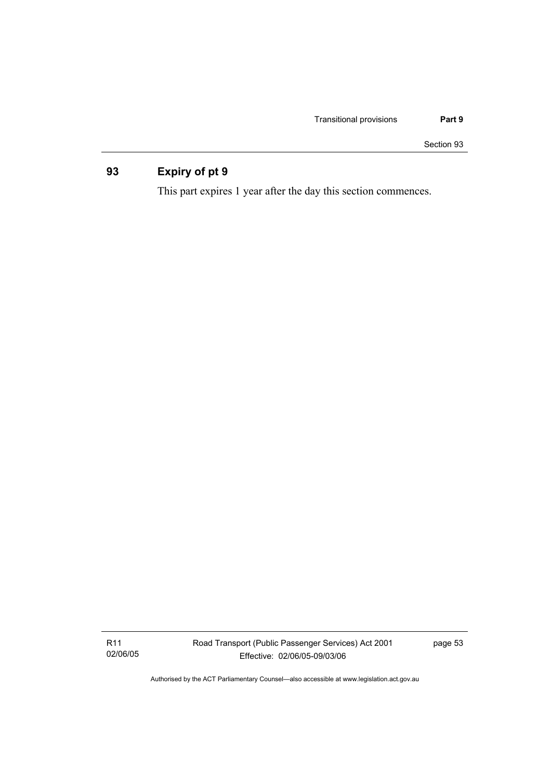Section 93

# **93 Expiry of pt 9**

This part expires 1 year after the day this section commences.

R11 02/06/05 Road Transport (Public Passenger Services) Act 2001 Effective: 02/06/05-09/03/06

page 53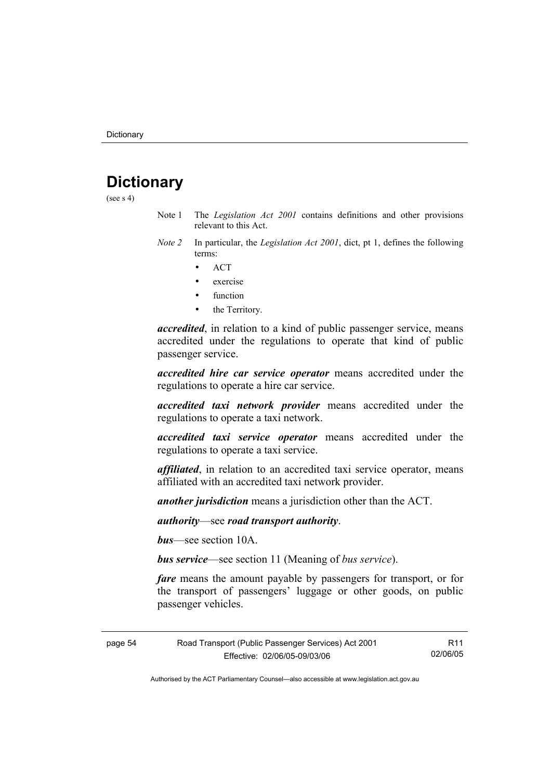# **Dictionary**

(see  $s$  4)

- Note 1 The *Legislation Act 2001* contains definitions and other provisions relevant to this Act.
- *Note 2* In particular, the *Legislation Act 2001*, dict, pt 1, defines the following terms:
	- ACT
	- exercise
	- function
	- the Territory.

*accredited*, in relation to a kind of public passenger service, means accredited under the regulations to operate that kind of public passenger service.

*accredited hire car service operator* means accredited under the regulations to operate a hire car service.

*accredited taxi network provider* means accredited under the regulations to operate a taxi network.

*accredited taxi service operator* means accredited under the regulations to operate a taxi service.

*affiliated*, in relation to an accredited taxi service operator, means affiliated with an accredited taxi network provider.

*another jurisdiction* means a jurisdiction other than the ACT.

*authority*—see *road transport authority*.

*bus*—see section 10A.

*bus service*—see section 11 (Meaning of *bus service*).

*fare* means the amount payable by passengers for transport, or for the transport of passengers' luggage or other goods, on public passenger vehicles.

| page 54 | Road Transport (Public Passenger Services) Act 2001 | R11      |
|---------|-----------------------------------------------------|----------|
|         | Effective: 02/06/05-09/03/06                        | 02/06/05 |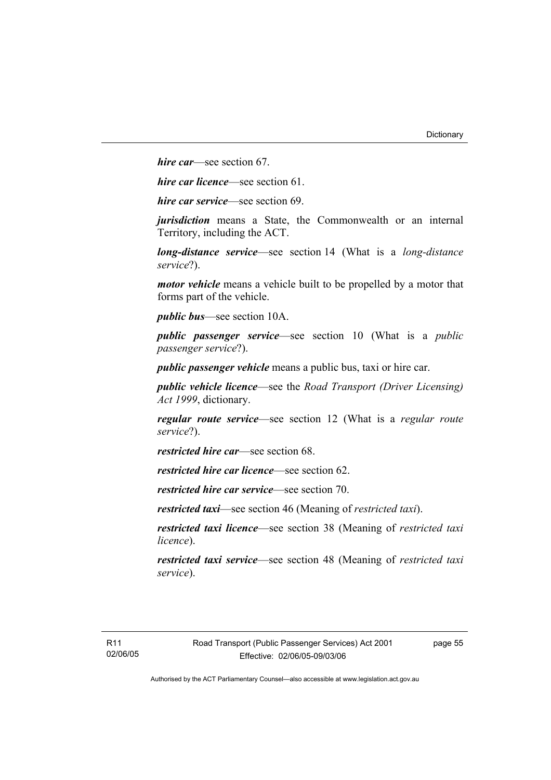*hire car*—see section 67.

*hire car licence*—see section 61.

*hire car service*—see section 69.

*jurisdiction* means a State, the Commonwealth or an internal Territory, including the ACT.

*long-distance service*—see section 14 (What is a *long-distance service*?).

*motor vehicle* means a vehicle built to be propelled by a motor that forms part of the vehicle.

*public bus*—see section 10A.

*public passenger service*—see section 10 (What is a *public passenger service*?).

*public passenger vehicle* means a public bus, taxi or hire car.

*public vehicle licence*—see the *Road Transport (Driver Licensing) Act 1999*, dictionary.

*regular route service*—see section 12 (What is a *regular route service*?).

*restricted hire car*—see section 68.

*restricted hire car licence*—see section 62.

*restricted hire car service*—see section 70.

*restricted taxi*—see section 46 (Meaning of *restricted taxi*).

*restricted taxi licence*—see section 38 (Meaning of *restricted taxi licence*).

*restricted taxi service*—see section 48 (Meaning of *restricted taxi service*).

page 55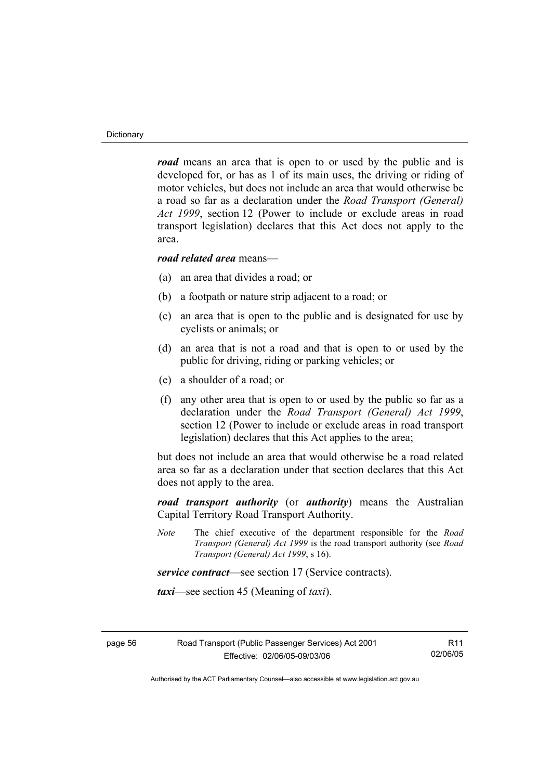*road* means an area that is open to or used by the public and is developed for, or has as 1 of its main uses, the driving or riding of motor vehicles, but does not include an area that would otherwise be a road so far as a declaration under the *Road Transport (General) Act 1999*, section 12 (Power to include or exclude areas in road transport legislation) declares that this Act does not apply to the area.

# *road related area* means—

- (a) an area that divides a road; or
- (b) a footpath or nature strip adjacent to a road; or
- (c) an area that is open to the public and is designated for use by cyclists or animals; or
- (d) an area that is not a road and that is open to or used by the public for driving, riding or parking vehicles; or
- (e) a shoulder of a road; or
- (f) any other area that is open to or used by the public so far as a declaration under the *Road Transport (General) Act 1999*, section 12 (Power to include or exclude areas in road transport legislation) declares that this Act applies to the area;

but does not include an area that would otherwise be a road related area so far as a declaration under that section declares that this Act does not apply to the area.

*road transport authority* (or *authority*) means the Australian Capital Territory Road Transport Authority.

*Note* The chief executive of the department responsible for the *Road Transport (General) Act 1999* is the road transport authority (see *Road Transport (General) Act 1999*, s 16).

*service contract*—see section 17 (Service contracts).

*taxi*—see section 45 (Meaning of *taxi*).

page 56 Road Transport (Public Passenger Services) Act 2001 Effective: 02/06/05-09/03/06

R11 02/06/05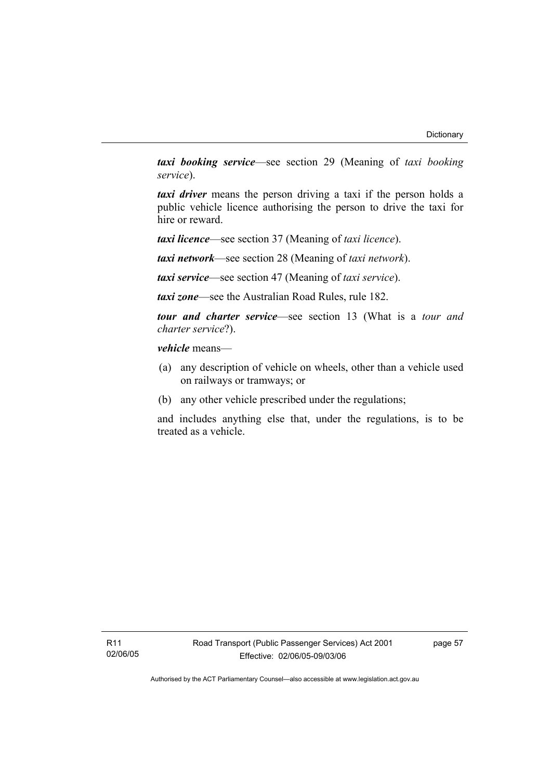*taxi booking service*—see section 29 (Meaning of *taxi booking service*).

*taxi driver* means the person driving a taxi if the person holds a public vehicle licence authorising the person to drive the taxi for hire or reward.

*taxi licence*—see section 37 (Meaning of *taxi licence*).

*taxi network*—see section 28 (Meaning of *taxi network*).

*taxi service*—see section 47 (Meaning of *taxi service*).

*taxi zone*—see the Australian Road Rules, rule 182.

*tour and charter service*—see section 13 (What is a *tour and charter service*?).

*vehicle* means—

- (a) any description of vehicle on wheels, other than a vehicle used on railways or tramways; or
- (b) any other vehicle prescribed under the regulations;

and includes anything else that, under the regulations, is to be treated as a vehicle.

page 57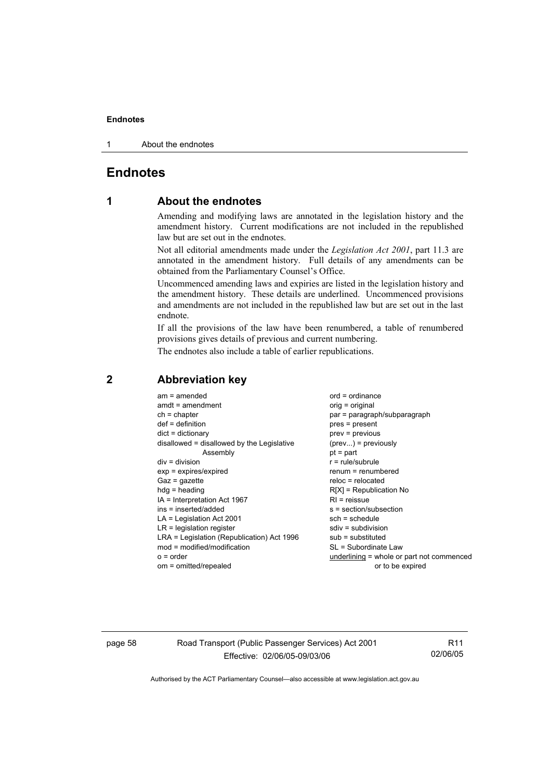1 About the endnotes

## **Endnotes**

# **1 About the endnotes**

Amending and modifying laws are annotated in the legislation history and the amendment history. Current modifications are not included in the republished law but are set out in the endnotes.

Not all editorial amendments made under the *Legislation Act 2001*, part 11.3 are annotated in the amendment history. Full details of any amendments can be obtained from the Parliamentary Counsel's Office.

Uncommenced amending laws and expiries are listed in the legislation history and the amendment history. These details are underlined. Uncommenced provisions and amendments are not included in the republished law but are set out in the last endnote.

If all the provisions of the law have been renumbered, a table of renumbered provisions gives details of previous and current numbering.

The endnotes also include a table of earlier republications.

| $am = amended$                             | $ord = ordinance$                         |
|--------------------------------------------|-------------------------------------------|
| $amdt = amendment$                         |                                           |
|                                            | $orig = original$                         |
| $ch = chapter$                             | par = paragraph/subparagraph              |
| $def = definition$                         | $pres = present$                          |
| $dict = dictionary$                        | $prev = previous$                         |
| disallowed = disallowed by the Legislative | $(\text{prev}) = \text{previously}$       |
| Assembly                                   | $pt = part$                               |
| $div = division$                           | $r = rule/subrule$                        |
| $exp = expires/expired$                    | renum = renumbered                        |
| $Gaz = gazette$                            | $reloc = relocated$                       |
| $hdg =$ heading                            | $R[X]$ = Republication No                 |
| $IA = Interpretation Act 1967$             | $RI =$ reissue                            |
| ins = inserted/added                       | $s = section/subsection$                  |
| $LA =$ Legislation Act 2001                | $sch = schedule$                          |
| $LR =$ legislation register                | $sdiv = subdivision$                      |
| LRA = Legislation (Republication) Act 1996 | $sub =$ substituted                       |
| $mod = modified/modification$              | SL = Subordinate Law                      |
| $o = order$                                | underlining = whole or part not commenced |
| om = omitted/repealed                      | or to be expired                          |
|                                            |                                           |

#### **2 Abbreviation key**

page 58 Road Transport (Public Passenger Services) Act 2001 Effective: 02/06/05-09/03/06

R11 02/06/05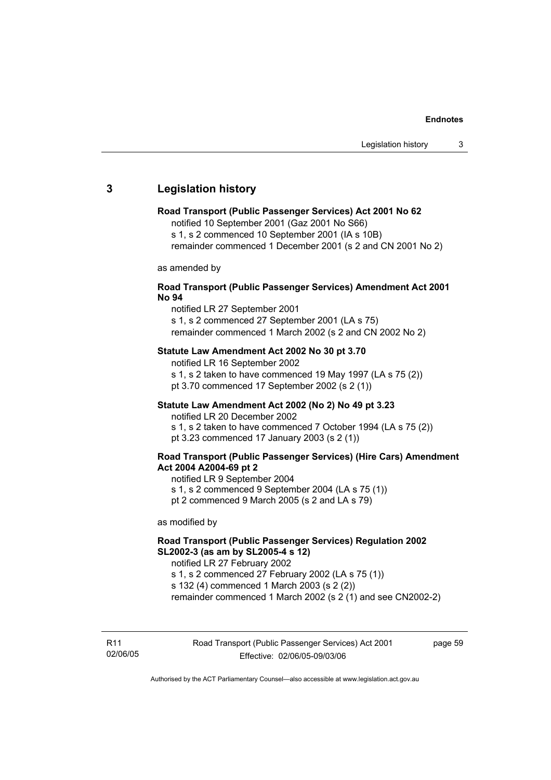#### **3 Legislation history**

#### **Road Transport (Public Passenger Services) Act 2001 No 62**

notified 10 September 2001 (Gaz 2001 No S66)

s 1, s 2 commenced 10 September 2001 (IA s 10B)

remainder commenced 1 December 2001 (s 2 and CN 2001 No 2)

as amended by

#### **Road Transport (Public Passenger Services) Amendment Act 2001 No 94**

notified LR 27 September 2001

s 1, s 2 commenced 27 September 2001 (LA s 75) remainder commenced 1 March 2002 (s 2 and CN 2002 No 2)

#### **Statute Law Amendment Act 2002 No 30 pt 3.70**

notified LR 16 September 2002 s 1, s 2 taken to have commenced 19 May 1997 (LA s 75 (2)) pt 3.70 commenced 17 September 2002 (s 2 (1))

#### **Statute Law Amendment Act 2002 (No 2) No 49 pt 3.23**

notified LR 20 December 2002

s 1, s 2 taken to have commenced 7 October 1994 (LA s 75 (2)) pt 3.23 commenced 17 January 2003 (s 2 (1))

#### **Road Transport (Public Passenger Services) (Hire Cars) Amendment Act 2004 A2004-69 pt 2**

notified LR 9 September 2004

s 1, s 2 commenced 9 September 2004 (LA s 75 (1))

pt 2 commenced 9 March 2005 (s 2 and LA s 79)

as modified by

#### **Road Transport (Public Passenger Services) Regulation 2002 SL2002-3 (as am by SL2005-4 s 12)**

notified LR 27 February 2002

s 1, s 2 commenced 27 February 2002 (LA s 75 (1)) s 132 (4) commenced 1 March 2003 (s 2 (2))

remainder commenced 1 March 2002 (s 2 (1) and see CN2002-2)

R11 02/06/05 page 59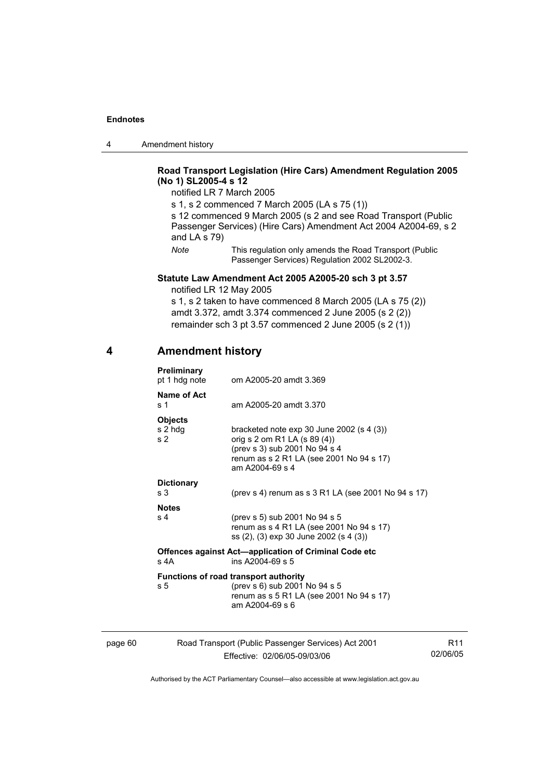4 Amendment history

#### **Road Transport Legislation (Hire Cars) Amendment Regulation 2005 (No 1) SL2005-4 s 12**

notified LR 7 March 2005

s 1, s 2 commenced 7 March 2005 (LA s 75 (1))

s 12 commenced 9 March 2005 (s 2 and see Road Transport (Public Passenger Services) (Hire Cars) Amendment Act 2004 A2004-69, s 2 and LA s 79)

*Note* This regulation only amends the Road Transport (Public Passenger Services) Regulation 2002 SL2002-3.

#### **Statute Law Amendment Act 2005 A2005-20 sch 3 pt 3.57**

notified LR 12 May 2005

s 1, s 2 taken to have commenced 8 March 2005 (LA s 75 (2)) amdt 3.372, amdt 3.374 commenced 2 June 2005 (s 2 (2)) remainder sch 3 pt 3.57 commenced 2 June 2005 (s 2 (1))

### **4 Amendment history**

| Preliminary<br>pt 1 hdg note                | om A2005-20 amdt 3.369                                                                                                                                                      |
|---------------------------------------------|-----------------------------------------------------------------------------------------------------------------------------------------------------------------------------|
| Name of Act<br>s <sub>1</sub>               | am A2005-20 amdt 3.370                                                                                                                                                      |
| <b>Objects</b><br>s 2 hdg<br>s <sub>2</sub> | bracketed note $exp 30$ June 2002 (s 4 (3))<br>orig s 2 om R1 LA (s 89 (4))<br>(prev s 3) sub 2001 No 94 s 4<br>renum as s 2 R1 LA (see 2001 No 94 s 17)<br>am A2004-69 s 4 |
| <b>Dictionary</b><br>s 3                    | (prev s 4) renum as s 3 R1 LA (see 2001 No 94 s 17)                                                                                                                         |
| <b>Notes</b><br>s 4                         | (prev s 5) sub 2001 No 94 s 5<br>renum as s 4 R1 LA (see 2001 No 94 s 17)<br>ss (2), (3) exp 30 June 2002 (s 4 (3))                                                         |
| s 4A                                        | <b>Offences against Act—application of Criminal Code etc</b><br>ins $A2004-69$ s 5                                                                                          |
| s 5                                         | <b>Functions of road transport authority</b><br>(prev s 6) sub 2001 No 94 s 5<br>renum as s 5 R1 LA (see 2001 No 94 s 17)<br>am A2004-69 s 6                                |

page 60 Road Transport (Public Passenger Services) Act 2001 Effective: 02/06/05-09/03/06

R11 02/06/05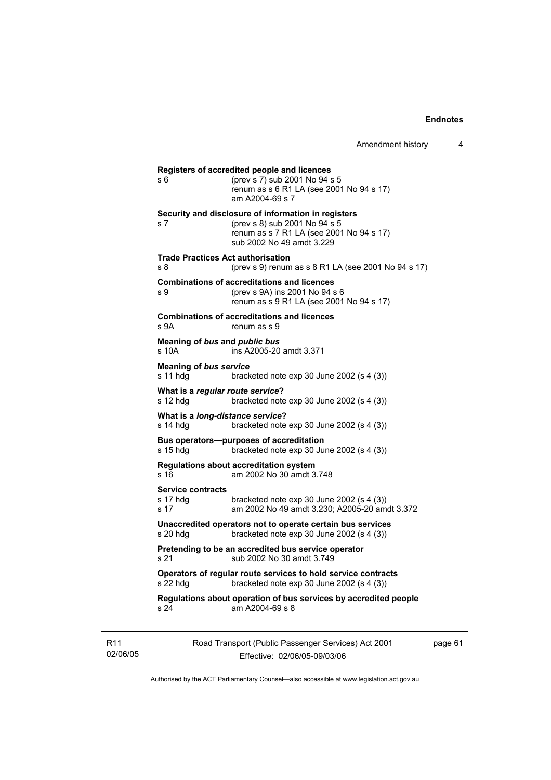Road Transport (Public Passenger Services) Act 2001 **Registers of accredited people and licences**  s 6 (prev s 7) sub 2001 No 94 s 5 renum as s 6 R1 LA (see 2001 No 94 s 17) am A2004-69 s 7 **Security and disclosure of information in registers**  s 7 (prev s 8) sub 2001 No 94 s 5 renum as s 7 R1 LA (see 2001 No 94 s 17) sub 2002 No 49 amdt 3.229 **Trade Practices Act authorisation**  s 8 (prev s 9) renum as s 8 R1 LA (see 2001 No 94 s 17) **Combinations of accreditations and licences**  s 9 (prev s 9A) ins 2001 No 94 s 6 renum as s 9 R1 LA (see 2001 No 94 s 17) **Combinations of accreditations and licences**  s 9A renum as s 9 **Meaning of** *bus* **and** *public bus* s 10A ins A2005-20 amdt 3.371 **Meaning of** *bus service* s 11 hdg bracketed note exp 30 June 2002 (s 4 (3)) **What is a** *regular route service***?**  s 12 hdg bracketed note exp 30 June 2002 (s 4 (3)) **What is a** *long-distance service***?**  s 14 hdg bracketed note exp 30 June 2002 (s 4 (3)) **Bus operators—purposes of accreditation**  s 15 hdg bracketed note exp 30 June 2002 (s 4 (3)) **Regulations about accreditation system**  s 16 am 2002 No 30 amdt 3.748 **Service contracts**  s 17 hdg bracketed note exp 30 June 2002 (s 4 (3)) s 17 am 2002 No 49 amdt 3.230; A2005-20 amdt 3.372 **Unaccredited operators not to operate certain bus services**  s 20 hdg bracketed note exp 30 June 2002 (s 4 (3)) **Pretending to be an accredited bus service operator**  s 21 sub 2002 No 30 amdt 3.749 **Operators of regular route services to hold service contracts**  s 22 hdg bracketed note exp 30 June 2002 (s 4 (3)) **Regulations about operation of bus services by accredited people**  s 24 am A2004-69 s 8

R11 02/06/05

Effective: 02/06/05-09/03/06

page 61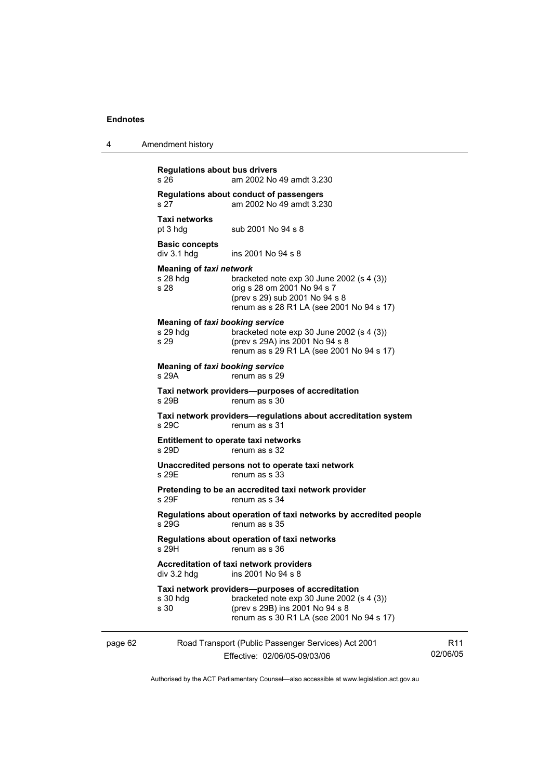|  | Amendment history |
|--|-------------------|
|--|-------------------|

|         | <b>Regulations about bus drivers</b><br>s 26               | am 2002 No 49 amdt 3.230                                                                                                                                                         |                             |
|---------|------------------------------------------------------------|----------------------------------------------------------------------------------------------------------------------------------------------------------------------------------|-----------------------------|
|         | s 27                                                       | Regulations about conduct of passengers<br>am 2002 No 49 amdt 3.230                                                                                                              |                             |
|         | <b>Taxi networks</b><br>pt 3 hdg                           | sub 2001 No 94 s 8                                                                                                                                                               |                             |
|         | <b>Basic concepts</b><br>div 3.1 hdg                       | ins 2001 No 94 s 8                                                                                                                                                               |                             |
|         | <b>Meaning of taxi network</b><br>$s$ 28 hdg<br>s 28       | bracketed note $exp 30$ June 2002 (s 4 (3))<br>orig s 28 om 2001 No 94 s 7<br>(prev s 29) sub 2001 No 94 s 8<br>renum as s 28 R1 LA (see 2001 No 94 s 17)                        |                             |
|         | <b>Meaning of taxi booking service</b><br>s 29 hdg<br>s 29 | bracketed note $exp 30$ June 2002 (s 4 (3))<br>(prev s 29A) ins 2001 No 94 s 8<br>renum as s 29 R1 LA (see 2001 No 94 s 17)                                                      |                             |
|         | <b>Meaning of taxi booking service</b><br>s 29A            | renum as s 29                                                                                                                                                                    |                             |
|         | s 29B                                                      | Taxi network providers--purposes of accreditation<br>renum as s 30                                                                                                               |                             |
|         | s 29C                                                      | Taxi network providers-regulations about accreditation system<br>renum as s 31                                                                                                   |                             |
|         | s 29D                                                      | Entitlement to operate taxi networks<br>renum as s 32                                                                                                                            |                             |
|         | s 29E                                                      | Unaccredited persons not to operate taxi network<br>renum as s 33                                                                                                                |                             |
|         | s 29F                                                      | Pretending to be an accredited taxi network provider<br>renum as s 34                                                                                                            |                             |
|         | s 29G                                                      | Regulations about operation of taxi networks by accredited people<br>renum as s 35                                                                                               |                             |
|         | s 29H                                                      | Regulations about operation of taxi networks<br>renum as s 36                                                                                                                    |                             |
|         | div 3.2 hdg                                                | Accreditation of taxi network providers<br>ins 2001 No 94 s 8                                                                                                                    |                             |
|         | s 30 hdg<br>s 30                                           | Taxi network providers--purposes of accreditation<br>bracketed note $exp 30$ June 2002 (s 4 (3))<br>(prev s 29B) ins 2001 No 94 s 8<br>renum as s 30 R1 LA (see 2001 No 94 s 17) |                             |
| page 62 |                                                            | Road Transport (Public Passenger Services) Act 2001<br>Effective: 02/06/05-09/03/06                                                                                              | R <sub>11</sub><br>02/06/05 |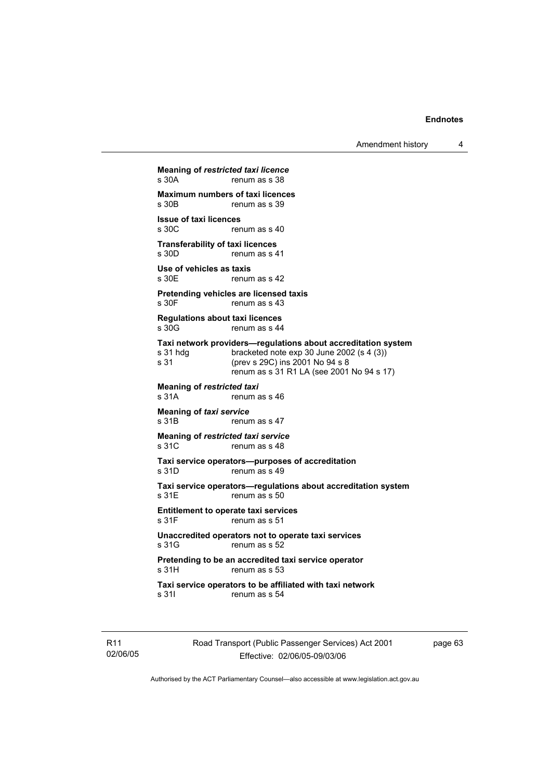Amendment history 4

**Meaning of** *restricted taxi licence*<br>s 30A renum as s 38 renum as s 38 **Maximum numbers of taxi licences**<br>s 30B renum as s 39 renum as s 39 **Issue of taxi licences**  renum as s 40 **Transferability of taxi licences**  s 30D renum as s 41 **Use of vehicles as taxis**  renum as s 42 **Pretending vehicles are licensed taxis**  s 30F renum as s 43 **Regulations about taxi licences**  s 30G renum as s 44 **Taxi network providers—regulations about accreditation system**  s 31 hdg bracketed note exp 30 June 2002 (s 4 (3))<br>s 31 (prev s 29C) ins 2001 No 94 s 8 (prev s 29C) ins 2001 No 94 s 8 renum as s 31 R1 LA (see 2001 No 94 s 17) **Meaning of** *restricted taxi*  s 31A renum as s 46 **Meaning of** *taxi* **service**<br>s 31B renur renum as s 47 **Meaning of** *restricted taxi service*  s 31C renum as s 48 **Taxi service operators—purposes of accreditation**  renum as s 49 **Taxi service operators—regulations about accreditation system**  s 31E renum as s 50 **Entitlement to operate taxi services**  s 31F renum as s 51 **Unaccredited operators not to operate taxi services**  s 31G renum as s 52 **Pretending to be an accredited taxi service operator**  s 31H renum as s 53 **Taxi service operators to be affiliated with taxi network**  s 31I renum as s 54

R11 02/06/05 Road Transport (Public Passenger Services) Act 2001 Effective: 02/06/05-09/03/06

page 63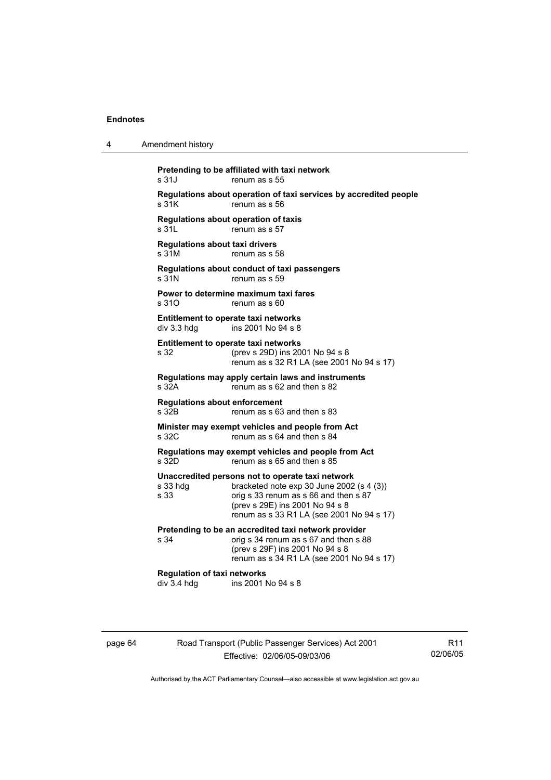| Amendment history |
|-------------------|
|                   |

**Pretending to be affiliated with taxi network**  s 31J renum as s 55 **Regulations about operation of taxi services by accredited people**  s 31K renum as s 56 **Regulations about operation of taxis**  s 31L renum as s 57 **Regulations about taxi drivers**  s 31M renum as s 58 **Regulations about conduct of taxi passengers**  s 31N renum as s 59 **Power to determine maximum taxi fares**  s 310 renum as s 60 **Entitlement to operate taxi networks**  div 3.3 hdg ins 2001 No 94 s 8 **Entitlement to operate taxi networks**  s 32 (prev s 29D) ins 2001 No 94 s 8 renum as s 32 R1 LA (see 2001 No 94 s 17) **Regulations may apply certain laws and instruments**  s 32A renum as s 62 and then s 82 **Regulations about enforcement**  renum as  $s$  63 and then  $s$  83 **Minister may exempt vehicles and people from Act**  s 32C renum as s 64 and then s 84 **Regulations may exempt vehicles and people from Act**   $renum$  as s 65 and then s 85 **Unaccredited persons not to operate taxi network**  s 33 hdg bracketed note exp 30 June 2002 (s 4 (3)) s 33 orig s 33 renum as s 66 and then s 87 (prev s 29E) ins 2001 No 94 s 8 renum as s 33 R1 LA (see 2001 No 94 s 17) **Pretending to be an accredited taxi network provider**  s 34 orig s 34 renum as s 67 and then s 88 (prev s 29F) ins 2001 No 94 s 8 renum as s 34 R1 LA (see 2001 No 94 s 17) **Regulation of taxi networks**  ins 2001 No 94 s 8

## page 64 Road Transport (Public Passenger Services) Act 2001 Effective: 02/06/05-09/03/06

R11 02/06/05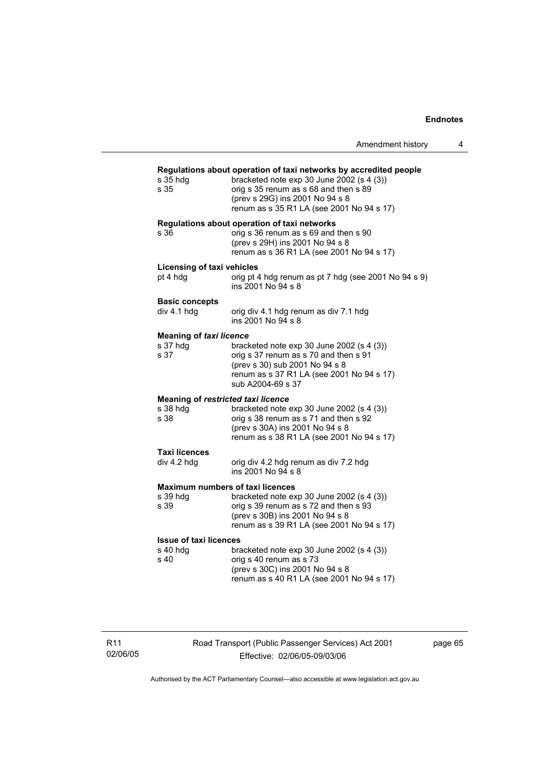|                                                             | Amendment history                                                                                                                                                                                                                         |
|-------------------------------------------------------------|-------------------------------------------------------------------------------------------------------------------------------------------------------------------------------------------------------------------------------------------|
| s 35 hdq<br>s 35                                            | Regulations about operation of taxi networks by accredited people<br>bracketed note $exp 30$ June 2002 (s 4 (3))<br>orig s 35 renum as s 68 and then s 89<br>(prev s 29G) ins 2001 No 94 s 8<br>renum as s 35 R1 LA (see 2001 No 94 s 17) |
| s 36                                                        | Regulations about operation of taxi networks<br>orig s 36 renum as s 69 and then s 90<br>(prev s 29H) ins 2001 No 94 s 8<br>renum as s 36 R1 LA (see 2001 No 94 s 17)                                                                     |
| Licensing of taxi vehicles<br>pt 4 hdg                      | orig pt 4 hdg renum as pt 7 hdg (see 2001 No 94 s 9)<br>ins 2001 No 94 s 8                                                                                                                                                                |
| <b>Basic concepts</b><br>div 4.1 hdg                        | orig div 4.1 hdg renum as div 7.1 hdg<br>ins 2001 No 94 s 8                                                                                                                                                                               |
| Meaning of taxi licence<br>s 37 hdg<br>s 37                 | bracketed note $exp 30$ June 2002 (s 4 (3))<br>orig s 37 renum as s 70 and then s 91<br>(prev s 30) sub 2001 No 94 s 8<br>renum as s 37 R1 LA (see 2001 No 94 s 17)<br>sub A2004-69 s 37                                                  |
| Meaning of restricted taxi licence<br>s 38 hdq<br>s 38      | bracketed note exp 30 June 2002 (s 4 (3))<br>orig s 38 renum as s 71 and then s 92<br>(prev s 30A) ins 2001 No 94 s 8<br>renum as s 38 R1 LA (see 2001 No 94 s 17)                                                                        |
| <b>Taxi licences</b><br>div 4.2 hdg                         | orig div 4.2 hdg renum as div 7.2 hdg<br>ins 2001 No 94 s 8                                                                                                                                                                               |
| <b>Maximum numbers of taxi licences</b><br>s 39 hda<br>s 39 | bracketed note exp 30 June 2002 (s 4 (3))<br>orig s 39 renum as s 72 and then s 93<br>(prev s 30B) ins 2001 No 94 s 8<br>renum as s 39 R1 LA (see 2001 No 94 s 17)                                                                        |
| <b>Issue of taxi licences</b><br>s 40 hdg<br>s 40           | bracketed note exp 30 June 2002 (s 4 (3))<br>orig s 40 renum as s 73<br>(prev s 30C) ins 2001 No 94 s 8<br>renum as s 40 R1 LA (see 2001 No 94 s 17)                                                                                      |

R11 02/06/05 Road Transport (Public Passenger Services) Act 2001 Effective: 02/06/05-09/03/06

page 65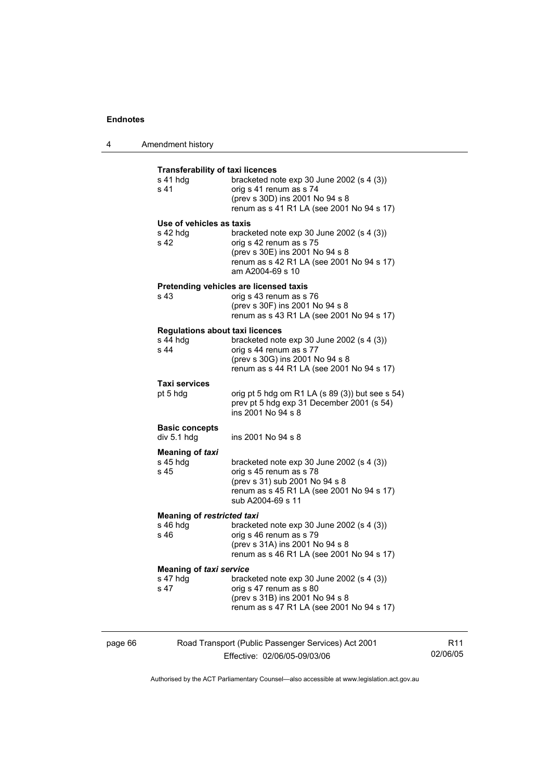| 4       | Amendment history                                           |                                                                                                                                                                            |
|---------|-------------------------------------------------------------|----------------------------------------------------------------------------------------------------------------------------------------------------------------------------|
|         | <b>Transferability of taxi licences</b><br>s 41 hdg<br>s 41 | bracketed note $exp 30$ June 2002 (s 4 (3))<br>orig s 41 renum as s 74<br>(prev s 30D) ins 2001 No 94 s 8<br>renum as s 41 R1 LA (see 2001 No 94 s 17)                     |
|         | Use of vehicles as taxis<br>s 42 hdq<br>s 42                | bracketed note $exp 30$ June 2002 (s 4 (3))<br>orig s 42 renum as s 75<br>(prev s 30E) ins 2001 No 94 s 8<br>renum as s 42 R1 LA (see 2001 No 94 s 17)<br>am A2004-69 s 10 |
|         | s 43                                                        | Pretending vehicles are licensed taxis<br>orig s 43 renum as s 76<br>(prev s 30F) ins 2001 No 94 s 8<br>renum as s 43 R1 LA (see 2001 No 94 s 17)                          |
|         | <b>Regulations about taxi licences</b><br>s 44 hdg<br>s 44  | bracketed note $exp 30$ June 2002 (s 4 (3))<br>orig s 44 renum as s 77<br>(prev s 30G) ins 2001 No 94 s 8<br>renum as s 44 R1 LA (see 2001 No 94 s 17)                     |
|         | <b>Taxi services</b><br>pt 5 hdg                            | orig pt 5 hdg om R1 LA (s 89 (3)) but see s 54)<br>prev pt 5 hdg exp 31 December 2001 (s 54)<br>ins 2001 No 94 s 8                                                         |
|         | <b>Basic concepts</b><br>div 5.1 hdg                        | ins 2001 No 94 s 8                                                                                                                                                         |
|         | <b>Meaning of taxi</b><br>s 45 hdg<br>s 45                  | bracketed note $exp 30$ June 2002 (s 4 (3))<br>orig s 45 renum as s 78<br>(prev s 31) sub 2001 No 94 s 8<br>renum as s 45 R1 LA (see 2001 No 94 s 17)<br>sub A2004-69 s 11 |
|         | <b>Meaning of restricted taxi</b><br>s 46 hdg<br>s 46       | bracketed note $exp 30$ June 2002 (s 4 (3))<br>orig s 46 renum as s 79<br>(prev s 31A) ins 2001 No 94 s 8<br>renum as s 46 R1 LA (see 2001 No 94 s 17)                     |
|         | <b>Meaning of taxi service</b><br>s 47 hdg<br>s 47          | bracketed note $exp 30$ June 2002 (s 4 (3))<br>orig s 47 renum as s 80<br>(prev s 31B) ins 2001 No 94 s 8<br>renum as s 47 R1 LA (see 2001 No 94 s 17)                     |
| page 66 |                                                             | Road Transport (Public Passenger Services) Act 2001                                                                                                                        |

Effective: 02/06/05-09/03/06

R11 02/06/05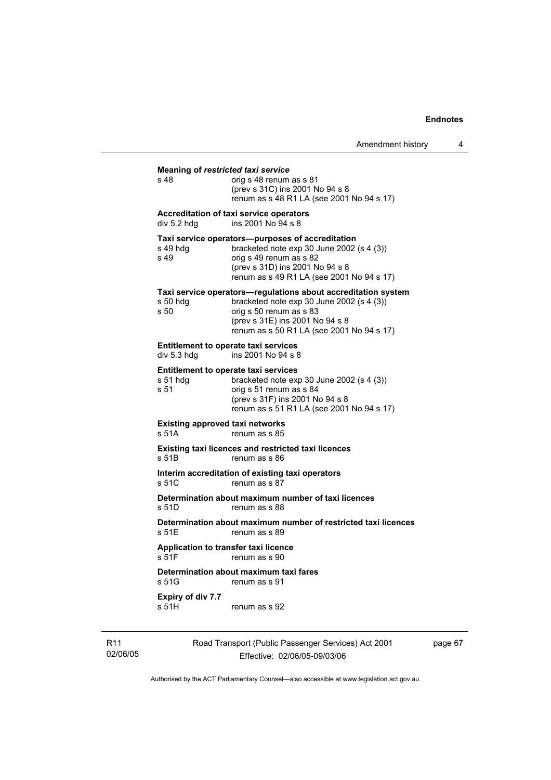| s 48                                            | Meaning of restricted taxi service<br>orig s 48 renum as s 81<br>(prev s 31C) ins 2001 No 94 s 8<br>renum as s 48 R1 LA (see 2001 No 94 s 17)                                                                         |
|-------------------------------------------------|-----------------------------------------------------------------------------------------------------------------------------------------------------------------------------------------------------------------------|
| div 5.2 hdg                                     | Accreditation of taxi service operators<br>ins 2001 No 94 s 8                                                                                                                                                         |
| s 49 hdg<br>s 49                                | Taxi service operators-purposes of accreditation<br>bracketed note exp 30 June 2002 (s 4 (3))<br>orig s 49 renum as s 82<br>(prev s 31D) ins 2001 No 94 s 8<br>renum as s 49 R1 LA (see 2001 No 94 s 17)              |
| s 50 hdg<br>s 50                                | Taxi service operators-regulations about accreditation system<br>bracketed note exp 30 June 2002 (s 4 (3))<br>orig s 50 renum as s 83<br>(prev s 31E) ins 2001 No 94 s 8<br>renum as s 50 R1 LA (see 2001 No 94 s 17) |
| div 5.3 hdg                                     | <b>Entitlement to operate taxi services</b><br>ins 2001 No 94 s 8                                                                                                                                                     |
| $s51$ hdg<br>s 51                               | <b>Entitlement to operate taxi services</b><br>bracketed note exp 30 June 2002 (s 4 (3))<br>orig s 51 renum as s 84<br>(prev s 31F) ins 2001 No 94 s 8<br>renum as s 51 R1 LA (see 2001 No 94 s 17)                   |
| <b>Existing approved taxi networks</b><br>s 51A | renum as s 85                                                                                                                                                                                                         |
| s 51B                                           | Existing taxi licences and restricted taxi licences<br>renum as s 86                                                                                                                                                  |
| s 51C                                           | Interim accreditation of existing taxi operators<br>renum as s 87                                                                                                                                                     |
| s 51D                                           | Determination about maximum number of taxi licences<br>renum as s 88                                                                                                                                                  |
| s 51E                                           | Determination about maximum number of restricted taxi licences<br>renum as s 89                                                                                                                                       |
| s 51F                                           | Application to transfer taxi licence<br>renum as s 90                                                                                                                                                                 |
| s 51G                                           | Determination about maximum taxi fares<br>renum as s 91                                                                                                                                                               |
| <b>Expiry of div 7.7</b><br>s 51H               | renum as s 92                                                                                                                                                                                                         |

R11 02/06/05 Road Transport (Public Passenger Services) Act 2001 Effective: 02/06/05-09/03/06

page 67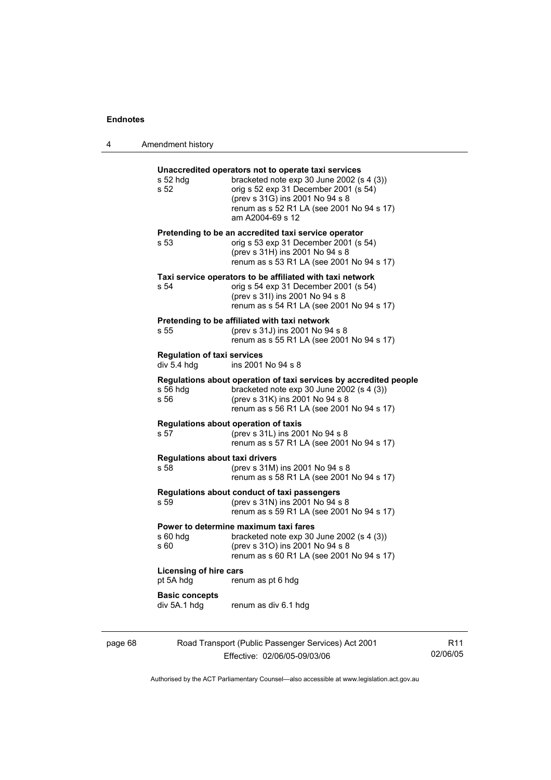page 68

| s 52 hdg<br>s 52                                  | Unaccredited operators not to operate taxi services<br>bracketed note $exp 30$ June 2002 (s 4 (3))<br>orig s 52 exp 31 December 2001 (s 54)<br>(prev s 31G) ins 2001 No 94 s 8<br>renum as s 52 R1 LA (see 2001 No 94 s 17)<br>am A2004-69 s 12 |
|---------------------------------------------------|-------------------------------------------------------------------------------------------------------------------------------------------------------------------------------------------------------------------------------------------------|
| s 53                                              | Pretending to be an accredited taxi service operator<br>orig s 53 exp 31 December 2001 (s 54)<br>(prev s 31H) ins 2001 No 94 s 8<br>renum as s 53 R1 LA (see 2001 No 94 s 17)                                                                   |
| s 54                                              | Taxi service operators to be affiliated with taxi network<br>orig s 54 exp 31 December 2001 (s 54)<br>(prev s 31l) ins 2001 No 94 s 8<br>renum as s 54 R1 LA (see 2001 No 94 s 17)                                                              |
| s 55                                              | Pretending to be affiliated with taxi network<br>(prev s 31J) ins 2001 No 94 s 8<br>renum as s 55 R1 LA (see 2001 No 94 s 17)                                                                                                                   |
| <b>Regulation of taxi services</b><br>div 5.4 hdg | ins 2001 No 94 s 8                                                                                                                                                                                                                              |
| s 56 hda<br>s 56                                  | Regulations about operation of taxi services by accredited people<br>bracketed note exp 30 June 2002 (s 4 (3))<br>(prev s 31K) ins 2001 No 94 s 8<br>renum as s 56 R1 LA (see 2001 No 94 s 17)                                                  |
| s 57                                              | Regulations about operation of taxis<br>(prev s 31L) ins 2001 No 94 s 8<br>renum as s 57 R1 LA (see 2001 No 94 s 17)                                                                                                                            |
| <b>Regulations about taxi drivers</b><br>s 58     | (prev s 31M) ins 2001 No 94 s 8<br>renum as s 58 R1 LA (see 2001 No 94 s 17)                                                                                                                                                                    |
| s 59                                              | Regulations about conduct of taxi passengers<br>(prev s 31N) ins 2001 No 94 s 8<br>renum as s 59 R1 LA (see 2001 No 94 s 17)                                                                                                                    |
| s 60 hdg<br>s 60                                  | Power to determine maximum taxi fares<br>bracketed note $exp 30$ June 2002 (s 4 (3))<br>(prev s 310) ins 2001 No 94 s 8<br>renum as s 60 R1 LA (see 2001 No 94 s 17)                                                                            |
| Licensing of hire cars<br>pt 5A hdg               | renum as pt 6 hdg                                                                                                                                                                                                                               |
| <b>Basic concepts</b><br>div 5A.1 hdg             | renum as div 6.1 hdg                                                                                                                                                                                                                            |
|                                                   | Road Transport (Public Passenger Services) Act 2001                                                                                                                                                                                             |

Effective: 02/06/05-09/03/06

R11 02/06/05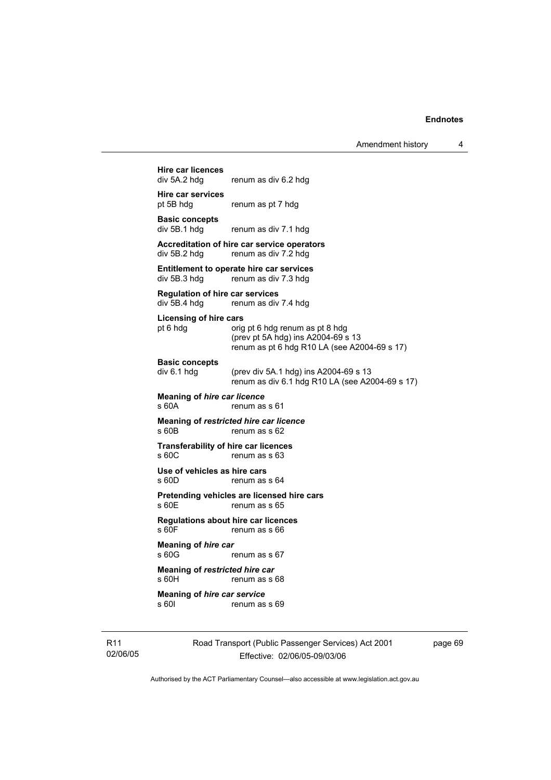Amendment history 4

| div 5A.2 hdg                                           | renum as div 6.2 hdg                                                                                                  |
|--------------------------------------------------------|-----------------------------------------------------------------------------------------------------------------------|
| Hire car services<br>pt 5B hdg                         | renum as pt 7 hdg                                                                                                     |
| <b>Basic concepts</b><br>div 5B.1 hdg                  | renum as div 7.1 hdg                                                                                                  |
| div 5B.2 hdg                                           | Accreditation of hire car service operators<br>renum as div 7.2 hdg                                                   |
| div 5B.3 hdg                                           | Entitlement to operate hire car services<br>renum as div 7.3 hdg                                                      |
| <b>Regulation of hire car services</b><br>div 5B.4 hdg | renum as div 7.4 hdg                                                                                                  |
| <b>Licensing of hire cars</b><br>pt 6 hdg              | orig pt 6 hdg renum as pt 8 hdg<br>(prev pt 5A hdg) ins A2004-69 s 13<br>renum as pt 6 hdg R10 LA (see A2004-69 s 17) |
| <b>Basic concepts</b><br>div 6.1 hdg                   | (prev div 5A.1 hdg) ins A2004-69 s 13<br>renum as div 6.1 hdg R10 LA (see A2004-69 s 17)                              |
| <b>Meaning of hire car licence</b><br>s 60A            | renum as s 61                                                                                                         |
| s 60B                                                  | Meaning of restricted hire car licence<br>renum as s 62                                                               |
| <b>Transferability of hire car licences</b><br>s60C    | renum as s 63                                                                                                         |
| Use of vehicles as hire cars<br>s 60D                  | renum as s 64                                                                                                         |
| s 60E                                                  | Pretending vehicles are licensed hire cars<br>renum as s 65                                                           |
| s 60F                                                  | Regulations about hire car licences<br>renum as s 66                                                                  |
| Meaning of hire car<br>s 60G                           | renum as s 67                                                                                                         |
| Meaning of restricted hire car<br>s 60H                | renum as s 68                                                                                                         |
|                                                        | Meaning of hire car service                                                                                           |

Road Transport (Public Passenger Services) Act 2001 Effective: 02/06/05-09/03/06

page 69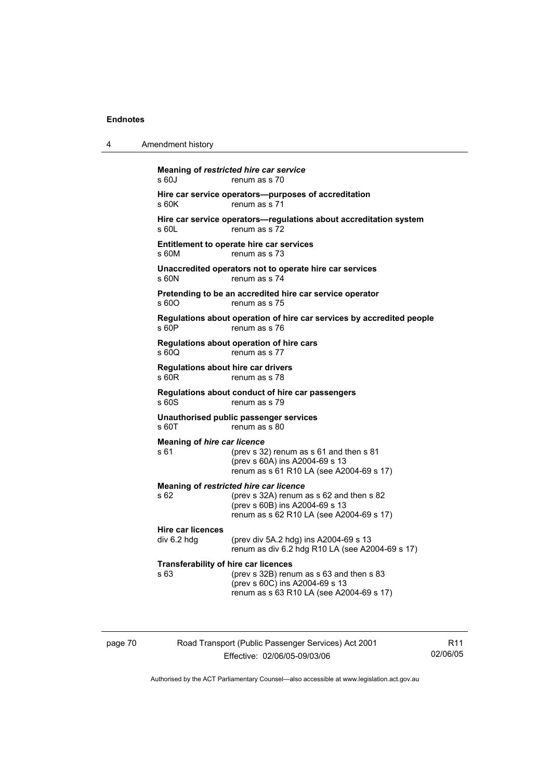| 4 | Amendment history                                                                                                                                                        |
|---|--------------------------------------------------------------------------------------------------------------------------------------------------------------------------|
|   | Meaning of restricted hire car service<br>s 60J<br>renum as s 70                                                                                                         |
|   | Hire car service operators-purposes of accreditation<br>s 60K<br>renum as s 71                                                                                           |
|   | Hire car service operators-regulations about accreditation system<br>renum as s 72<br>s 60L                                                                              |
|   | Entitlement to operate hire car services<br>s 60M<br>renum as s 73                                                                                                       |
|   | Unaccredited operators not to operate hire car services<br>s 60N<br>renum as s 74                                                                                        |
|   | Pretending to be an accredited hire car service operator<br>s 60O<br>renum as s 75                                                                                       |
|   | Regulations about operation of hire car services by accredited people<br>s 60P<br>renum as s 76                                                                          |
|   | Regulations about operation of hire cars<br>s60Q<br>renum as s 77                                                                                                        |
|   | Regulations about hire car drivers<br>s 60R<br>renum as s 78                                                                                                             |
|   | Regulations about conduct of hire car passengers<br>renum as s 79<br>s 60S                                                                                               |
|   | Unauthorised public passenger services<br>s 60T<br>renum as s 80                                                                                                         |
|   | <b>Meaning of hire car licence</b><br>s 61<br>(prev s 32) renum as s 61 and then s 81<br>(prev s 60A) ins A2004-69 s 13<br>renum as s 61 R10 LA (see A2004-69 s 17)      |
|   | Meaning of restricted hire car licence<br>s 62<br>(prev s 32A) renum as s 62 and then s 82<br>(prev s 60B) ins A2004-69 s 13<br>renum as s 62 R10 LA (see A2004-69 s 17) |
|   | <b>Hire car licences</b><br>div 6.2 hdg<br>(prev div 5A.2 hdg) ins A2004-69 s 13<br>renum as div 6.2 hdg R10 LA (see A2004-69 s 17)                                      |
|   | Transferability of hire car licences<br>s 63<br>(prev s 32B) renum as s 63 and then s 83<br>(prev s 60C) ins A2004-69 s 13<br>renum as s 63 R10 LA (see A2004-69 s 17)   |

| . . |  |  |
|-----|--|--|
|     |  |  |

Road Transport (Public Passenger Services) Act 2001 Effective: 02/06/05-09/03/06

R11 02/06/05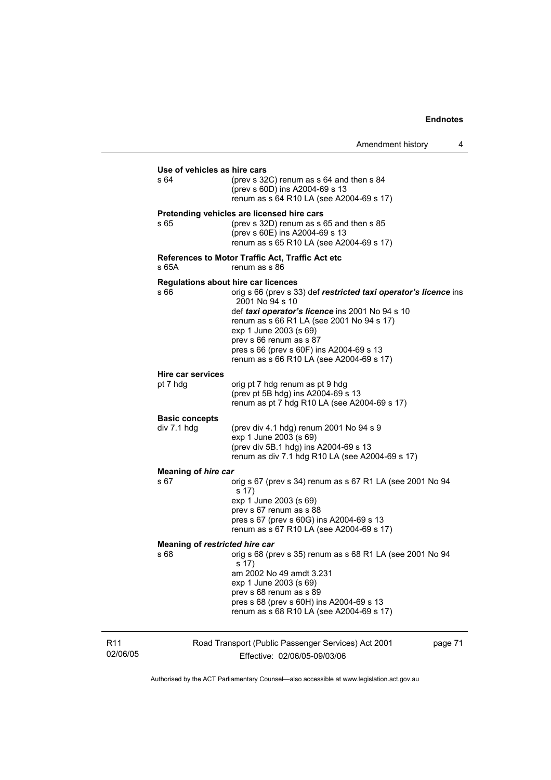|                              | Amendment history                                                          |
|------------------------------|----------------------------------------------------------------------------|
| Use of vehicles as hire cars |                                                                            |
| s 64                         | (prev s 32C) renum as s 64 and then s 84                                   |
|                              | (prev s 60D) ins A2004-69 s 13                                             |
|                              | renum as s 64 R10 LA (see A2004-69 s 17)                                   |
|                              | Pretending vehicles are licensed hire cars                                 |
| s 65                         | (prev s 32D) renum as s 65 and then s 85                                   |
|                              | (prev s 60E) ins A2004-69 s 13<br>renum as s 65 R10 LA (see A2004-69 s 17) |
|                              |                                                                            |
| s 65A                        | References to Motor Traffic Act, Traffic Act etc<br>renum as s 86          |
|                              | <b>Regulations about hire car licences</b>                                 |
| s 66                         | orig s 66 (prev s 33) def restricted taxi operator's licence ins           |
|                              | 2001 No 94 s 10                                                            |
|                              | def taxi operator's licence ins 2001 No 94 s 10                            |
|                              | renum as s 66 R1 LA (see 2001 No 94 s 17)                                  |
|                              | exp 1 June 2003 (s 69)<br>prev s 66 renum as s 87                          |
|                              | pres s 66 (prev s 60F) ins A2004-69 s 13                                   |
|                              | renum as s 66 R10 LA (see A2004-69 s 17)                                   |
| Hire car services            |                                                                            |
| pt 7 hdg                     | orig pt 7 hdg renum as pt 9 hdg                                            |
|                              | (prev pt 5B hdg) ins A2004-69 s 13                                         |
|                              | renum as pt 7 hdg R10 LA (see A2004-69 s 17)                               |
| <b>Basic concepts</b>        |                                                                            |
| div 7.1 hdg                  | (prev div 4.1 hdg) renum 2001 No 94 s 9<br>exp 1 June 2003 (s 69)          |
|                              | (prev div 5B.1 hdg) ins A2004-69 s 13                                      |
|                              | renum as div 7.1 hdg R10 LA (see A2004-69 s 17)                            |
| Meaning of hire car          |                                                                            |
| s 67                         | orig s 67 (prev s 34) renum as s 67 R1 LA (see 2001 No 94                  |
|                              | s 17)                                                                      |
|                              | exp 1 June 2003 (s 69)<br>prev s 67 renum as s 88                          |
|                              | pres s 67 (prev s 60G) ins A2004-69 s 13                                   |
|                              | renum as s 67 R10 LA (see A2004-69 s 17)                                   |
|                              | Meaning of restricted hire car                                             |
| s 68                         | orig s 68 (prev s 35) renum as s 68 R1 LA (see 2001 No 94                  |
|                              | s 17)                                                                      |
|                              | am 2002 No 49 amdt 3.231                                                   |
|                              | exp 1 June 2003 (s 69)<br>prev s 68 renum as s 89                          |
|                              | pres s 68 (prev s 60H) ins A2004-69 s 13                                   |
|                              | renum as s 68 R10 LA (see A2004-69 s 17)                                   |
|                              |                                                                            |
|                              |                                                                            |
|                              | Road Transport (Public Passenger Services) Act 2001<br>page 71             |

R11 02/06/05

Effective: 02/06/05-09/03/06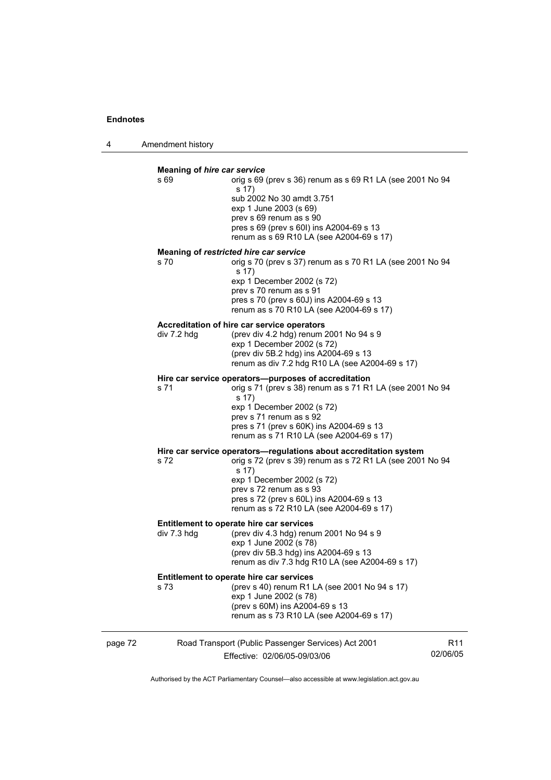4 Amendment history

|         | Meaning of hire car service |                                                                                                                                                                                                                                                                                          |                             |
|---------|-----------------------------|------------------------------------------------------------------------------------------------------------------------------------------------------------------------------------------------------------------------------------------------------------------------------------------|-----------------------------|
|         | s 69                        | orig s 69 (prev s 36) renum as s 69 R1 LA (see 2001 No 94<br>s 17)<br>sub 2002 No 30 amdt 3.751<br>exp 1 June 2003 (s 69)<br>prev s 69 renum as s 90<br>pres s 69 (prev s 60I) ins A2004-69 s 13<br>renum as s 69 R10 LA (see A2004-69 s 17)                                             |                             |
|         | s 70                        | Meaning of restricted hire car service<br>orig s 70 (prev s 37) renum as s 70 R1 LA (see 2001 No 94<br>s 17)<br>exp 1 December 2002 (s 72)<br>prev s 70 renum as s 91<br>pres s 70 (prev s 60J) ins A2004-69 s 13<br>renum as s 70 R10 LA (see A2004-69 s 17)                            |                             |
|         | div 7.2 hdg                 | Accreditation of hire car service operators<br>(prev div 4.2 hdg) renum 2001 No 94 s 9<br>exp 1 December 2002 (s 72)<br>(prev div 5B.2 hdg) ins A2004-69 s 13<br>renum as div 7.2 hdg R10 LA (see A2004-69 s 17)                                                                         |                             |
|         | s 71                        | Hire car service operators-purposes of accreditation<br>orig s 71 (prev s 38) renum as s 71 R1 LA (see 2001 No 94<br>s 17)<br>exp 1 December 2002 (s 72)<br>prev s 71 renum as s 92<br>pres s 71 (prev s 60K) ins A2004-69 s 13<br>renum as s 71 R10 LA (see A2004-69 s 17)              |                             |
|         | s 72                        | Hire car service operators—regulations about accreditation system<br>orig s 72 (prev s 39) renum as s 72 R1 LA (see 2001 No 94<br>s 17)<br>exp 1 December 2002 (s 72)<br>prev s 72 renum as s 93<br>pres s 72 (prev s 60L) ins A2004-69 s 13<br>renum as s 72 R10 LA (see A2004-69 s 17) |                             |
|         | div 7.3 hdg                 | Entitlement to operate hire car services<br>(prev div 4.3 hdg) renum 2001 No 94 s 9<br>exp 1 June 2002 (s 78)<br>(prev div 5B.3 hdg) ins A2004-69 s 13<br>renum as div 7.3 hdg R10 LA (see A2004-69 s 17)                                                                                |                             |
|         | s 73                        | Entitlement to operate hire car services<br>(prev s 40) renum R1 LA (see 2001 No 94 s 17)<br>exp 1 June 2002 (s 78)<br>(prev s 60M) ins A2004-69 s 13<br>renum as s 73 R10 LA (see A2004-69 s 17)                                                                                        |                             |
| page 72 |                             | Road Transport (Public Passenger Services) Act 2001<br>Effective: 02/06/05-09/03/06                                                                                                                                                                                                      | R <sub>11</sub><br>02/06/05 |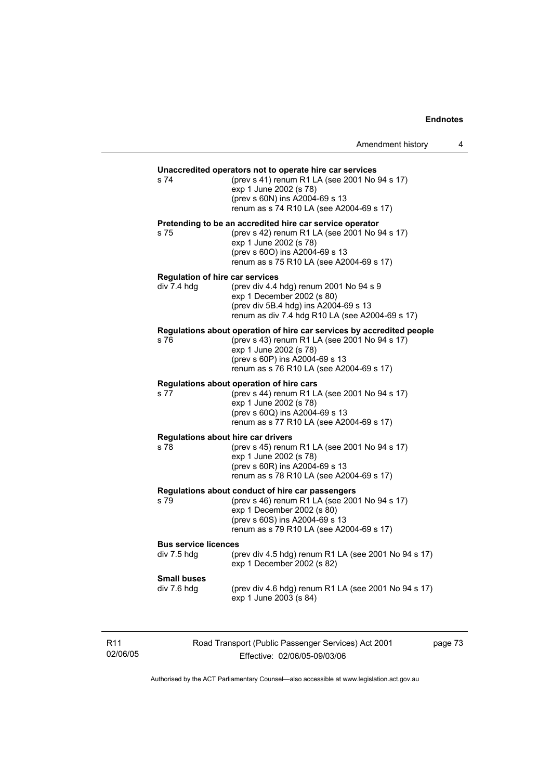|                                        | Amendment history                                                                                                                                                 | 4 |
|----------------------------------------|-------------------------------------------------------------------------------------------------------------------------------------------------------------------|---|
|                                        | Unaccredited operators not to operate hire car services                                                                                                           |   |
| s 74                                   | (prev s 41) renum R1 LA (see 2001 No 94 s 17)<br>exp 1 June 2002 (s 78)<br>(prev s 60N) ins A2004-69 s 13<br>renum as s 74 R10 LA (see A2004-69 s 17)             |   |
|                                        | Pretending to be an accredited hire car service operator                                                                                                          |   |
| s 75                                   | (prev s 42) renum R1 LA (see 2001 No 94 s 17)<br>exp 1 June 2002 (s 78)<br>(prev s 600) ins A2004-69 s 13<br>renum as s 75 R10 LA (see A2004-69 s 17)             |   |
| <b>Regulation of hire car services</b> |                                                                                                                                                                   |   |
| div 7.4 hdg                            | (prev div 4.4 hdg) renum 2001 No 94 s 9<br>exp 1 December 2002 (s 80)<br>(prev div 5B.4 hdg) ins A2004-69 s 13<br>renum as div 7.4 hdg R10 LA (see A2004-69 s 17) |   |
|                                        | Regulations about operation of hire car services by accredited people                                                                                             |   |
| s 76                                   | (prev s 43) renum R1 LA (see 2001 No 94 s 17)<br>exp 1 June 2002 (s 78)                                                                                           |   |
|                                        | (prev s 60P) ins A2004-69 s 13<br>renum as s 76 R10 LA (see A2004-69 s 17)                                                                                        |   |
|                                        | Regulations about operation of hire cars                                                                                                                          |   |
| s 77                                   | (prev s 44) renum R1 LA (see 2001 No 94 s 17)<br>exp 1 June 2002 (s 78)<br>(prev s 60Q) ins A2004-69 s 13<br>renum as s 77 R10 LA (see A2004-69 s 17)             |   |
| Regulations about hire car drivers     |                                                                                                                                                                   |   |
| s 78                                   | (prev s 45) renum R1 LA (see 2001 No 94 s 17)                                                                                                                     |   |
|                                        | exp 1 June 2002 (s 78)<br>(prev s 60R) ins A2004-69 s 13                                                                                                          |   |
|                                        | renum as s 78 R10 LA (see A2004-69 s 17)                                                                                                                          |   |
| s 79                                   | Regulations about conduct of hire car passengers<br>(prev s 46) renum R1 LA (see 2001 No 94 s 17)                                                                 |   |
|                                        | exp 1 December 2002 (s 80)                                                                                                                                        |   |
|                                        | (prev s 60S) ins A2004-69 s 13<br>renum as s 79 R10 LA (see A2004-69 s 17)                                                                                        |   |
| <b>Bus service licences</b>            |                                                                                                                                                                   |   |
| div 7.5 hdg                            | (prev div 4.5 hdg) renum R1 LA (see 2001 No 94 s 17)<br>exp 1 December 2002 (s 82)                                                                                |   |
| <b>Small buses</b>                     |                                                                                                                                                                   |   |
| div 7.6 hdg                            | (prev div 4.6 hdg) renum R1 LA (see 2001 No 94 s 17)<br>exp 1 June 2003 (s 84)                                                                                    |   |
|                                        |                                                                                                                                                                   |   |
|                                        |                                                                                                                                                                   |   |

R11 02/06/05 Road Transport (Public Passenger Services) Act 2001 Effective: 02/06/05-09/03/06

page 73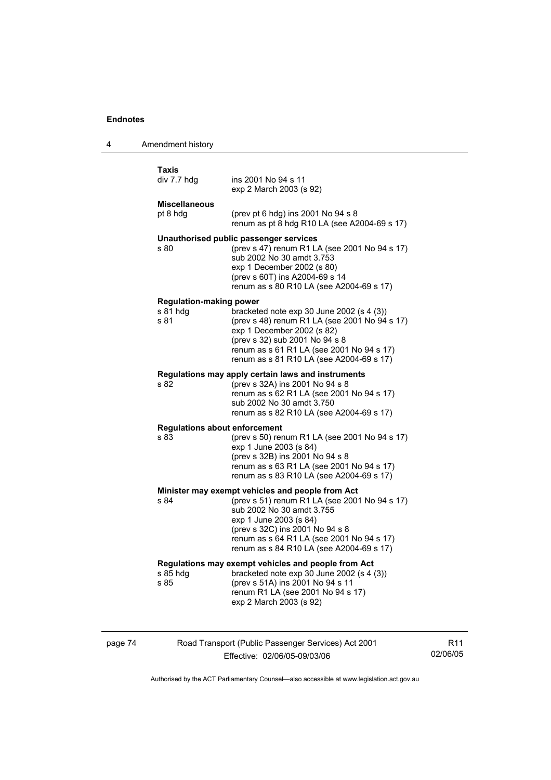| 4 | Amendment history |
|---|-------------------|
|---|-------------------|

| Taxis                                              |                                                                                                                                                                                                                                                                                      |
|----------------------------------------------------|--------------------------------------------------------------------------------------------------------------------------------------------------------------------------------------------------------------------------------------------------------------------------------------|
| div 7.7 hdg                                        | ins 2001 No 94 s 11<br>exp 2 March 2003 (s 92)                                                                                                                                                                                                                                       |
| <b>Miscellaneous</b><br>pt 8 hdg                   | (prev pt 6 hdg) ins 2001 No 94 s 8<br>renum as pt 8 hdg R10 LA (see A2004-69 s 17)                                                                                                                                                                                                   |
| s 80                                               | Unauthorised public passenger services<br>(prev s 47) renum R1 LA (see 2001 No 94 s 17)<br>sub 2002 No 30 amdt 3.753<br>exp 1 December 2002 (s 80)<br>(prev s 60T) ins A2004-69 s 14<br>renum as s 80 R10 LA (see A2004-69 s 17)                                                     |
| <b>Regulation-making power</b><br>s 81 hdg<br>s 81 | bracketed note exp 30 June 2002 (s 4 (3))<br>(prev s 48) renum R1 LA (see 2001 No 94 s 17)<br>exp 1 December 2002 (s 82)<br>(prev s 32) sub 2001 No 94 s 8<br>renum as s 61 R1 LA (see 2001 No 94 s 17)<br>renum as s 81 R10 LA (see A2004-69 s 17)                                  |
| s 82                                               | Regulations may apply certain laws and instruments<br>(prev s 32A) ins 2001 No 94 s 8<br>renum as s 62 R1 LA (see 2001 No 94 s 17)<br>sub 2002 No 30 amdt 3.750<br>renum as s 82 R10 LA (see A2004-69 s 17)                                                                          |
| <b>Regulations about enforcement</b><br>s 83       | (prev s 50) renum R1 LA (see 2001 No 94 s 17)<br>exp 1 June 2003 (s 84)<br>(prev s 32B) ins 2001 No 94 s 8<br>renum as s 63 R1 LA (see 2001 No 94 s 17)<br>renum as s 83 R10 LA (see A2004-69 s 17)                                                                                  |
| s 84                                               | Minister may exempt vehicles and people from Act<br>(prev s 51) renum R1 LA (see 2001 No 94 s 17)<br>sub 2002 No 30 amdt 3.755<br>exp 1 June 2003 (s 84)<br>(prev s 32C) ins 2001 No 94 s 8<br>renum as s 64 R1 LA (see 2001 No 94 s 17)<br>renum as s 84 R10 LA (see A2004-69 s 17) |
| s 85 hdg<br>s 85                                   | Regulations may exempt vehicles and people from Act<br>bracketed note $exp 30$ June 2002 (s 4 (3))<br>(prev s 51A) ins 2001 No 94 s 11<br>renum R1 LA (see 2001 No 94 s 17)<br>exp 2 March 2003 (s 92)                                                                               |

page 74 Road Transport (Public Passenger Services) Act 2001 Effective: 02/06/05-09/03/06

R11 02/06/05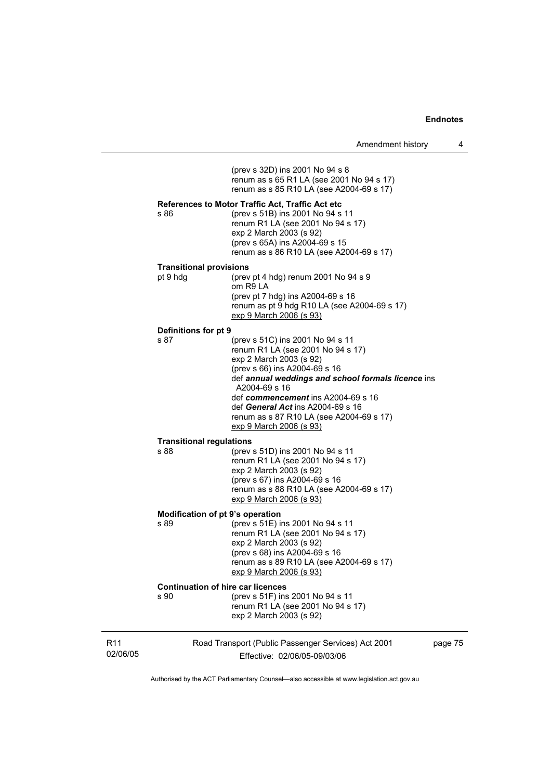(prev s 32D) ins 2001 No 94 s 8 renum as s 65 R1 LA (see 2001 No 94 s 17) renum as s 85 R10 LA (see A2004-69 s 17)

# **References to Motor Traffic Act, Traffic Act etc** s 86 (prev s 51B) ins 2001 No 94 s

(prev s 51B) ins 2001 No 94 s 11 renum R1 LA (see 2001 No 94 s 17) exp 2 March 2003 (s 92) (prev s 65A) ins A2004-69 s 15 renum as s 86 R10 LA (see A2004-69 s 17)

#### **Transitional provisions**

| pt 9 hdq | (prev pt 4 hdg) renum 2001 No 94 s 9         |
|----------|----------------------------------------------|
|          | om R9 LA                                     |
|          | (prev pt 7 hdg) ins A2004-69 s 16            |
|          | renum as pt 9 hdg R10 LA (see A2004-69 s 17) |
|          | exp 9 March 2006 (s 93)                      |
|          |                                              |

# **Definitions for pt 9**

| s 87 | (prev s 51C) ins 2001 No 94 s 11                                    |
|------|---------------------------------------------------------------------|
|      | renum R1 LA (see 2001 No 94 s 17)                                   |
|      | exp 2 March 2003 (s 92)                                             |
|      | (prev s 66) ins A2004-69 s 16                                       |
|      | def annual weddings and school formals licence ins<br>A2004-69 s 16 |
|      | def commencement ins A2004-69 s 16                                  |
|      | def General Act ins A2004-69 s 16                                   |
|      | renum as s 87 R10 LA (see A2004-69 s 17)                            |
|      | exp 9 March 2006 (s 93)                                             |
|      |                                                                     |

### **Transitional regulations**

| s 88 | (prev s 51D) ins 2001 No 94 s 11         |
|------|------------------------------------------|
|      | renum R1 LA (see 2001 No 94 s 17)        |
|      | exp 2 March 2003 (s 92)                  |
|      | (prev s 67) ins A2004-69 s 16            |
|      | renum as s 88 R10 LA (see A2004-69 s 17) |
|      | exp 9 March 2006 (s 93)                  |
|      |                                          |

# **Modification of pt 9's operation**<br>**s** 89 (prev s 51F) is

| s 89 | (prev s 51E) ins 2001 No 94 s 11         |
|------|------------------------------------------|
|      | renum R1 LA (see 2001 No 94 s 17)        |
|      | exp 2 March 2003 (s 92)                  |
|      | (prev s 68) ins A2004-69 s 16            |
|      | renum as s 89 R10 LA (see A2004-69 s 17) |
|      | exp 9 March 2006 (s 93)                  |

# **Continuation of hire car licences**<br>s 90 (prev s 51F) ins

(prev s 51F) ins 2001 No 94 s 11 renum R1 LA (see 2001 No 94 s 17) exp 2 March 2003 (s 92)

| R <sub>11</sub> | Road Transport (Public Passenger Services) Act 2001 | page 75 |
|-----------------|-----------------------------------------------------|---------|
| 02/06/05        | Effective: 02/06/05-09/03/06                        |         |
|                 |                                                     |         |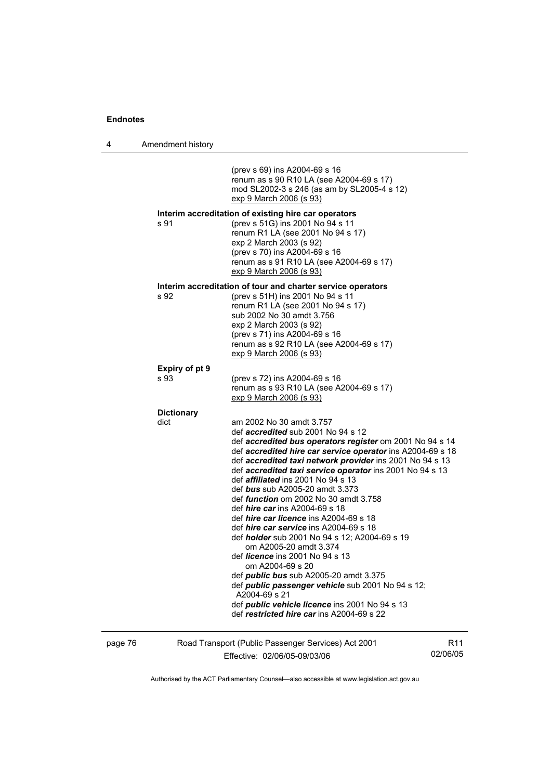| 4 | Amendment history         |                                                                                                                                                                                                                                                                                                                                                                                                                                                                                                                                                                                                                                                                                                                                                                                                                                                                                                                                                                                 |
|---|---------------------------|---------------------------------------------------------------------------------------------------------------------------------------------------------------------------------------------------------------------------------------------------------------------------------------------------------------------------------------------------------------------------------------------------------------------------------------------------------------------------------------------------------------------------------------------------------------------------------------------------------------------------------------------------------------------------------------------------------------------------------------------------------------------------------------------------------------------------------------------------------------------------------------------------------------------------------------------------------------------------------|
|   |                           | (prev s 69) ins A2004-69 s 16<br>renum as s 90 R10 LA (see A2004-69 s 17)<br>mod SL2002-3 s 246 (as am by SL2005-4 s 12)<br>exp 9 March 2006 (s 93)                                                                                                                                                                                                                                                                                                                                                                                                                                                                                                                                                                                                                                                                                                                                                                                                                             |
|   | s 91                      | Interim accreditation of existing hire car operators<br>(prev s 51G) ins 2001 No 94 s 11<br>renum R1 LA (see 2001 No 94 s 17)<br>exp 2 March 2003 (s 92)<br>(prev s 70) ins A2004-69 s 16<br>renum as s 91 R10 LA (see A2004-69 s 17)<br>exp 9 March 2006 (s 93)                                                                                                                                                                                                                                                                                                                                                                                                                                                                                                                                                                                                                                                                                                                |
|   | s 92                      | Interim accreditation of tour and charter service operators<br>(prev s 51H) ins 2001 No 94 s 11<br>renum R1 LA (see 2001 No 94 s 17)<br>sub 2002 No 30 amdt 3.756<br>exp 2 March 2003 (s 92)<br>(prev s 71) ins A2004-69 s 16<br>renum as s 92 R10 LA (see A2004-69 s 17)<br>exp 9 March 2006 (s 93)                                                                                                                                                                                                                                                                                                                                                                                                                                                                                                                                                                                                                                                                            |
|   | Expiry of pt 9<br>s 93    | (prev s 72) ins A2004-69 s 16<br>renum as s 93 R10 LA (see A2004-69 s 17)<br>exp 9 March 2006 (s 93)                                                                                                                                                                                                                                                                                                                                                                                                                                                                                                                                                                                                                                                                                                                                                                                                                                                                            |
|   | <b>Dictionary</b><br>dict | am 2002 No 30 amdt 3.757<br>def <i>accredited</i> sub 2001 No 94 s 12<br>def accredited bus operators register om 2001 No 94 s 14<br>def accredited hire car service operator ins A2004-69 s 18<br>def accredited taxi network provider ins 2001 No 94 s 13<br>def accredited taxi service operator ins 2001 No 94 s 13<br>def <i>affiliated</i> ins 2001 No 94 s 13<br>def bus sub A2005-20 amdt 3.373<br>def <i>function</i> om 2002 No 30 amdt 3.758<br>def <i>hire car</i> ins A2004-69 s 18<br>def <i>hire car licence</i> ins A2004-69 s 18<br>def <i>hire car service</i> ins A2004-69 s 18<br>def <i>holder</i> sub 2001 No 94 s 12; A2004-69 s 19<br>om A2005-20 amdt 3.374<br>def <i>licence</i> ins 2001 No 94 s 13<br>om A2004-69 s 20<br>def <i>public bus</i> sub A2005-20 amdt 3.375<br>def public passenger vehicle sub 2001 No 94 s 12;<br>A2004-69 s 21<br>def <i>public vehicle licence</i> ins 2001 No 94 s 13<br>def restricted hire car ins A2004-69 s 22 |

page 76 Road Transport (Public Passenger Services) Act 2001 Effective: 02/06/05-09/03/06

R11 02/06/05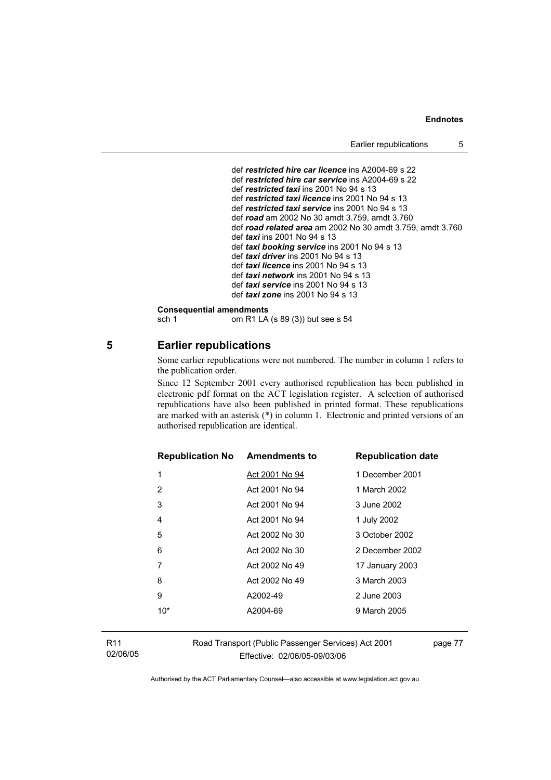```
def restricted hire car licence ins A2004-69 s 22 
def restricted hire car service ins A2004-69 s 22 
def restricted taxi ins 2001 No 94 s 13 
 def restricted taxi licence ins 2001 No 94 s 13 
def restricted taxi service ins 2001 No 94 s 13 
def road am 2002 No 30 amdt 3.759, amdt 3.760 
 def road related area am 2002 No 30 amdt 3.759, amdt 3.760 
 def taxi ins 2001 No 94 s 13 
def taxi booking service ins 2001 No 94 s 13 
def taxi driver ins 2001 No 94 s 13 
def taxi licence ins 2001 No 94 s 13
def taxi network ins 2001 No 94 s 13 
 def taxi service ins 2001 No 94 s 13 
def taxi zone ins 2001 No 94 s 13
```
### **Consequential amendments**

sch 1 om R1 LA (s 89 (3)) but see s 54

## **5 Earlier republications**

Some earlier republications were not numbered. The number in column 1 refers to the publication order.

Since 12 September 2001 every authorised republication has been published in electronic pdf format on the ACT legislation register. A selection of authorised republications have also been published in printed format. These republications are marked with an asterisk (\*) in column 1. Electronic and printed versions of an authorised republication are identical.

| <b>Republication No Amendments to</b> |                | <b>Republication date</b> |
|---------------------------------------|----------------|---------------------------|
| 1                                     | Act 2001 No 94 | 1 December 2001           |
| 2                                     | Act 2001 No 94 | 1 March 2002              |
| 3                                     | Act 2001 No 94 | 3 June 2002               |
| 4                                     | Act 2001 No 94 | 1 July 2002               |
| 5                                     | Act 2002 No 30 | 3 October 2002            |
| 6                                     | Act 2002 No 30 | 2 December 2002           |
| 7                                     | Act 2002 No 49 | 17 January 2003           |
| 8                                     | Act 2002 No 49 | 3 March 2003              |
| 9                                     | A2002-49       | 2 June 2003               |
| $10*$                                 | A2004-69       | 9 March 2005              |
|                                       |                |                           |

R11 02/06/05 Road Transport (Public Passenger Services) Act 2001 Effective: 02/06/05-09/03/06

page 77